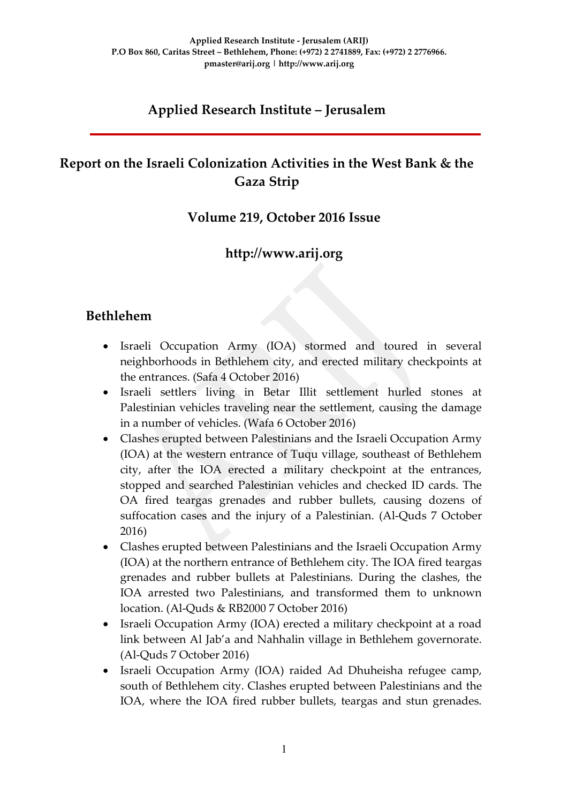# **Applied Research Institute – Jerusalem**

# **Report on the Israeli Colonization Activities in the West Bank & the Gaza Strip**

### **Volume 219, October 2016 Issue**

### **http://www.arij.org**

### **Bethlehem**

- Israeli Occupation Army (IOA) stormed and toured in several neighborhoods in Bethlehem city, and erected military checkpoints at the entrances. (Safa 4 October 2016)
- Israeli settlers living in Betar Illit settlement hurled stones at Palestinian vehicles traveling near the settlement, causing the damage in a number of vehicles. (Wafa 6 October 2016)
- Clashes erupted between Palestinians and the Israeli Occupation Army (IOA) at the western entrance of Tuqu village, southeast of Bethlehem city, after the IOA erected a military checkpoint at the entrances, stopped and searched Palestinian vehicles and checked ID cards. The OA fired teargas grenades and rubber bullets, causing dozens of suffocation cases and the injury of a Palestinian. (Al-Quds 7 October 2016)
- Clashes erupted between Palestinians and the Israeli Occupation Army (IOA) at the northern entrance of Bethlehem city. The IOA fired teargas grenades and rubber bullets at Palestinians. During the clashes, the IOA arrested two Palestinians, and transformed them to unknown location. (Al-Quds & RB2000 7 October 2016)
- Israeli Occupation Army (IOA) erected a military checkpoint at a road link between Al Jab'a and Nahhalin village in Bethlehem governorate. (Al-Quds 7 October 2016)
- Israeli Occupation Army (IOA) raided Ad Dhuheisha refugee camp, south of Bethlehem city. Clashes erupted between Palestinians and the IOA, where the IOA fired rubber bullets, teargas and stun grenades.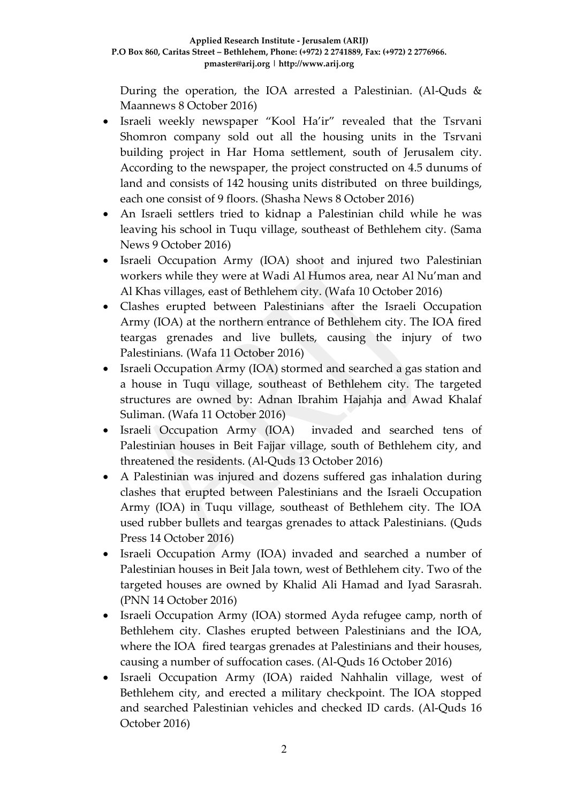During the operation, the IOA arrested a Palestinian. (Al-Quds & Maannews 8 October 2016)

- Israeli weekly newspaper "Kool Ha'ir" revealed that the Tsrvani Shomron company sold out all the housing units in the Tsrvani building project in Har Homa settlement, south of Jerusalem city. According to the newspaper, the project constructed on 4.5 dunums of land and consists of 142 housing units distributed on three buildings, each one consist of 9 floors. (Shasha News 8 October 2016)
- An Israeli settlers tried to kidnap a Palestinian child while he was leaving his school in Tuqu village, southeast of Bethlehem city. (Sama News 9 October 2016)
- Israeli Occupation Army (IOA) shoot and injured two Palestinian workers while they were at Wadi Al Humos area, near Al Nu'man and Al Khas villages, east of Bethlehem city. (Wafa 10 October 2016)
- Clashes erupted between Palestinians after the Israeli Occupation Army (IOA) at the northern entrance of Bethlehem city. The IOA fired teargas grenades and live bullets, causing the injury of two Palestinians. (Wafa 11 October 2016)
- Israeli Occupation Army (IOA) stormed and searched a gas station and a house in Tuqu village, southeast of Bethlehem city. The targeted structures are owned by: Adnan Ibrahim Hajahja and Awad Khalaf Suliman. (Wafa 11 October 2016)
- Israeli Occupation Army (IOA) invaded and searched tens of Palestinian houses in Beit Fajjar village, south of Bethlehem city, and threatened the residents. (Al-Quds 13 October 2016)
- A Palestinian was injured and dozens suffered gas inhalation during clashes that erupted between Palestinians and the Israeli Occupation Army (IOA) in Tuqu village, southeast of Bethlehem city. The IOA used rubber bullets and teargas grenades to attack Palestinians. (Quds Press 14 October 2016)
- Israeli Occupation Army (IOA) invaded and searched a number of Palestinian houses in Beit Jala town, west of Bethlehem city. Two of the targeted houses are owned by Khalid Ali Hamad and Iyad Sarasrah. (PNN 14 October 2016)
- Israeli Occupation Army (IOA) stormed Ayda refugee camp, north of Bethlehem city. Clashes erupted between Palestinians and the IOA, where the IOA fired teargas grenades at Palestinians and their houses, causing a number of suffocation cases. (Al-Quds 16 October 2016)
- Israeli Occupation Army (IOA) raided Nahhalin village, west of Bethlehem city, and erected a military checkpoint. The IOA stopped and searched Palestinian vehicles and checked ID cards. (Al-Quds 16 October 2016)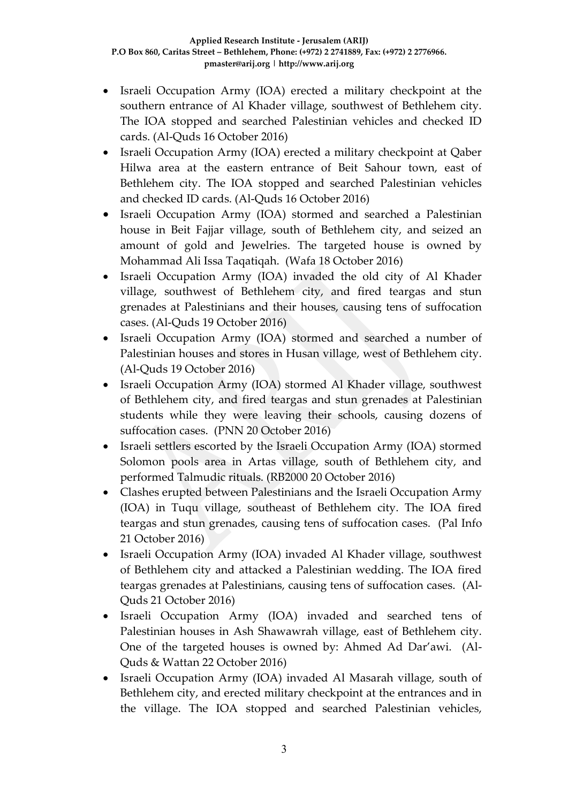- Israeli Occupation Army (IOA) erected a military checkpoint at the southern entrance of Al Khader village, southwest of Bethlehem city. The IOA stopped and searched Palestinian vehicles and checked ID cards. (Al-Quds 16 October 2016)
- Israeli Occupation Army (IOA) erected a military checkpoint at Qaber Hilwa area at the eastern entrance of Beit Sahour town, east of Bethlehem city. The IOA stopped and searched Palestinian vehicles and checked ID cards. (Al-Quds 16 October 2016)
- Israeli Occupation Army (IOA) stormed and searched a Palestinian house in Beit Fajjar village, south of Bethlehem city, and seized an amount of gold and Jewelries. The targeted house is owned by Mohammad Ali Issa Taqatiqah. (Wafa 18 October 2016)
- Israeli Occupation Army (IOA) invaded the old city of Al Khader village, southwest of Bethlehem city, and fired teargas and stun grenades at Palestinians and their houses, causing tens of suffocation cases. (Al-Quds 19 October 2016)
- Israeli Occupation Army (IOA) stormed and searched a number of Palestinian houses and stores in Husan village, west of Bethlehem city. (Al-Quds 19 October 2016)
- Israeli Occupation Army (IOA) stormed Al Khader village, southwest of Bethlehem city, and fired teargas and stun grenades at Palestinian students while they were leaving their schools, causing dozens of suffocation cases. (PNN 20 October 2016)
- Israeli settlers escorted by the Israeli Occupation Army (IOA) stormed Solomon pools area in Artas village, south of Bethlehem city, and performed Talmudic rituals. (RB2000 20 October 2016)
- Clashes erupted between Palestinians and the Israeli Occupation Army (IOA) in Tuqu village, southeast of Bethlehem city. The IOA fired teargas and stun grenades, causing tens of suffocation cases. (Pal Info 21 October 2016)
- Israeli Occupation Army (IOA) invaded Al Khader village, southwest of Bethlehem city and attacked a Palestinian wedding. The IOA fired teargas grenades at Palestinians, causing tens of suffocation cases. (Al-Quds 21 October 2016)
- Israeli Occupation Army (IOA) invaded and searched tens of Palestinian houses in Ash Shawawrah village, east of Bethlehem city. One of the targeted houses is owned by: Ahmed Ad Dar'awi. (Al-Quds & Wattan 22 October 2016)
- Israeli Occupation Army (IOA) invaded Al Masarah village, south of Bethlehem city, and erected military checkpoint at the entrances and in the village. The IOA stopped and searched Palestinian vehicles,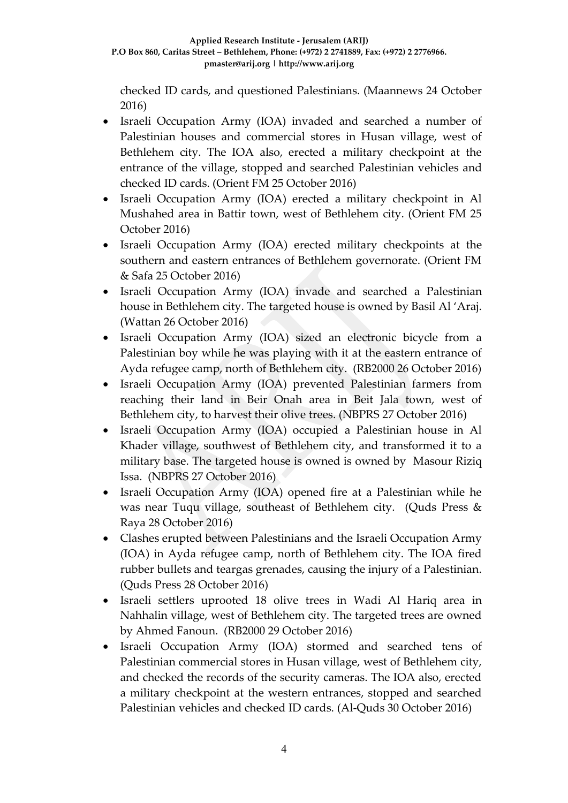checked ID cards, and questioned Palestinians. (Maannews 24 October 2016)

- Israeli Occupation Army (IOA) invaded and searched a number of Palestinian houses and commercial stores in Husan village, west of Bethlehem city. The IOA also, erected a military checkpoint at the entrance of the village, stopped and searched Palestinian vehicles and checked ID cards. (Orient FM 25 October 2016)
- Israeli Occupation Army (IOA) erected a military checkpoint in Al Mushahed area in Battir town, west of Bethlehem city. (Orient FM 25 October 2016)
- Israeli Occupation Army (IOA) erected military checkpoints at the southern and eastern entrances of Bethlehem governorate. (Orient FM & Safa 25 October 2016)
- Israeli Occupation Army (IOA) invade and searched a Palestinian house in Bethlehem city. The targeted house is owned by Basil Al 'Araj. (Wattan 26 October 2016)
- Israeli Occupation Army (IOA) sized an electronic bicycle from a Palestinian boy while he was playing with it at the eastern entrance of Ayda refugee camp, north of Bethlehem city. (RB2000 26 October 2016)
- Israeli Occupation Army (IOA) prevented Palestinian farmers from reaching their land in Beir Onah area in Beit Jala town, west of Bethlehem city, to harvest their olive trees. (NBPRS 27 October 2016)
- Israeli Occupation Army (IOA) occupied a Palestinian house in Al Khader village, southwest of Bethlehem city, and transformed it to a military base. The targeted house is owned is owned by Masour Riziq Issa. (NBPRS 27 October 2016)
- Israeli Occupation Army (IOA) opened fire at a Palestinian while he was near Tuqu village, southeast of Bethlehem city. (Quds Press & Raya 28 October 2016)
- Clashes erupted between Palestinians and the Israeli Occupation Army (IOA) in Ayda refugee camp, north of Bethlehem city. The IOA fired rubber bullets and teargas grenades, causing the injury of a Palestinian. (Quds Press 28 October 2016)
- Israeli settlers uprooted 18 olive trees in Wadi Al Hariq area in Nahhalin village, west of Bethlehem city. The targeted trees are owned by Ahmed Fanoun. (RB2000 29 October 2016)
- Israeli Occupation Army (IOA) stormed and searched tens of Palestinian commercial stores in Husan village, west of Bethlehem city, and checked the records of the security cameras. The IOA also, erected a military checkpoint at the western entrances, stopped and searched Palestinian vehicles and checked ID cards. (Al-Quds 30 October 2016)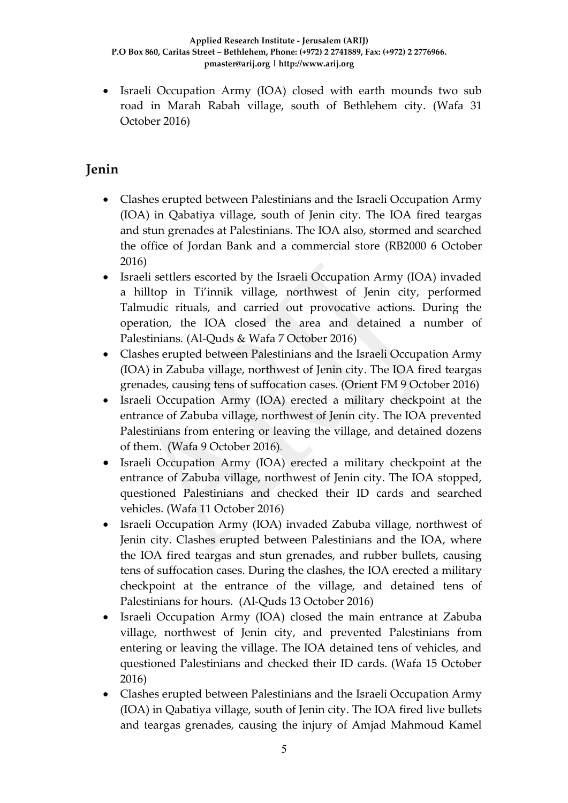• Israeli Occupation Army (IOA) closed with earth mounds two sub road in Marah Rabah village, south of Bethlehem city. (Wafa 31 October 2016)

# **Jenin**

- Clashes erupted between Palestinians and the Israeli Occupation Army (IOA) in Qabatiya village, south of Jenin city. The IOA fired teargas and stun grenades at Palestinians. The IOA also, stormed and searched the office of Jordan Bank and a commercial store (RB2000 6 October 2016)
- Israeli settlers escorted by the Israeli Occupation Army (IOA) invaded a hilltop in Ti'innik village, northwest of Jenin city, performed Talmudic rituals, and carried out provocative actions. During the operation, the IOA closed the area and detained a number of Palestinians. (Al-Quds & Wafa 7 October 2016)
- Clashes erupted between Palestinians and the Israeli Occupation Army (IOA) in Zabuba village, northwest of Jenin city. The IOA fired teargas grenades, causing tens of suffocation cases. (Orient FM 9 October 2016)
- Israeli Occupation Army (IOA) erected a military checkpoint at the entrance of Zabuba village, northwest of Jenin city. The IOA prevented Palestinians from entering or leaving the village, and detained dozens of them. (Wafa 9 October 2016).
- Israeli Occupation Army (IOA) erected a military checkpoint at the entrance of Zabuba village, northwest of Jenin city. The IOA stopped, questioned Palestinians and checked their ID cards and searched vehicles. (Wafa 11 October 2016)
- Israeli Occupation Army (IOA) invaded Zabuba village, northwest of Jenin city. Clashes erupted between Palestinians and the IOA, where the IOA fired teargas and stun grenades, and rubber bullets, causing tens of suffocation cases. During the clashes, the IOA erected a military checkpoint at the entrance of the village, and detained tens of Palestinians for hours. (Al-Quds 13 October 2016)
- Israeli Occupation Army (IOA) closed the main entrance at Zabuba village, northwest of Jenin city, and prevented Palestinians from entering or leaving the village. The IOA detained tens of vehicles, and questioned Palestinians and checked their ID cards. (Wafa 15 October 2016)
- Clashes erupted between Palestinians and the Israeli Occupation Army (IOA) in Qabatiya village, south of Jenin city. The IOA fired live bullets and teargas grenades, causing the injury of Amjad Mahmoud Kamel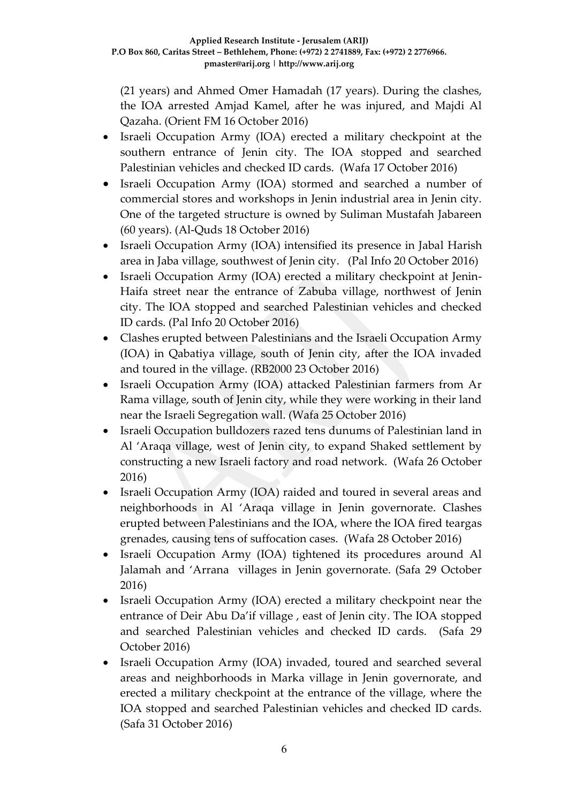(21 years) and Ahmed Omer Hamadah (17 years). During the clashes, the IOA arrested Amjad Kamel, after he was injured, and Majdi Al Qazaha. (Orient FM 16 October 2016)

- Israeli Occupation Army (IOA) erected a military checkpoint at the southern entrance of Jenin city. The IOA stopped and searched Palestinian vehicles and checked ID cards. (Wafa 17 October 2016)
- Israeli Occupation Army (IOA) stormed and searched a number of commercial stores and workshops in Jenin industrial area in Jenin city. One of the targeted structure is owned by Suliman Mustafah Jabareen (60 years). (Al-Quds 18 October 2016)
- Israeli Occupation Army (IOA) intensified its presence in Jabal Harish area in Jaba village, southwest of Jenin city. (Pal Info 20 October 2016)
- Israeli Occupation Army (IOA) erected a military checkpoint at Jenin-Haifa street near the entrance of Zabuba village, northwest of Jenin city. The IOA stopped and searched Palestinian vehicles and checked ID cards. (Pal Info 20 October 2016)
- Clashes erupted between Palestinians and the Israeli Occupation Army (IOA) in Qabatiya village, south of Jenin city, after the IOA invaded and toured in the village. (RB2000 23 October 2016)
- Israeli Occupation Army (IOA) attacked Palestinian farmers from Ar Rama village, south of Jenin city, while they were working in their land near the Israeli Segregation wall. (Wafa 25 October 2016)
- Israeli Occupation bulldozers razed tens dunums of Palestinian land in Al 'Araqa village, west of Jenin city, to expand Shaked settlement by constructing a new Israeli factory and road network. (Wafa 26 October 2016)
- Israeli Occupation Army (IOA) raided and toured in several areas and neighborhoods in Al 'Araqa village in Jenin governorate. Clashes erupted between Palestinians and the IOA, where the IOA fired teargas grenades, causing tens of suffocation cases. (Wafa 28 October 2016)
- Israeli Occupation Army (IOA) tightened its procedures around Al Jalamah and 'Arrana villages in Jenin governorate. (Safa 29 October 2016)
- Israeli Occupation Army (IOA) erected a military checkpoint near the entrance of Deir Abu Da'if village , east of Jenin city. The IOA stopped and searched Palestinian vehicles and checked ID cards. (Safa 29 October 2016)
- Israeli Occupation Army (IOA) invaded, toured and searched several areas and neighborhoods in Marka village in Jenin governorate, and erected a military checkpoint at the entrance of the village, where the IOA stopped and searched Palestinian vehicles and checked ID cards. (Safa 31 October 2016)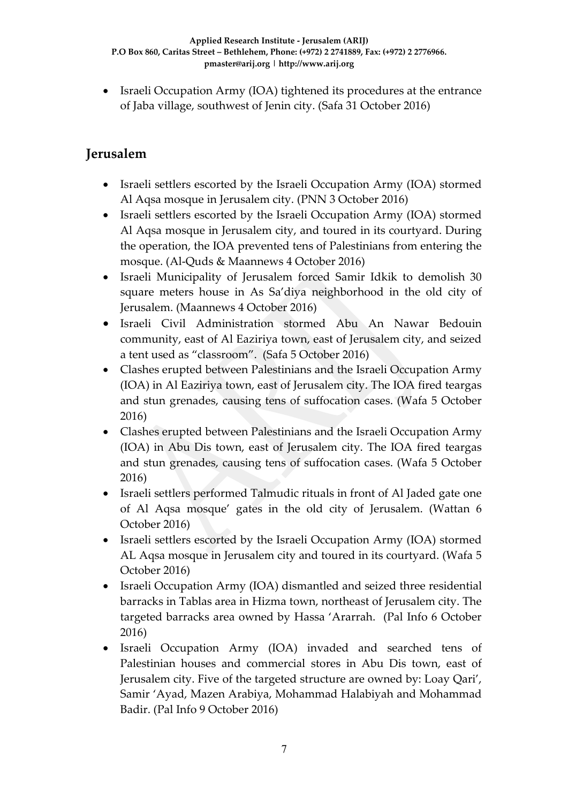• Israeli Occupation Army (IOA) tightened its procedures at the entrance of Jaba village, southwest of Jenin city. (Safa 31 October 2016)

## **Jerusalem**

- Israeli settlers escorted by the Israeli Occupation Army (IOA) stormed Al Aqsa mosque in Jerusalem city. (PNN 3 October 2016)
- Israeli settlers escorted by the Israeli Occupation Army (IOA) stormed Al Aqsa mosque in Jerusalem city, and toured in its courtyard. During the operation, the IOA prevented tens of Palestinians from entering the mosque. (Al-Quds & Maannews 4 October 2016)
- Israeli Municipality of Jerusalem forced Samir Idkik to demolish 30 square meters house in As Sa'diya neighborhood in the old city of Jerusalem. (Maannews 4 October 2016)
- Israeli Civil Administration stormed Abu An Nawar Bedouin community, east of Al Eaziriya town, east of Jerusalem city, and seized a tent used as "classroom". (Safa 5 October 2016)
- Clashes erupted between Palestinians and the Israeli Occupation Army (IOA) in Al Eaziriya town, east of Jerusalem city. The IOA fired teargas and stun grenades, causing tens of suffocation cases. (Wafa 5 October 2016)
- Clashes erupted between Palestinians and the Israeli Occupation Army (IOA) in Abu Dis town, east of Jerusalem city. The IOA fired teargas and stun grenades, causing tens of suffocation cases. (Wafa 5 October 2016)
- Israeli settlers performed Talmudic rituals in front of Al Jaded gate one of Al Aqsa mosque' gates in the old city of Jerusalem. (Wattan 6 October 2016)
- Israeli settlers escorted by the Israeli Occupation Army (IOA) stormed AL Aqsa mosque in Jerusalem city and toured in its courtyard. (Wafa 5 October 2016)
- Israeli Occupation Army (IOA) dismantled and seized three residential barracks in Tablas area in Hizma town, northeast of Jerusalem city. The targeted barracks area owned by Hassa 'Ararrah. (Pal Info 6 October 2016)
- Israeli Occupation Army (IOA) invaded and searched tens of Palestinian houses and commercial stores in Abu Dis town, east of Jerusalem city. Five of the targeted structure are owned by: Loay Qari', Samir 'Ayad, Mazen Arabiya, Mohammad Halabiyah and Mohammad Badir. (Pal Info 9 October 2016)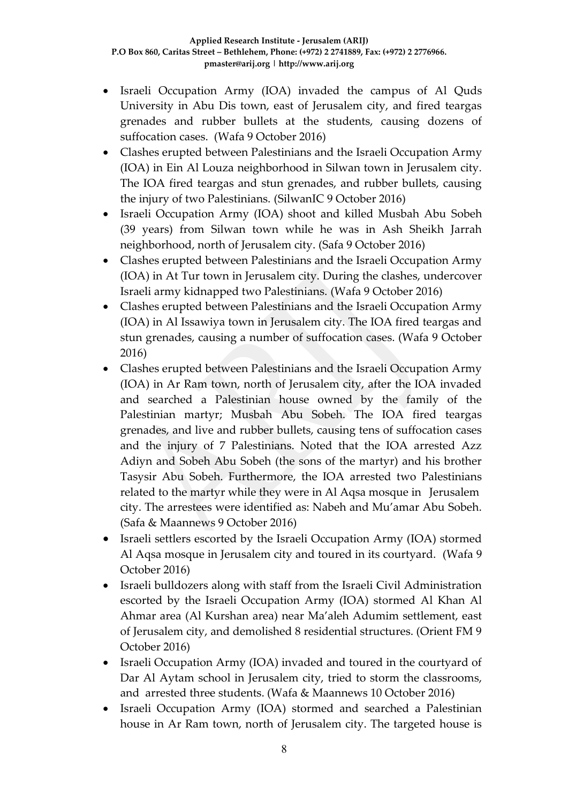- Israeli Occupation Army (IOA) invaded the campus of Al Quds University in Abu Dis town, east of Jerusalem city, and fired teargas grenades and rubber bullets at the students, causing dozens of suffocation cases. (Wafa 9 October 2016)
- Clashes erupted between Palestinians and the Israeli Occupation Army (IOA) in Ein Al Louza neighborhood in Silwan town in Jerusalem city. The IOA fired teargas and stun grenades, and rubber bullets, causing the injury of two Palestinians. (SilwanIC 9 October 2016)
- Israeli Occupation Army (IOA) shoot and killed Musbah Abu Sobeh (39 years) from Silwan town while he was in Ash Sheikh Jarrah neighborhood, north of Jerusalem city. (Safa 9 October 2016)
- Clashes erupted between Palestinians and the Israeli Occupation Army (IOA) in At Tur town in Jerusalem city. During the clashes, undercover Israeli army kidnapped two Palestinians. (Wafa 9 October 2016)
- Clashes erupted between Palestinians and the Israeli Occupation Army (IOA) in Al Issawiya town in Jerusalem city. The IOA fired teargas and stun grenades, causing a number of suffocation cases. (Wafa 9 October 2016)
- Clashes erupted between Palestinians and the Israeli Occupation Army (IOA) in Ar Ram town, north of Jerusalem city, after the IOA invaded and searched a Palestinian house owned by the family of the Palestinian martyr; Musbah Abu Sobeh. The IOA fired teargas grenades, and live and rubber bullets, causing tens of suffocation cases and the injury of 7 Palestinians. Noted that the IOA arrested Azz Adiyn and Sobeh Abu Sobeh (the sons of the martyr) and his brother Tasysir Abu Sobeh. Furthermore, the IOA arrested two Palestinians related to the martyr while they were in Al Aqsa mosque in Jerusalem city. The arrestees were identified as: Nabeh and Mu'amar Abu Sobeh. (Safa & Maannews 9 October 2016)
- Israeli settlers escorted by the Israeli Occupation Army (IOA) stormed Al Aqsa mosque in Jerusalem city and toured in its courtyard. (Wafa 9 October 2016)
- Israeli bulldozers along with staff from the Israeli Civil Administration escorted by the Israeli Occupation Army (IOA) stormed Al Khan Al Ahmar area (Al Kurshan area) near Ma'aleh Adumim settlement, east of Jerusalem city, and demolished 8 residential structures. (Orient FM 9 October 2016)
- Israeli Occupation Army (IOA) invaded and toured in the courtyard of Dar Al Aytam school in Jerusalem city, tried to storm the classrooms, and arrested three students. (Wafa & Maannews 10 October 2016)
- Israeli Occupation Army (IOA) stormed and searched a Palestinian house in Ar Ram town, north of Jerusalem city. The targeted house is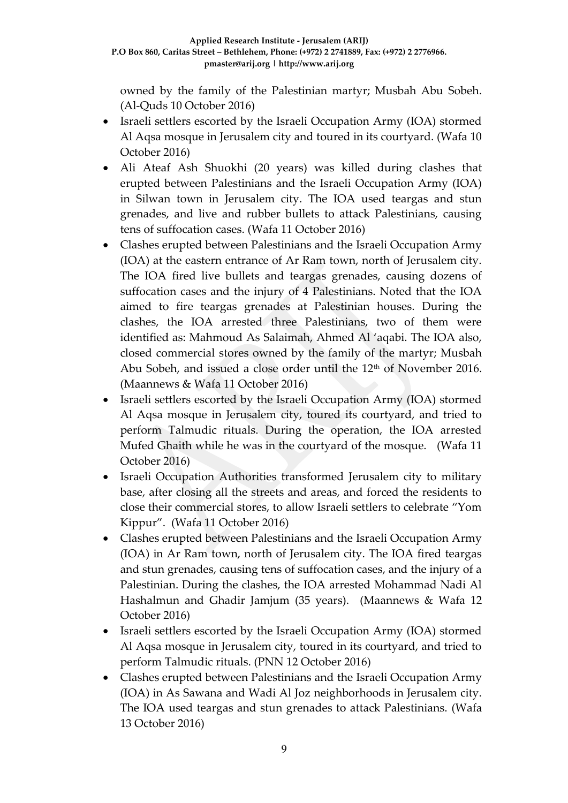owned by the family of the Palestinian martyr; Musbah Abu Sobeh. (Al-Quds 10 October 2016)

- Israeli settlers escorted by the Israeli Occupation Army (IOA) stormed Al Aqsa mosque in Jerusalem city and toured in its courtyard. (Wafa 10 October 2016)
- Ali Ateaf Ash Shuokhi (20 years) was killed during clashes that erupted between Palestinians and the Israeli Occupation Army (IOA) in Silwan town in Jerusalem city. The IOA used teargas and stun grenades, and live and rubber bullets to attack Palestinians, causing tens of suffocation cases. (Wafa 11 October 2016)
- Clashes erupted between Palestinians and the Israeli Occupation Army (IOA) at the eastern entrance of Ar Ram town, north of Jerusalem city. The IOA fired live bullets and teargas grenades, causing dozens of suffocation cases and the injury of 4 Palestinians. Noted that the IOA aimed to fire teargas grenades at Palestinian houses. During the clashes, the IOA arrested three Palestinians, two of them were identified as: Mahmoud As Salaimah, Ahmed Al 'aqabi. The IOA also, closed commercial stores owned by the family of the martyr; Musbah Abu Sobeh, and issued a close order until the 12<sup>th</sup> of November 2016. (Maannews & Wafa 11 October 2016)
- Israeli settlers escorted by the Israeli Occupation Army (IOA) stormed Al Aqsa mosque in Jerusalem city, toured its courtyard, and tried to perform Talmudic rituals. During the operation, the IOA arrested Mufed Ghaith while he was in the courtyard of the mosque. (Wafa 11 October 2016)
- Israeli Occupation Authorities transformed Jerusalem city to military base, after closing all the streets and areas, and forced the residents to close their commercial stores, to allow Israeli settlers to celebrate "Yom Kippur". (Wafa 11 October 2016)
- Clashes erupted between Palestinians and the Israeli Occupation Army (IOA) in Ar Ram town, north of Jerusalem city. The IOA fired teargas and stun grenades, causing tens of suffocation cases, and the injury of a Palestinian. During the clashes, the IOA arrested Mohammad Nadi Al Hashalmun and Ghadir Jamjum (35 years). (Maannews & Wafa 12 October 2016)
- Israeli settlers escorted by the Israeli Occupation Army (IOA) stormed Al Aqsa mosque in Jerusalem city, toured in its courtyard, and tried to perform Talmudic rituals. (PNN 12 October 2016)
- Clashes erupted between Palestinians and the Israeli Occupation Army (IOA) in As Sawana and Wadi Al Joz neighborhoods in Jerusalem city. The IOA used teargas and stun grenades to attack Palestinians. (Wafa 13 October 2016)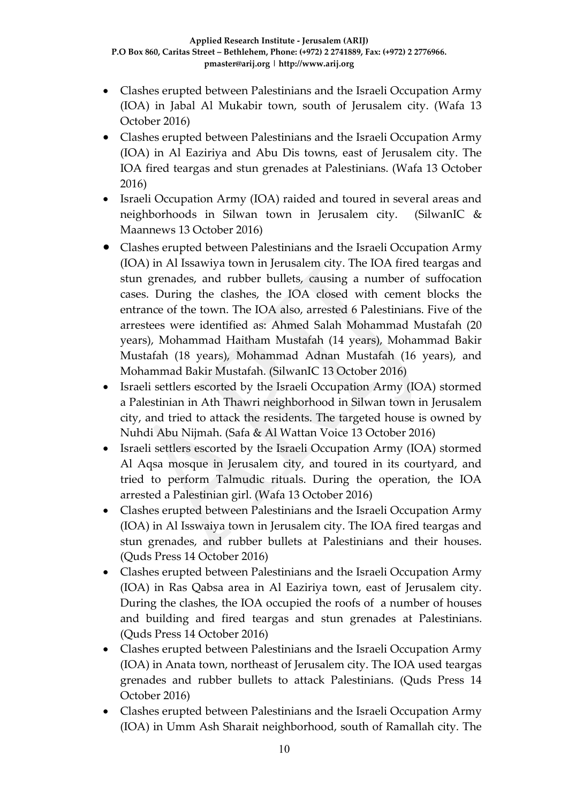- Clashes erupted between Palestinians and the Israeli Occupation Army (IOA) in Jabal Al Mukabir town, south of Jerusalem city. (Wafa 13 October 2016)
- Clashes erupted between Palestinians and the Israeli Occupation Army (IOA) in Al Eaziriya and Abu Dis towns, east of Jerusalem city. The IOA fired teargas and stun grenades at Palestinians. (Wafa 13 October 2016)
- Israeli Occupation Army (IOA) raided and toured in several areas and neighborhoods in Silwan town in Jerusalem city. (SilwanIC & Maannews 13 October 2016)
- Clashes erupted between Palestinians and the Israeli Occupation Army (IOA) in Al Issawiya town in Jerusalem city. The IOA fired teargas and stun grenades, and rubber bullets, causing a number of suffocation cases. During the clashes, the IOA closed with cement blocks the entrance of the town. The IOA also, arrested 6 Palestinians. Five of the arrestees were identified as: Ahmed Salah Mohammad Mustafah (20 years), Mohammad Haitham Mustafah (14 years), Mohammad Bakir Mustafah (18 years), Mohammad Adnan Mustafah (16 years), and Mohammad Bakir Mustafah. (SilwanIC 13 October 2016)
- Israeli settlers escorted by the Israeli Occupation Army (IOA) stormed a Palestinian in Ath Thawri neighborhood in Silwan town in Jerusalem city, and tried to attack the residents. The targeted house is owned by Nuhdi Abu Nijmah. (Safa & Al Wattan Voice 13 October 2016)
- Israeli settlers escorted by the Israeli Occupation Army (IOA) stormed Al Aqsa mosque in Jerusalem city, and toured in its courtyard, and tried to perform Talmudic rituals. During the operation, the IOA arrested a Palestinian girl. (Wafa 13 October 2016)
- Clashes erupted between Palestinians and the Israeli Occupation Army (IOA) in Al Isswaiya town in Jerusalem city. The IOA fired teargas and stun grenades, and rubber bullets at Palestinians and their houses. (Quds Press 14 October 2016)
- Clashes erupted between Palestinians and the Israeli Occupation Army (IOA) in Ras Qabsa area in Al Eaziriya town, east of Jerusalem city. During the clashes, the IOA occupied the roofs of a number of houses and building and fired teargas and stun grenades at Palestinians. (Quds Press 14 October 2016)
- Clashes erupted between Palestinians and the Israeli Occupation Army (IOA) in Anata town, northeast of Jerusalem city. The IOA used teargas grenades and rubber bullets to attack Palestinians. (Quds Press 14 October 2016)
- Clashes erupted between Palestinians and the Israeli Occupation Army (IOA) in Umm Ash Sharait neighborhood, south of Ramallah city. The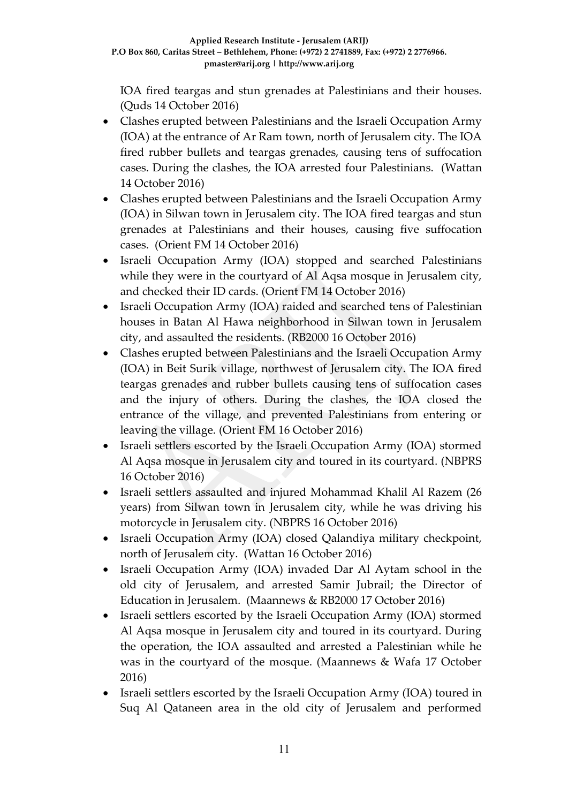IOA fired teargas and stun grenades at Palestinians and their houses. (Quds 14 October 2016)

- Clashes erupted between Palestinians and the Israeli Occupation Army (IOA) at the entrance of Ar Ram town, north of Jerusalem city. The IOA fired rubber bullets and teargas grenades, causing tens of suffocation cases. During the clashes, the IOA arrested four Palestinians. (Wattan 14 October 2016)
- Clashes erupted between Palestinians and the Israeli Occupation Army (IOA) in Silwan town in Jerusalem city. The IOA fired teargas and stun grenades at Palestinians and their houses, causing five suffocation cases. (Orient FM 14 October 2016)
- Israeli Occupation Army (IOA) stopped and searched Palestinians while they were in the courtyard of Al Aqsa mosque in Jerusalem city, and checked their ID cards. (Orient FM 14 October 2016)
- Israeli Occupation Army (IOA) raided and searched tens of Palestinian houses in Batan Al Hawa neighborhood in Silwan town in Jerusalem city, and assaulted the residents. (RB2000 16 October 2016)
- Clashes erupted between Palestinians and the Israeli Occupation Army (IOA) in Beit Surik village, northwest of Jerusalem city. The IOA fired teargas grenades and rubber bullets causing tens of suffocation cases and the injury of others. During the clashes, the IOA closed the entrance of the village, and prevented Palestinians from entering or leaving the village. (Orient FM 16 October 2016)
- Israeli settlers escorted by the Israeli Occupation Army (IOA) stormed Al Aqsa mosque in Jerusalem city and toured in its courtyard. (NBPRS 16 October 2016)
- Israeli settlers assaulted and injured Mohammad Khalil Al Razem (26 years) from Silwan town in Jerusalem city, while he was driving his motorcycle in Jerusalem city. (NBPRS 16 October 2016)
- Israeli Occupation Army (IOA) closed Qalandiya military checkpoint, north of Jerusalem city. (Wattan 16 October 2016)
- Israeli Occupation Army (IOA) invaded Dar Al Aytam school in the old city of Jerusalem, and arrested Samir Jubrail; the Director of Education in Jerusalem. (Maannews & RB2000 17 October 2016)
- Israeli settlers escorted by the Israeli Occupation Army (IOA) stormed Al Aqsa mosque in Jerusalem city and toured in its courtyard. During the operation, the IOA assaulted and arrested a Palestinian while he was in the courtyard of the mosque. (Maannews & Wafa 17 October 2016)
- Israeli settlers escorted by the Israeli Occupation Army (IOA) toured in Suq Al Qataneen area in the old city of Jerusalem and performed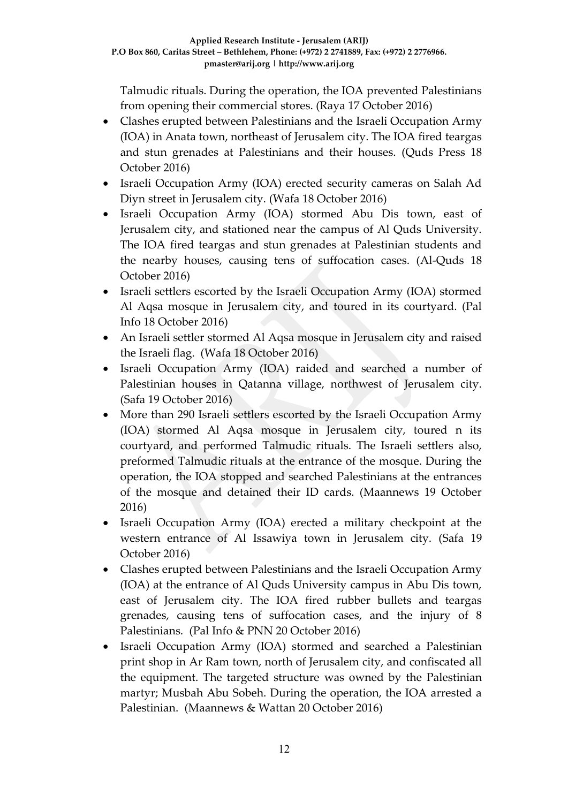Talmudic rituals. During the operation, the IOA prevented Palestinians from opening their commercial stores. (Raya 17 October 2016)

- Clashes erupted between Palestinians and the Israeli Occupation Army (IOA) in Anata town, northeast of Jerusalem city. The IOA fired teargas and stun grenades at Palestinians and their houses. (Quds Press 18 October 2016)
- Israeli Occupation Army (IOA) erected security cameras on Salah Ad Diyn street in Jerusalem city. (Wafa 18 October 2016)
- Israeli Occupation Army (IOA) stormed Abu Dis town, east of Jerusalem city, and stationed near the campus of Al Quds University. The IOA fired teargas and stun grenades at Palestinian students and the nearby houses, causing tens of suffocation cases. (Al-Quds 18 October 2016)
- Israeli settlers escorted by the Israeli Occupation Army (IOA) stormed Al Aqsa mosque in Jerusalem city, and toured in its courtyard. (Pal Info 18 October 2016)
- An Israeli settler stormed Al Aqsa mosque in Jerusalem city and raised the Israeli flag. (Wafa 18 October 2016)
- Israeli Occupation Army (IOA) raided and searched a number of Palestinian houses in Qatanna village, northwest of Jerusalem city. (Safa 19 October 2016)
- More than 290 Israeli settlers escorted by the Israeli Occupation Army (IOA) stormed Al Aqsa mosque in Jerusalem city, toured n its courtyard, and performed Talmudic rituals. The Israeli settlers also, preformed Talmudic rituals at the entrance of the mosque. During the operation, the IOA stopped and searched Palestinians at the entrances of the mosque and detained their ID cards. (Maannews 19 October 2016)
- Israeli Occupation Army (IOA) erected a military checkpoint at the western entrance of Al Issawiya town in Jerusalem city. (Safa 19 October 2016)
- Clashes erupted between Palestinians and the Israeli Occupation Army (IOA) at the entrance of Al Quds University campus in Abu Dis town, east of Jerusalem city. The IOA fired rubber bullets and teargas grenades, causing tens of suffocation cases, and the injury of 8 Palestinians. (Pal Info & PNN 20 October 2016)
- Israeli Occupation Army (IOA) stormed and searched a Palestinian print shop in Ar Ram town, north of Jerusalem city, and confiscated all the equipment. The targeted structure was owned by the Palestinian martyr; Musbah Abu Sobeh. During the operation, the IOA arrested a Palestinian. (Maannews & Wattan 20 October 2016)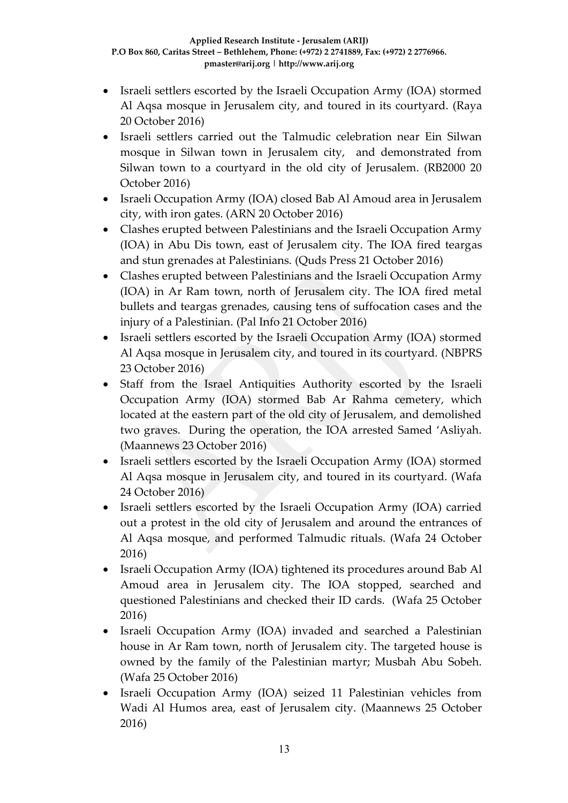- Israeli settlers escorted by the Israeli Occupation Army (IOA) stormed Al Aqsa mosque in Jerusalem city, and toured in its courtyard. (Raya 20 October 2016)
- Israeli settlers carried out the Talmudic celebration near Ein Silwan mosque in Silwan town in Jerusalem city, and demonstrated from Silwan town to a courtyard in the old city of Jerusalem. (RB2000 20 October 2016)
- Israeli Occupation Army (IOA) closed Bab Al Amoud area in Jerusalem city, with iron gates. (ARN 20 October 2016)
- Clashes erupted between Palestinians and the Israeli Occupation Army (IOA) in Abu Dis town, east of Jerusalem city. The IOA fired teargas and stun grenades at Palestinians. (Quds Press 21 October 2016)
- Clashes erupted between Palestinians and the Israeli Occupation Army (IOA) in Ar Ram town, north of Jerusalem city. The IOA fired metal bullets and teargas grenades, causing tens of suffocation cases and the injury of a Palestinian. (Pal Info 21 October 2016)
- Israeli settlers escorted by the Israeli Occupation Army (IOA) stormed Al Aqsa mosque in Jerusalem city, and toured in its courtyard. (NBPRS 23 October 2016)
- Staff from the Israel Antiquities Authority escorted by the Israeli Occupation Army (IOA) stormed Bab Ar Rahma cemetery, which located at the eastern part of the old city of Jerusalem, and demolished two graves. During the operation, the IOA arrested Samed 'Asliyah. (Maannews 23 October 2016)
- Israeli settlers escorted by the Israeli Occupation Army (IOA) stormed Al Aqsa mosque in Jerusalem city, and toured in its courtyard. (Wafa 24 October 2016)
- Israeli settlers escorted by the Israeli Occupation Army (IOA) carried out a protest in the old city of Jerusalem and around the entrances of Al Aqsa mosque, and performed Talmudic rituals. (Wafa 24 October 2016)
- Israeli Occupation Army (IOA) tightened its procedures around Bab Al Amoud area in Jerusalem city. The IOA stopped, searched and questioned Palestinians and checked their ID cards. (Wafa 25 October 2016)
- Israeli Occupation Army (IOA) invaded and searched a Palestinian house in Ar Ram town, north of Jerusalem city. The targeted house is owned by the family of the Palestinian martyr; Musbah Abu Sobeh. (Wafa 25 October 2016)
- Israeli Occupation Army (IOA) seized 11 Palestinian vehicles from Wadi Al Humos area, east of Jerusalem city. (Maannews 25 October 2016)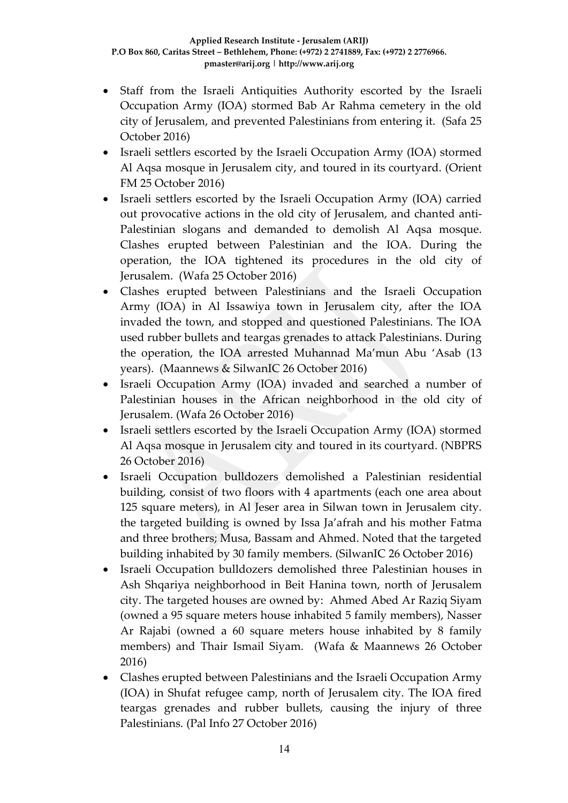- Staff from the Israeli Antiquities Authority escorted by the Israeli Occupation Army (IOA) stormed Bab Ar Rahma cemetery in the old city of Jerusalem, and prevented Palestinians from entering it. (Safa 25 October 2016)
- Israeli settlers escorted by the Israeli Occupation Army (IOA) stormed Al Aqsa mosque in Jerusalem city, and toured in its courtyard. (Orient FM 25 October 2016)
- Israeli settlers escorted by the Israeli Occupation Army (IOA) carried out provocative actions in the old city of Jerusalem, and chanted anti-Palestinian slogans and demanded to demolish Al Aqsa mosque. Clashes erupted between Palestinian and the IOA. During the operation, the IOA tightened its procedures in the old city of Jerusalem. (Wafa 25 October 2016)
- Clashes erupted between Palestinians and the Israeli Occupation Army (IOA) in Al Issawiya town in Jerusalem city, after the IOA invaded the town, and stopped and questioned Palestinians. The IOA used rubber bullets and teargas grenades to attack Palestinians. During the operation, the IOA arrested Muhannad Ma'mun Abu 'Asab (13 years). (Maannews & SilwanIC 26 October 2016)
- Israeli Occupation Army (IOA) invaded and searched a number of Palestinian houses in the African neighborhood in the old city of Jerusalem. (Wafa 26 October 2016)
- Israeli settlers escorted by the Israeli Occupation Army (IOA) stormed Al Aqsa mosque in Jerusalem city and toured in its courtyard. (NBPRS 26 October 2016)
- Israeli Occupation bulldozers demolished a Palestinian residential building, consist of two floors with 4 apartments (each one area about 125 square meters), in Al Jeser area in Silwan town in Jerusalem city. the targeted building is owned by Issa Ja'afrah and his mother Fatma and three brothers; Musa, Bassam and Ahmed. Noted that the targeted building inhabited by 30 family members. (SilwanIC 26 October 2016)
- Israeli Occupation bulldozers demolished three Palestinian houses in Ash Shqariya neighborhood in Beit Hanina town, north of Jerusalem city. The targeted houses are owned by: Ahmed Abed Ar Raziq Siyam (owned a 95 square meters house inhabited 5 family members), Nasser Ar Rajabi (owned a 60 square meters house inhabited by 8 family members) and Thair Ismail Siyam. (Wafa & Maannews 26 October 2016)
- Clashes erupted between Palestinians and the Israeli Occupation Army (IOA) in Shufat refugee camp, north of Jerusalem city. The IOA fired teargas grenades and rubber bullets, causing the injury of three Palestinians. (Pal Info 27 October 2016)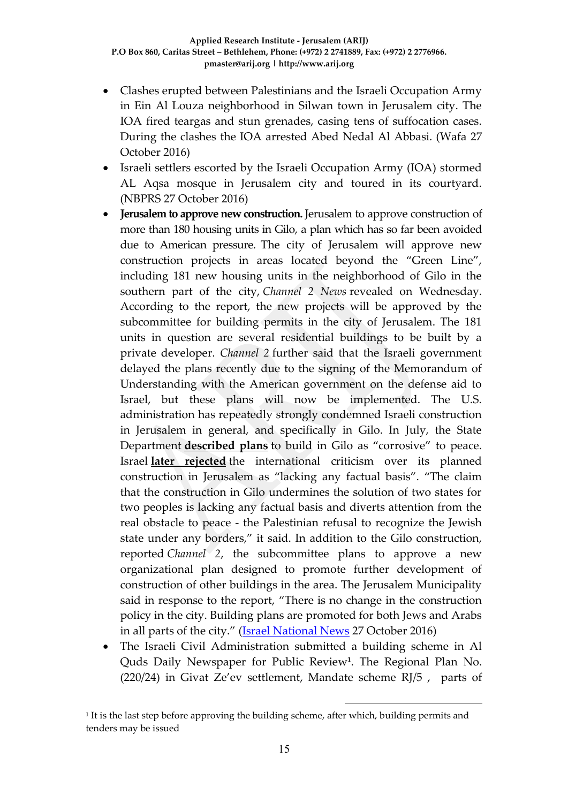- Clashes erupted between Palestinians and the Israeli Occupation Army in Ein Al Louza neighborhood in Silwan town in Jerusalem city. The IOA fired teargas and stun grenades, casing tens of suffocation cases. During the clashes the IOA arrested Abed Nedal Al Abbasi. (Wafa 27 October 2016)
- Israeli settlers escorted by the Israeli Occupation Army (IOA) stormed AL Aqsa mosque in Jerusalem city and toured in its courtyard. (NBPRS 27 October 2016)
- **Jerusalem to approve new construction.** Jerusalem to approve construction of more than 180 housing units in Gilo, a plan which has so far been avoided due to American pressure. The city of Jerusalem will approve new construction projects in areas located beyond the "Green Line", including 181 new housing units in the neighborhood of Gilo in the southern part of the city, *Channel 2 News* revealed on Wednesday. According to the report, the new projects will be approved by the subcommittee for building permits in the city of Jerusalem. The 181 units in question are several residential buildings to be built by a private developer. *Channel 2* further said that the Israeli government delayed the plans recently due to the signing of the Memorandum of Understanding with the American government on the defense aid to Israel, but these plans will now be implemented. The U.S. administration has repeatedly strongly condemned Israeli construction in Jerusalem in general, and specifically in Gilo. In July, the State Department **[described plans](http://www.israelnationalnews.com/News/News.aspx/215638)** to build in Gilo as "corrosive" to peace. Israel **[later rejected](http://www.israelnationalnews.com/News/News.aspx/215727)** the international criticism over its planned construction in Jerusalem as "lacking any factual basis". "The claim that the construction in Gilo undermines the solution of two states for two peoples is lacking any factual basis and diverts attention from the real obstacle to peace - the Palestinian refusal to recognize the Jewish state under any borders," it said. In addition to the Gilo construction, reported *Channel 2*, the subcommittee plans to approve a new organizational plan designed to promote further development of construction of other buildings in the area. The Jerusalem Municipality said in response to the report, "There is no change in the construction policy in the city. Building plans are promoted for both Jews and Arabs in all parts of the city." [\(Israel National News](http://www.israelnationalnews.com/News/News.aspx/219401) 27 October 2016)
- The Israeli Civil Administration submitted a building scheme in Al Quds Daily Newspaper for Public Review**<sup>1</sup>** . The Regional Plan No. (220/24) in Givat Ze'ev settlement, Mandate scheme RJ/5 , parts of

1

<sup>1</sup> It is the last step before approving the building scheme, after which, building permits and tenders may be issued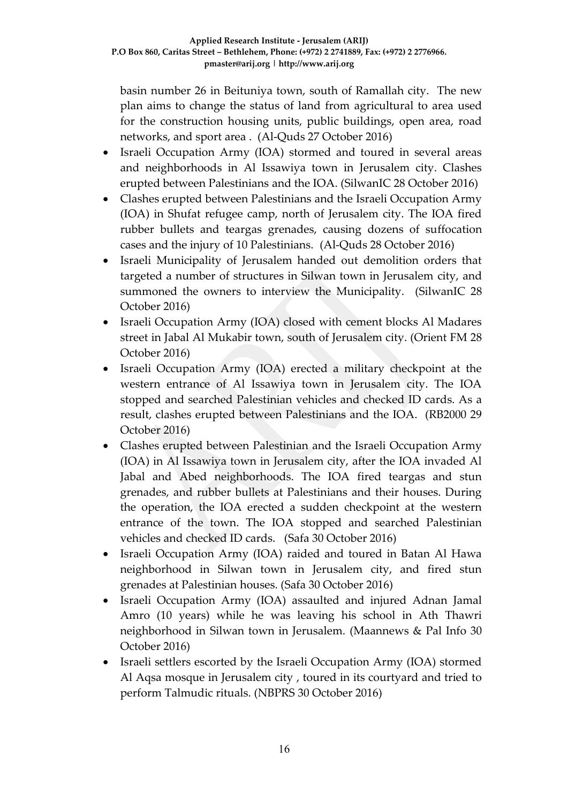basin number 26 in Beituniya town, south of Ramallah city. The new plan aims to change the status of land from agricultural to area used for the construction housing units, public buildings, open area, road networks, and sport area . (Al-Quds 27 October 2016)

- Israeli Occupation Army (IOA) stormed and toured in several areas and neighborhoods in Al Issawiya town in Jerusalem city. Clashes erupted between Palestinians and the IOA. (SilwanIC 28 October 2016)
- Clashes erupted between Palestinians and the Israeli Occupation Army (IOA) in Shufat refugee camp, north of Jerusalem city. The IOA fired rubber bullets and teargas grenades, causing dozens of suffocation cases and the injury of 10 Palestinians. (Al-Quds 28 October 2016)
- Israeli Municipality of Jerusalem handed out demolition orders that targeted a number of structures in Silwan town in Jerusalem city, and summoned the owners to interview the Municipality. (SilwanIC 28 October 2016)
- Israeli Occupation Army (IOA) closed with cement blocks Al Madares street in Jabal Al Mukabir town, south of Jerusalem city. (Orient FM 28 October 2016)
- Israeli Occupation Army (IOA) erected a military checkpoint at the western entrance of Al Issawiya town in Jerusalem city. The IOA stopped and searched Palestinian vehicles and checked ID cards. As a result, clashes erupted between Palestinians and the IOA. (RB2000 29 October 2016)
- Clashes erupted between Palestinian and the Israeli Occupation Army (IOA) in Al Issawiya town in Jerusalem city, after the IOA invaded Al Jabal and Abed neighborhoods. The IOA fired teargas and stun grenades, and rubber bullets at Palestinians and their houses. During the operation, the IOA erected a sudden checkpoint at the western entrance of the town. The IOA stopped and searched Palestinian vehicles and checked ID cards. (Safa 30 October 2016)
- Israeli Occupation Army (IOA) raided and toured in Batan Al Hawa neighborhood in Silwan town in Jerusalem city, and fired stun grenades at Palestinian houses. (Safa 30 October 2016)
- Israeli Occupation Army (IOA) assaulted and injured Adnan Jamal Amro (10 years) while he was leaving his school in Ath Thawri neighborhood in Silwan town in Jerusalem. (Maannews & Pal Info 30 October 2016)
- Israeli settlers escorted by the Israeli Occupation Army (IOA) stormed Al Aqsa mosque in Jerusalem city , toured in its courtyard and tried to perform Talmudic rituals. (NBPRS 30 October 2016)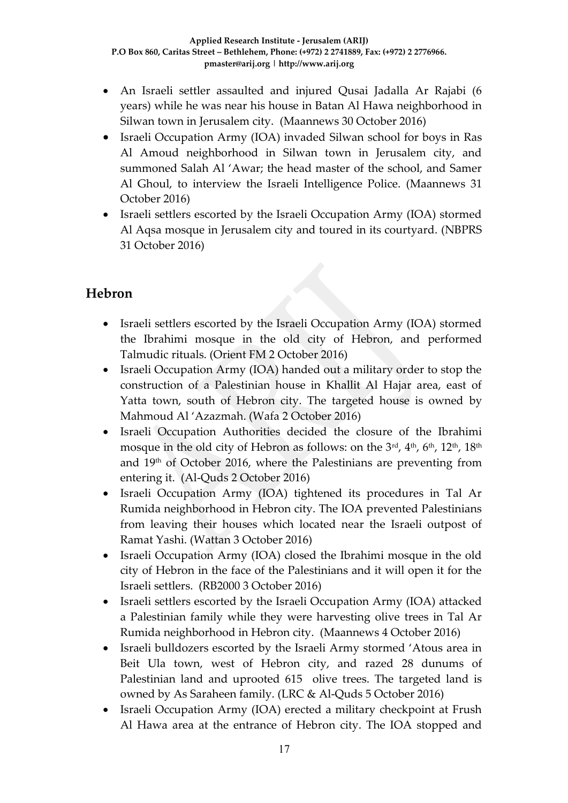- An Israeli settler assaulted and injured Qusai Jadalla Ar Rajabi (6 years) while he was near his house in Batan Al Hawa neighborhood in Silwan town in Jerusalem city. (Maannews 30 October 2016)
- Israeli Occupation Army (IOA) invaded Silwan school for boys in Ras Al Amoud neighborhood in Silwan town in Jerusalem city, and summoned Salah Al 'Awar; the head master of the school, and Samer Al Ghoul, to interview the Israeli Intelligence Police. (Maannews 31 October 2016)
- Israeli settlers escorted by the Israeli Occupation Army (IOA) stormed Al Aqsa mosque in Jerusalem city and toured in its courtyard. (NBPRS 31 October 2016)

# **Hebron**

- Israeli settlers escorted by the Israeli Occupation Army (IOA) stormed the Ibrahimi mosque in the old city of Hebron, and performed Talmudic rituals. (Orient FM 2 October 2016)
- Israeli Occupation Army (IOA) handed out a military order to stop the construction of a Palestinian house in Khallit Al Hajar area, east of Yatta town, south of Hebron city. The targeted house is owned by Mahmoud Al 'Azazmah. (Wafa 2 October 2016)
- Israeli Occupation Authorities decided the closure of the Ibrahimi mosque in the old city of Hebron as follows: on the 3<sup>rd</sup>, 4<sup>th</sup>, 6<sup>th</sup>, 12<sup>th</sup>, 18<sup>th</sup> and 19th of October 2016, where the Palestinians are preventing from entering it. (Al-Quds 2 October 2016)
- Israeli Occupation Army (IOA) tightened its procedures in Tal Ar Rumida neighborhood in Hebron city. The IOA prevented Palestinians from leaving their houses which located near the Israeli outpost of Ramat Yashi. (Wattan 3 October 2016)
- Israeli Occupation Army (IOA) closed the Ibrahimi mosque in the old city of Hebron in the face of the Palestinians and it will open it for the Israeli settlers. (RB2000 3 October 2016)
- Israeli settlers escorted by the Israeli Occupation Army (IOA) attacked a Palestinian family while they were harvesting olive trees in Tal Ar Rumida neighborhood in Hebron city. (Maannews 4 October 2016)
- Israeli bulldozers escorted by the Israeli Army stormed 'Atous area in Beit Ula town, west of Hebron city, and razed 28 dunums of Palestinian land and uprooted 615 olive trees. The targeted land is owned by As Saraheen family. (LRC & Al-Quds 5 October 2016)
- Israeli Occupation Army (IOA) erected a military checkpoint at Frush Al Hawa area at the entrance of Hebron city. The IOA stopped and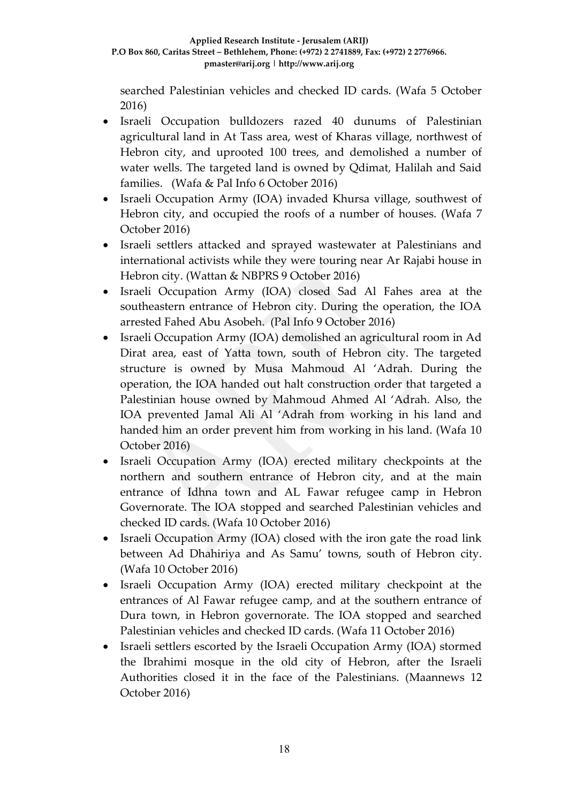searched Palestinian vehicles and checked ID cards. (Wafa 5 October 2016)

- Israeli Occupation bulldozers razed 40 dunums of Palestinian agricultural land in At Tass area, west of Kharas village, northwest of Hebron city, and uprooted 100 trees, and demolished a number of water wells. The targeted land is owned by Qdimat, Halilah and Said families. (Wafa & Pal Info 6 October 2016)
- Israeli Occupation Army (IOA) invaded Khursa village, southwest of Hebron city, and occupied the roofs of a number of houses. (Wafa 7 October 2016)
- Israeli settlers attacked and sprayed wastewater at Palestinians and international activists while they were touring near Ar Rajabi house in Hebron city. (Wattan & NBPRS 9 October 2016)
- Israeli Occupation Army (IOA) closed Sad Al Fahes area at the southeastern entrance of Hebron city. During the operation, the IOA arrested Fahed Abu Asobeh. (Pal Info 9 October 2016)
- Israeli Occupation Army (IOA) demolished an agricultural room in Ad Dirat area, east of Yatta town, south of Hebron city. The targeted structure is owned by Musa Mahmoud Al 'Adrah. During the operation, the IOA handed out halt construction order that targeted a Palestinian house owned by Mahmoud Ahmed Al 'Adrah. Also, the IOA prevented Jamal Ali Al 'Adrah from working in his land and handed him an order prevent him from working in his land. (Wafa 10 October 2016)
- Israeli Occupation Army (IOA) erected military checkpoints at the northern and southern entrance of Hebron city, and at the main entrance of Idhna town and AL Fawar refugee camp in Hebron Governorate. The IOA stopped and searched Palestinian vehicles and checked ID cards. (Wafa 10 October 2016)
- Israeli Occupation Army (IOA) closed with the iron gate the road link between Ad Dhahiriya and As Samu' towns, south of Hebron city. (Wafa 10 October 2016)
- Israeli Occupation Army (IOA) erected military checkpoint at the entrances of Al Fawar refugee camp, and at the southern entrance of Dura town, in Hebron governorate. The IOA stopped and searched Palestinian vehicles and checked ID cards. (Wafa 11 October 2016)
- Israeli settlers escorted by the Israeli Occupation Army (IOA) stormed the Ibrahimi mosque in the old city of Hebron, after the Israeli Authorities closed it in the face of the Palestinians. (Maannews 12 October 2016)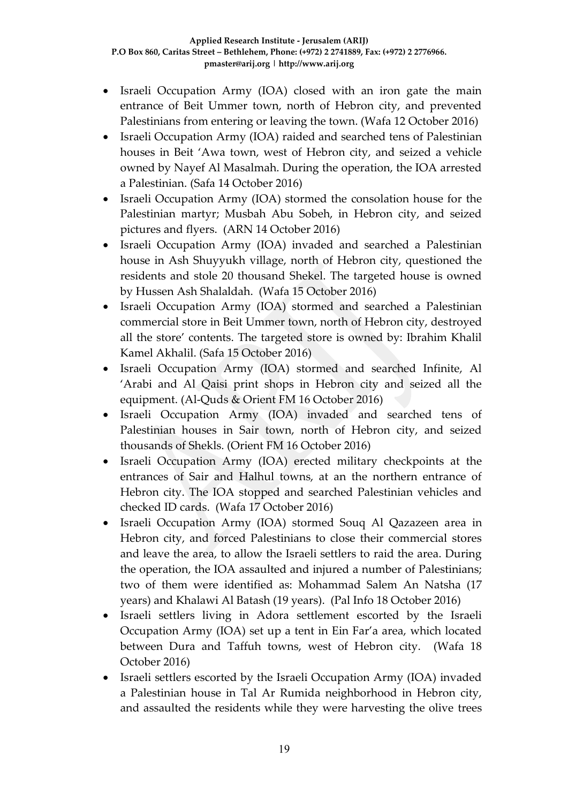- Israeli Occupation Army (IOA) closed with an iron gate the main entrance of Beit Ummer town, north of Hebron city, and prevented Palestinians from entering or leaving the town. (Wafa 12 October 2016)
- Israeli Occupation Army (IOA) raided and searched tens of Palestinian houses in Beit 'Awa town, west of Hebron city, and seized a vehicle owned by Nayef Al Masalmah. During the operation, the IOA arrested a Palestinian. (Safa 14 October 2016)
- Israeli Occupation Army (IOA) stormed the consolation house for the Palestinian martyr; Musbah Abu Sobeh, in Hebron city, and seized pictures and flyers. (ARN 14 October 2016)
- Israeli Occupation Army (IOA) invaded and searched a Palestinian house in Ash Shuyyukh village, north of Hebron city, questioned the residents and stole 20 thousand Shekel. The targeted house is owned by Hussen Ash Shalaldah. (Wafa 15 October 2016)
- Israeli Occupation Army (IOA) stormed and searched a Palestinian commercial store in Beit Ummer town, north of Hebron city, destroyed all the store' contents. The targeted store is owned by: Ibrahim Khalil Kamel Akhalil. (Safa 15 October 2016)
- Israeli Occupation Army (IOA) stormed and searched Infinite, Al 'Arabi and Al Qaisi print shops in Hebron city and seized all the equipment. (Al-Quds & Orient FM 16 October 2016)
- Israeli Occupation Army (IOA) invaded and searched tens of Palestinian houses in Sair town, north of Hebron city, and seized thousands of Shekls. (Orient FM 16 October 2016)
- Israeli Occupation Army (IOA) erected military checkpoints at the entrances of Sair and Halhul towns, at an the northern entrance of Hebron city. The IOA stopped and searched Palestinian vehicles and checked ID cards. (Wafa 17 October 2016)
- Israeli Occupation Army (IOA) stormed Souq Al Qazazeen area in Hebron city, and forced Palestinians to close their commercial stores and leave the area, to allow the Israeli settlers to raid the area. During the operation, the IOA assaulted and injured a number of Palestinians; two of them were identified as: Mohammad Salem An Natsha (17 years) and Khalawi Al Batash (19 years). (Pal Info 18 October 2016)
- Israeli settlers living in Adora settlement escorted by the Israeli Occupation Army (IOA) set up a tent in Ein Far'a area, which located between Dura and Taffuh towns, west of Hebron city. (Wafa 18 October 2016)
- Israeli settlers escorted by the Israeli Occupation Army (IOA) invaded a Palestinian house in Tal Ar Rumida neighborhood in Hebron city, and assaulted the residents while they were harvesting the olive trees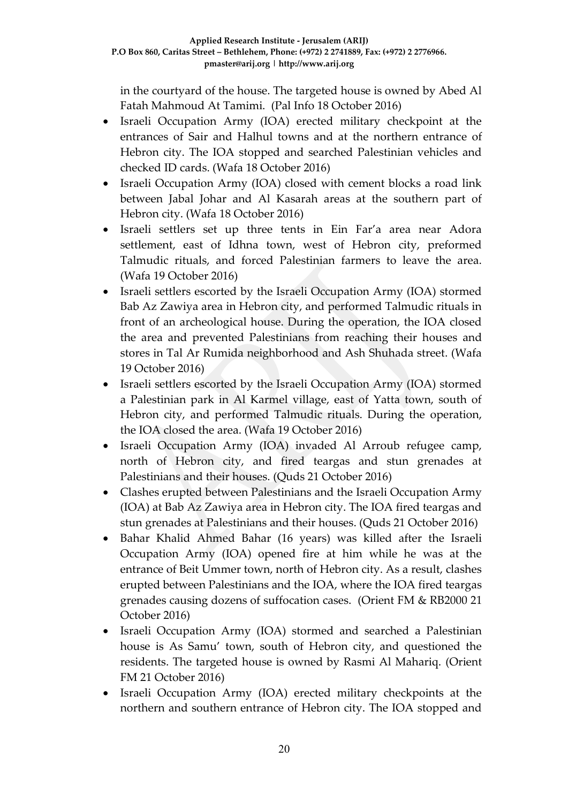in the courtyard of the house. The targeted house is owned by Abed Al Fatah Mahmoud At Tamimi. (Pal Info 18 October 2016)

- Israeli Occupation Army (IOA) erected military checkpoint at the entrances of Sair and Halhul towns and at the northern entrance of Hebron city. The IOA stopped and searched Palestinian vehicles and checked ID cards. (Wafa 18 October 2016)
- Israeli Occupation Army (IOA) closed with cement blocks a road link between Jabal Johar and Al Kasarah areas at the southern part of Hebron city. (Wafa 18 October 2016)
- Israeli settlers set up three tents in Ein Far'a area near Adora settlement, east of Idhna town, west of Hebron city, preformed Talmudic rituals, and forced Palestinian farmers to leave the area. (Wafa 19 October 2016)
- Israeli settlers escorted by the Israeli Occupation Army (IOA) stormed Bab Az Zawiya area in Hebron city, and performed Talmudic rituals in front of an archeological house. During the operation, the IOA closed the area and prevented Palestinians from reaching their houses and stores in Tal Ar Rumida neighborhood and Ash Shuhada street. (Wafa 19 October 2016)
- Israeli settlers escorted by the Israeli Occupation Army (IOA) stormed a Palestinian park in Al Karmel village, east of Yatta town, south of Hebron city, and performed Talmudic rituals. During the operation, the IOA closed the area. (Wafa 19 October 2016)
- Israeli Occupation Army (IOA) invaded Al Arroub refugee camp, north of Hebron city, and fired teargas and stun grenades at Palestinians and their houses. (Quds 21 October 2016)
- Clashes erupted between Palestinians and the Israeli Occupation Army (IOA) at Bab Az Zawiya area in Hebron city. The IOA fired teargas and stun grenades at Palestinians and their houses. (Quds 21 October 2016)
- Bahar Khalid Ahmed Bahar (16 years) was killed after the Israeli Occupation Army (IOA) opened fire at him while he was at the entrance of Beit Ummer town, north of Hebron city. As a result, clashes erupted between Palestinians and the IOA, where the IOA fired teargas grenades causing dozens of suffocation cases. (Orient FM & RB2000 21 October 2016)
- Israeli Occupation Army (IOA) stormed and searched a Palestinian house is As Samu' town, south of Hebron city, and questioned the residents. The targeted house is owned by Rasmi Al Mahariq. (Orient FM 21 October 2016)
- Israeli Occupation Army (IOA) erected military checkpoints at the northern and southern entrance of Hebron city. The IOA stopped and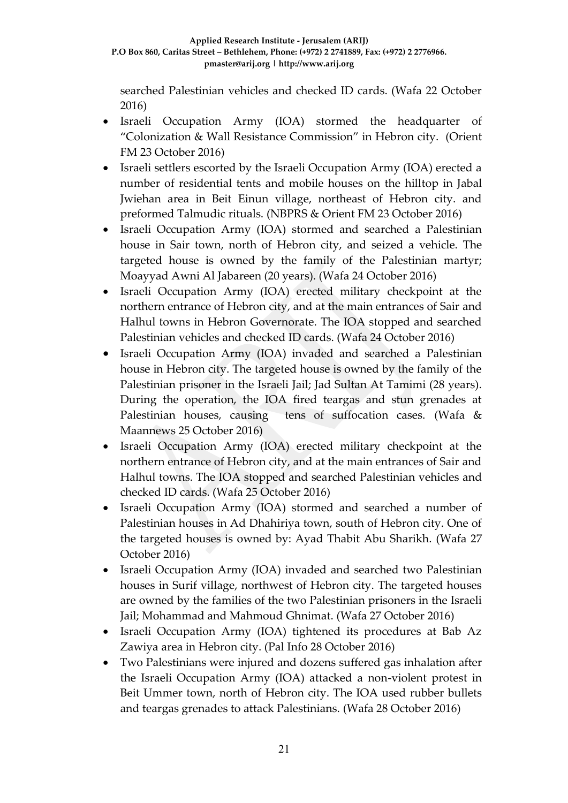searched Palestinian vehicles and checked ID cards. (Wafa 22 October 2016)

- Israeli Occupation Army (IOA) stormed the headquarter of "Colonization & Wall Resistance Commission" in Hebron city. (Orient FM 23 October 2016)
- Israeli settlers escorted by the Israeli Occupation Army (IOA) erected a number of residential tents and mobile houses on the hilltop in Jabal Jwiehan area in Beit Einun village, northeast of Hebron city. and preformed Talmudic rituals. (NBPRS & Orient FM 23 October 2016)
- Israeli Occupation Army (IOA) stormed and searched a Palestinian house in Sair town, north of Hebron city, and seized a vehicle. The targeted house is owned by the family of the Palestinian martyr; Moayyad Awni Al Jabareen (20 years). (Wafa 24 October 2016)
- Israeli Occupation Army (IOA) erected military checkpoint at the northern entrance of Hebron city, and at the main entrances of Sair and Halhul towns in Hebron Governorate. The IOA stopped and searched Palestinian vehicles and checked ID cards. (Wafa 24 October 2016)
- Israeli Occupation Army (IOA) invaded and searched a Palestinian house in Hebron city. The targeted house is owned by the family of the Palestinian prisoner in the Israeli Jail; Jad Sultan At Tamimi (28 years). During the operation, the IOA fired teargas and stun grenades at Palestinian houses, causing tens of suffocation cases. (Wafa & Maannews 25 October 2016)
- Israeli Occupation Army (IOA) erected military checkpoint at the northern entrance of Hebron city, and at the main entrances of Sair and Halhul towns. The IOA stopped and searched Palestinian vehicles and checked ID cards. (Wafa 25 October 2016)
- Israeli Occupation Army (IOA) stormed and searched a number of Palestinian houses in Ad Dhahiriya town, south of Hebron city. One of the targeted houses is owned by: Ayad Thabit Abu Sharikh. (Wafa 27 October 2016)
- Israeli Occupation Army (IOA) invaded and searched two Palestinian houses in Surif village, northwest of Hebron city. The targeted houses are owned by the families of the two Palestinian prisoners in the Israeli Jail; Mohammad and Mahmoud Ghnimat. (Wafa 27 October 2016)
- Israeli Occupation Army (IOA) tightened its procedures at Bab Az Zawiya area in Hebron city. (Pal Info 28 October 2016)
- Two Palestinians were injured and dozens suffered gas inhalation after the Israeli Occupation Army (IOA) attacked a non-violent protest in Beit Ummer town, north of Hebron city. The IOA used rubber bullets and teargas grenades to attack Palestinians. (Wafa 28 October 2016)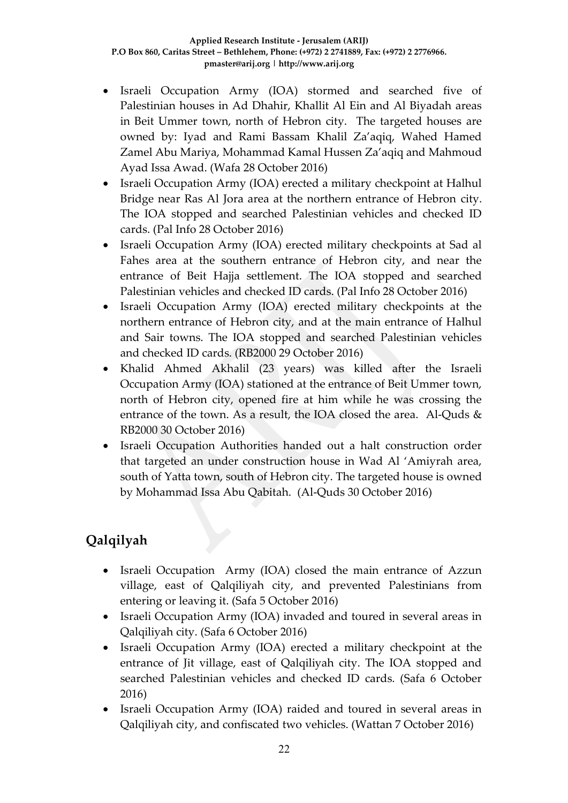- Israeli Occupation Army (IOA) stormed and searched five of Palestinian houses in Ad Dhahir, Khallit Al Ein and Al Biyadah areas in Beit Ummer town, north of Hebron city. The targeted houses are owned by: Iyad and Rami Bassam Khalil Za'aqiq, Wahed Hamed Zamel Abu Mariya, Mohammad Kamal Hussen Za'aqiq and Mahmoud Ayad Issa Awad. (Wafa 28 October 2016)
- Israeli Occupation Army (IOA) erected a military checkpoint at Halhul Bridge near Ras Al Jora area at the northern entrance of Hebron city. The IOA stopped and searched Palestinian vehicles and checked ID cards. (Pal Info 28 October 2016)
- Israeli Occupation Army (IOA) erected military checkpoints at Sad al Fahes area at the southern entrance of Hebron city, and near the entrance of Beit Hajja settlement. The IOA stopped and searched Palestinian vehicles and checked ID cards. (Pal Info 28 October 2016)
- Israeli Occupation Army (IOA) erected military checkpoints at the northern entrance of Hebron city, and at the main entrance of Halhul and Sair towns. The IOA stopped and searched Palestinian vehicles and checked ID cards. (RB2000 29 October 2016)
- Khalid Ahmed Akhalil (23 years) was killed after the Israeli Occupation Army (IOA) stationed at the entrance of Beit Ummer town, north of Hebron city, opened fire at him while he was crossing the entrance of the town. As a result, the IOA closed the area. Al-Quds & RB2000 30 October 2016)
- Israeli Occupation Authorities handed out a halt construction order that targeted an under construction house in Wad Al 'Amiyrah area, south of Yatta town, south of Hebron city. The targeted house is owned by Mohammad Issa Abu Qabitah. (Al-Quds 30 October 2016)

# **Qalqilyah**

- Israeli Occupation Army (IOA) closed the main entrance of Azzun village, east of Qalqiliyah city, and prevented Palestinians from entering or leaving it. (Safa 5 October 2016)
- Israeli Occupation Army (IOA) invaded and toured in several areas in Qalqiliyah city. (Safa 6 October 2016)
- Israeli Occupation Army (IOA) erected a military checkpoint at the entrance of Jit village, east of Qalqiliyah city. The IOA stopped and searched Palestinian vehicles and checked ID cards. (Safa 6 October 2016)
- Israeli Occupation Army (IOA) raided and toured in several areas in Qalqiliyah city, and confiscated two vehicles. (Wattan 7 October 2016)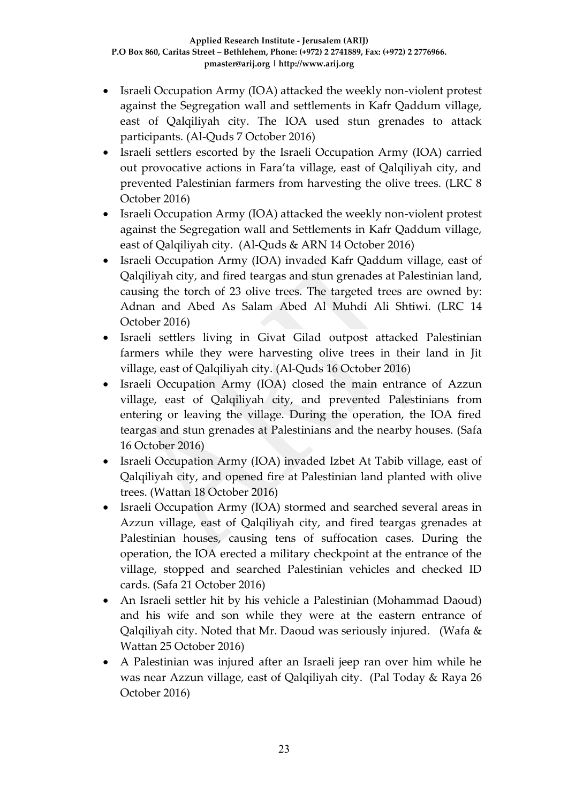- Israeli Occupation Army (IOA) attacked the weekly non-violent protest against the Segregation wall and settlements in Kafr Qaddum village, east of Qalqiliyah city. The IOA used stun grenades to attack participants. (Al-Quds 7 October 2016)
- Israeli settlers escorted by the Israeli Occupation Army (IOA) carried out provocative actions in Fara'ta village, east of Qalqiliyah city, and prevented Palestinian farmers from harvesting the olive trees. (LRC 8 October 2016)
- Israeli Occupation Army (IOA) attacked the weekly non-violent protest against the Segregation wall and Settlements in Kafr Qaddum village, east of Qalqiliyah city. (Al-Quds & ARN 14 October 2016)
- Israeli Occupation Army (IOA) invaded Kafr Qaddum village, east of Qalqiliyah city, and fired teargas and stun grenades at Palestinian land, causing the torch of 23 olive trees. The targeted trees are owned by: Adnan and Abed As Salam Abed Al Muhdi Ali Shtiwi. (LRC 14 October 2016)
- Israeli settlers living in Givat Gilad outpost attacked Palestinian farmers while they were harvesting olive trees in their land in Jit village, east of Qalqiliyah city. (Al-Quds 16 October 2016)
- Israeli Occupation Army (IOA) closed the main entrance of Azzun village, east of Qalqiliyah city, and prevented Palestinians from entering or leaving the village. During the operation, the IOA fired teargas and stun grenades at Palestinians and the nearby houses. (Safa 16 October 2016)
- Israeli Occupation Army (IOA) invaded Izbet At Tabib village, east of Qalqiliyah city, and opened fire at Palestinian land planted with olive trees. (Wattan 18 October 2016)
- Israeli Occupation Army (IOA) stormed and searched several areas in Azzun village, east of Qalqiliyah city, and fired teargas grenades at Palestinian houses, causing tens of suffocation cases. During the operation, the IOA erected a military checkpoint at the entrance of the village, stopped and searched Palestinian vehicles and checked ID cards. (Safa 21 October 2016)
- An Israeli settler hit by his vehicle a Palestinian (Mohammad Daoud) and his wife and son while they were at the eastern entrance of Qalqiliyah city. Noted that Mr. Daoud was seriously injured. (Wafa & Wattan 25 October 2016)
- A Palestinian was injured after an Israeli jeep ran over him while he was near Azzun village, east of Qalqiliyah city. (Pal Today & Raya 26 October 2016)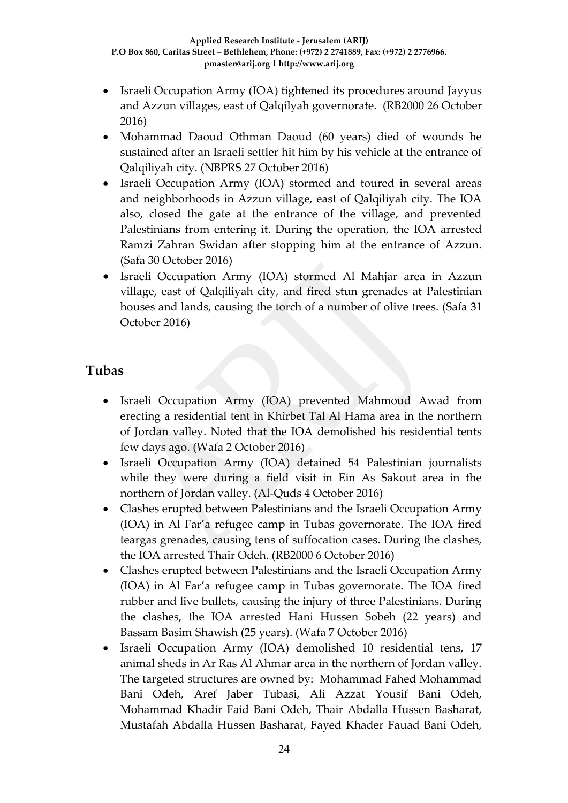- Israeli Occupation Army (IOA) tightened its procedures around Jayyus and Azzun villages, east of Qalqilyah governorate. (RB2000 26 October 2016)
- Mohammad Daoud Othman Daoud (60 years) died of wounds he sustained after an Israeli settler hit him by his vehicle at the entrance of Qalqiliyah city. (NBPRS 27 October 2016)
- Israeli Occupation Army (IOA) stormed and toured in several areas and neighborhoods in Azzun village, east of Qalqiliyah city. The IOA also, closed the gate at the entrance of the village, and prevented Palestinians from entering it. During the operation, the IOA arrested Ramzi Zahran Swidan after stopping him at the entrance of Azzun. (Safa 30 October 2016)
- Israeli Occupation Army (IOA) stormed Al Mahjar area in Azzun village, east of Qalqiliyah city, and fired stun grenades at Palestinian houses and lands, causing the torch of a number of olive trees. (Safa 31 October 2016)

### **Tubas**

- Israeli Occupation Army (IOA) prevented Mahmoud Awad from erecting a residential tent in Khirbet Tal Al Hama area in the northern of Jordan valley. Noted that the IOA demolished his residential tents few days ago. (Wafa 2 October 2016)
- Israeli Occupation Army (IOA) detained 54 Palestinian journalists while they were during a field visit in Ein As Sakout area in the northern of Jordan valley. (Al-Quds 4 October 2016)
- Clashes erupted between Palestinians and the Israeli Occupation Army (IOA) in Al Far'a refugee camp in Tubas governorate. The IOA fired teargas grenades, causing tens of suffocation cases. During the clashes, the IOA arrested Thair Odeh. (RB2000 6 October 2016)
- Clashes erupted between Palestinians and the Israeli Occupation Army (IOA) in Al Far'a refugee camp in Tubas governorate. The IOA fired rubber and live bullets, causing the injury of three Palestinians. During the clashes, the IOA arrested Hani Hussen Sobeh (22 years) and Bassam Basim Shawish (25 years). (Wafa 7 October 2016)
- Israeli Occupation Army (IOA) demolished 10 residential tens, 17 animal sheds in Ar Ras Al Ahmar area in the northern of Jordan valley. The targeted structures are owned by: Mohammad Fahed Mohammad Bani Odeh, Aref Jaber Tubasi, Ali Azzat Yousif Bani Odeh, Mohammad Khadir Faid Bani Odeh, Thair Abdalla Hussen Basharat, Mustafah Abdalla Hussen Basharat, Fayed Khader Fauad Bani Odeh,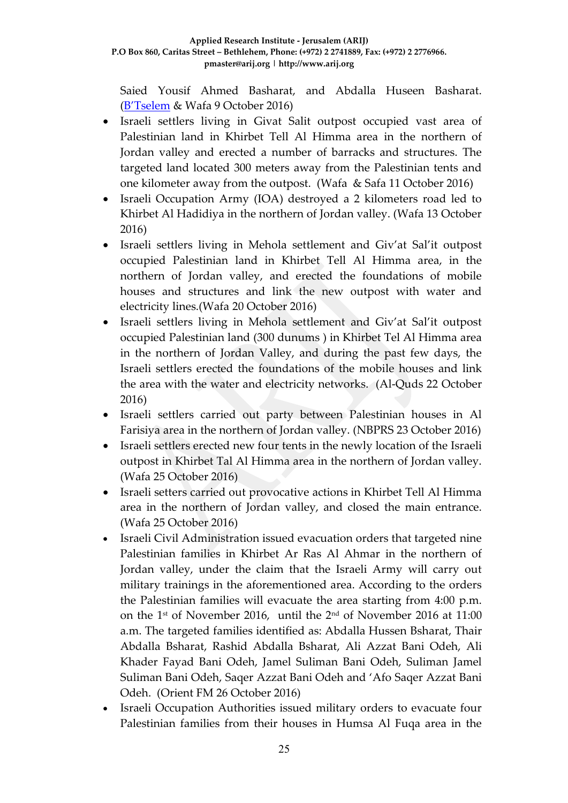Saied Yousif Ahmed Basharat, and Abdalla Huseen Basharat. ([B'Tselem](http://www.btselem.org/planning_and_building/20161009_demolitions) & Wafa 9 October 2016)

- Israeli settlers living in Givat Salit outpost occupied vast area of Palestinian land in Khirbet Tell Al Himma area in the northern of Jordan valley and erected a number of barracks and structures. The targeted land located 300 meters away from the Palestinian tents and one kilometer away from the outpost. (Wafa & Safa 11 October 2016)
- Israeli Occupation Army (IOA) destroyed a 2 kilometers road led to Khirbet Al Hadidiya in the northern of Jordan valley. (Wafa 13 October 2016)
- Israeli settlers living in Mehola settlement and Giv'at Sal'it outpost occupied Palestinian land in Khirbet Tell Al Himma area, in the northern of Jordan valley, and erected the foundations of mobile houses and structures and link the new outpost with water and electricity lines.(Wafa 20 October 2016)
- Israeli settlers living in Mehola settlement and Giv'at Sal'it outpost occupied Palestinian land (300 dunums ) in Khirbet Tel Al Himma area in the northern of Jordan Valley, and during the past few days, the Israeli settlers erected the foundations of the mobile houses and link the area with the water and electricity networks. (Al-Quds 22 October 2016)
- Israeli settlers carried out party between Palestinian houses in Al Farisiya area in the northern of Jordan valley. (NBPRS 23 October 2016)
- Israeli settlers erected new four tents in the newly location of the Israeli outpost in Khirbet Tal Al Himma area in the northern of Jordan valley. (Wafa 25 October 2016)
- Israeli setters carried out provocative actions in Khirbet Tell Al Himma area in the northern of Jordan valley, and closed the main entrance. (Wafa 25 October 2016)
- Israeli Civil Administration issued evacuation orders that targeted nine Palestinian families in Khirbet Ar Ras Al Ahmar in the northern of Jordan valley, under the claim that the Israeli Army will carry out military trainings in the aforementioned area. According to the orders the Palestinian families will evacuate the area starting from 4:00 p.m. on the 1st of November 2016, until the 2nd of November 2016 at 11:00 a.m. The targeted families identified as: Abdalla Hussen Bsharat, Thair Abdalla Bsharat, Rashid Abdalla Bsharat, Ali Azzat Bani Odeh, Ali Khader Fayad Bani Odeh, Jamel Suliman Bani Odeh, Suliman Jamel Suliman Bani Odeh, Saqer Azzat Bani Odeh and 'Afo Saqer Azzat Bani Odeh. (Orient FM 26 October 2016)
- Israeli Occupation Authorities issued military orders to evacuate four Palestinian families from their houses in Humsa Al Fuqa area in the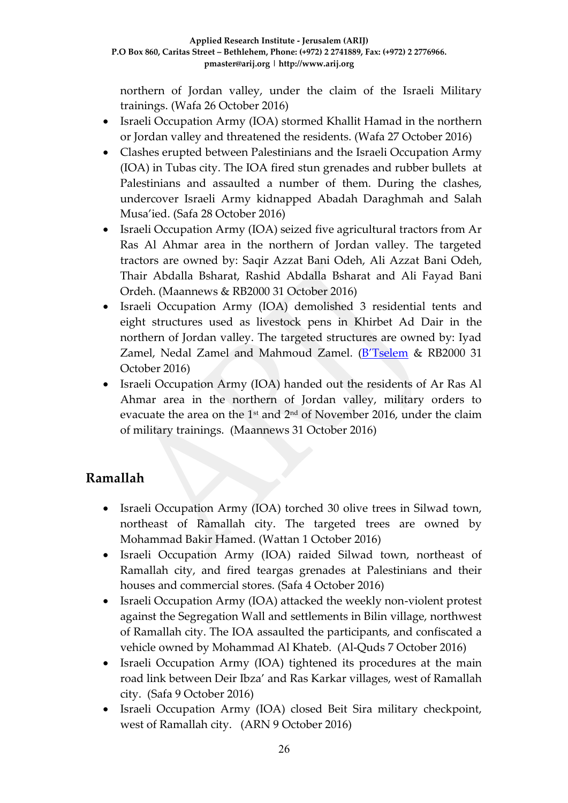northern of Jordan valley, under the claim of the Israeli Military trainings. (Wafa 26 October 2016)

- Israeli Occupation Army (IOA) stormed Khallit Hamad in the northern or Jordan valley and threatened the residents. (Wafa 27 October 2016)
- Clashes erupted between Palestinians and the Israeli Occupation Army (IOA) in Tubas city. The IOA fired stun grenades and rubber bullets at Palestinians and assaulted a number of them. During the clashes, undercover Israeli Army kidnapped Abadah Daraghmah and Salah Musa'ied. (Safa 28 October 2016)
- Israeli Occupation Army (IOA) seized five agricultural tractors from Ar Ras Al Ahmar area in the northern of Jordan valley. The targeted tractors are owned by: Saqir Azzat Bani Odeh, Ali Azzat Bani Odeh, Thair Abdalla Bsharat, Rashid Abdalla Bsharat and Ali Fayad Bani Ordeh. (Maannews & RB2000 31 October 2016)
- Israeli Occupation Army (IOA) demolished 3 residential tents and eight structures used as livestock pens in Khirbet Ad Dair in the northern of Jordan valley. The targeted structures are owned by: Iyad Zamel, Nedal Zamel and Mahmoud Zamel. (B'[Tselem](http://www.btselem.org/planning_and_building/20161031_demolition) & RB2000 31 October 2016)
- Israeli Occupation Army (IOA) handed out the residents of Ar Ras Al Ahmar area in the northern of Jordan valley, military orders to evacuate the area on the 1st and 2nd of November 2016, under the claim of military trainings. (Maannews 31 October 2016)

## **Ramallah**

- Israeli Occupation Army (IOA) torched 30 olive trees in Silwad town, northeast of Ramallah city. The targeted trees are owned by Mohammad Bakir Hamed. (Wattan 1 October 2016)
- Israeli Occupation Army (IOA) raided Silwad town, northeast of Ramallah city, and fired teargas grenades at Palestinians and their houses and commercial stores. (Safa 4 October 2016)
- Israeli Occupation Army (IOA) attacked the weekly non-violent protest against the Segregation Wall and settlements in Bilin village, northwest of Ramallah city. The IOA assaulted the participants, and confiscated a vehicle owned by Mohammad Al Khateb. (Al-Quds 7 October 2016)
- Israeli Occupation Army (IOA) tightened its procedures at the main road link between Deir Ibza' and Ras Karkar villages, west of Ramallah city. (Safa 9 October 2016)
- Israeli Occupation Army (IOA) closed Beit Sira military checkpoint, west of Ramallah city. (ARN 9 October 2016)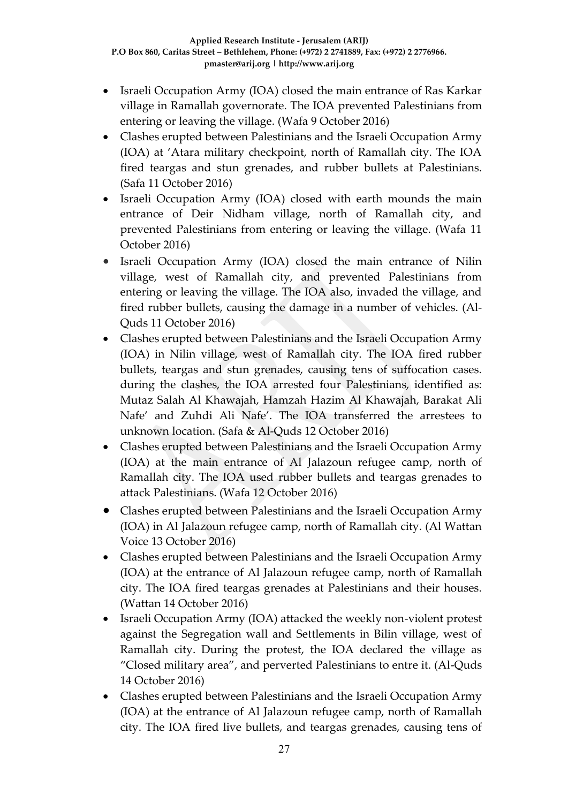- Israeli Occupation Army (IOA) closed the main entrance of Ras Karkar village in Ramallah governorate. The IOA prevented Palestinians from entering or leaving the village. (Wafa 9 October 2016)
- Clashes erupted between Palestinians and the Israeli Occupation Army (IOA) at 'Atara military checkpoint, north of Ramallah city. The IOA fired teargas and stun grenades, and rubber bullets at Palestinians. (Safa 11 October 2016)
- Israeli Occupation Army (IOA) closed with earth mounds the main entrance of Deir Nidham village, north of Ramallah city, and prevented Palestinians from entering or leaving the village. (Wafa 11 October 2016)
- Israeli Occupation Army (IOA) closed the main entrance of Nilin village, west of Ramallah city, and prevented Palestinians from entering or leaving the village. The IOA also, invaded the village, and fired rubber bullets, causing the damage in a number of vehicles. (Al-Quds 11 October 2016)
- Clashes erupted between Palestinians and the Israeli Occupation Army (IOA) in Nilin village, west of Ramallah city. The IOA fired rubber bullets, teargas and stun grenades, causing tens of suffocation cases. during the clashes, the IOA arrested four Palestinians, identified as: Mutaz Salah Al Khawajah, Hamzah Hazim Al Khawajah, Barakat Ali Nafe' and Zuhdi Ali Nafe'. The IOA transferred the arrestees to unknown location. (Safa & Al-Quds 12 October 2016)
- Clashes erupted between Palestinians and the Israeli Occupation Army (IOA) at the main entrance of Al Jalazoun refugee camp, north of Ramallah city. The IOA used rubber bullets and teargas grenades to attack Palestinians. (Wafa 12 October 2016)
- Clashes erupted between Palestinians and the Israeli Occupation Army (IOA) in Al Jalazoun refugee camp, north of Ramallah city. (Al Wattan Voice 13 October 2016)
- Clashes erupted between Palestinians and the Israeli Occupation Army (IOA) at the entrance of Al Jalazoun refugee camp, north of Ramallah city. The IOA fired teargas grenades at Palestinians and their houses. (Wattan 14 October 2016)
- Israeli Occupation Army (IOA) attacked the weekly non-violent protest against the Segregation wall and Settlements in Bilin village, west of Ramallah city. During the protest, the IOA declared the village as "Closed military area", and perverted Palestinians to entre it. (Al-Quds 14 October 2016)
- Clashes erupted between Palestinians and the Israeli Occupation Army (IOA) at the entrance of Al Jalazoun refugee camp, north of Ramallah city. The IOA fired live bullets, and teargas grenades, causing tens of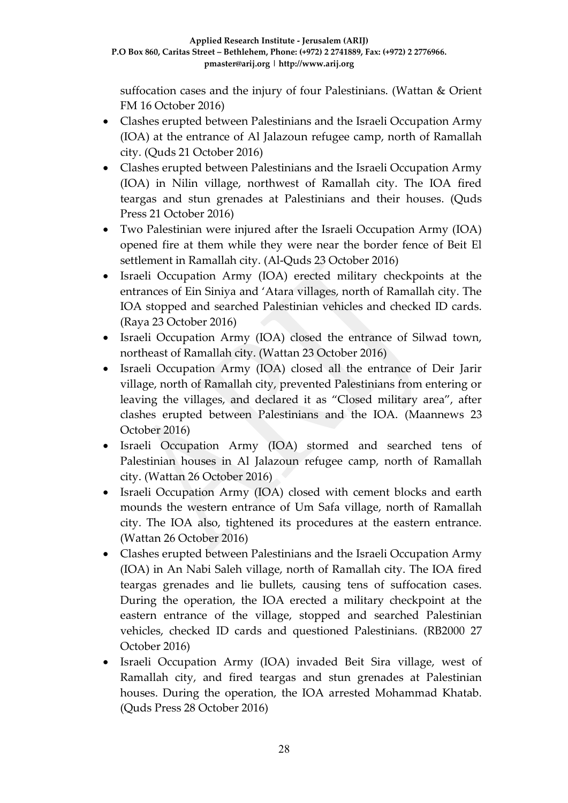suffocation cases and the injury of four Palestinians. (Wattan & Orient FM 16 October 2016)

- Clashes erupted between Palestinians and the Israeli Occupation Army (IOA) at the entrance of Al Jalazoun refugee camp, north of Ramallah city. (Quds 21 October 2016)
- Clashes erupted between Palestinians and the Israeli Occupation Army (IOA) in Nilin village, northwest of Ramallah city. The IOA fired teargas and stun grenades at Palestinians and their houses. (Quds Press 21 October 2016)
- Two Palestinian were injured after the Israeli Occupation Army (IOA) opened fire at them while they were near the border fence of Beit El settlement in Ramallah city. (Al-Quds 23 October 2016)
- Israeli Occupation Army (IOA) erected military checkpoints at the entrances of Ein Siniya and 'Atara villages, north of Ramallah city. The IOA stopped and searched Palestinian vehicles and checked ID cards. (Raya 23 October 2016)
- Israeli Occupation Army (IOA) closed the entrance of Silwad town, northeast of Ramallah city. (Wattan 23 October 2016)
- Israeli Occupation Army (IOA) closed all the entrance of Deir Jarir village, north of Ramallah city, prevented Palestinians from entering or leaving the villages, and declared it as "Closed military area", after clashes erupted between Palestinians and the IOA. (Maannews 23 October 2016)
- Israeli Occupation Army (IOA) stormed and searched tens of Palestinian houses in Al Jalazoun refugee camp, north of Ramallah city. (Wattan 26 October 2016)
- Israeli Occupation Army (IOA) closed with cement blocks and earth mounds the western entrance of Um Safa village, north of Ramallah city. The IOA also, tightened its procedures at the eastern entrance. (Wattan 26 October 2016)
- Clashes erupted between Palestinians and the Israeli Occupation Army (IOA) in An Nabi Saleh village, north of Ramallah city. The IOA fired teargas grenades and lie bullets, causing tens of suffocation cases. During the operation, the IOA erected a military checkpoint at the eastern entrance of the village, stopped and searched Palestinian vehicles, checked ID cards and questioned Palestinians. (RB2000 27 October 2016)
- Israeli Occupation Army (IOA) invaded Beit Sira village, west of Ramallah city, and fired teargas and stun grenades at Palestinian houses. During the operation, the IOA arrested Mohammad Khatab. (Quds Press 28 October 2016)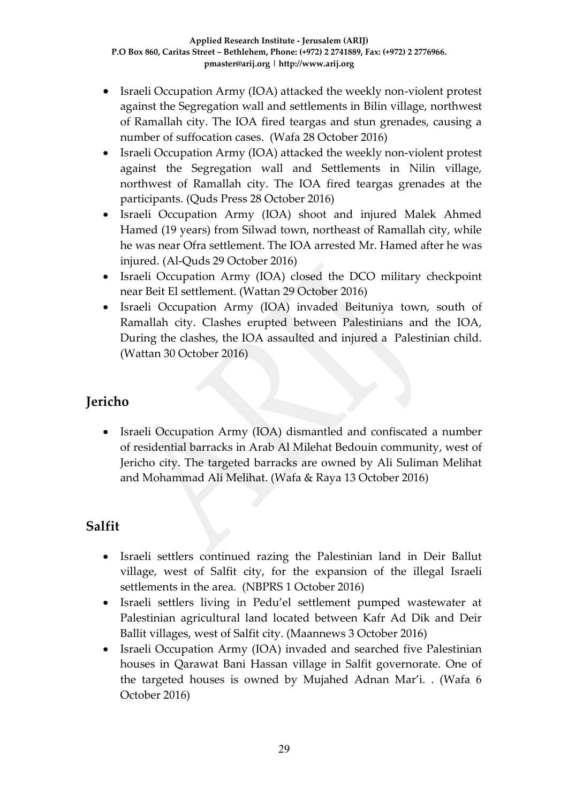- Israeli Occupation Army (IOA) attacked the weekly non-violent protest against the Segregation wall and settlements in Bilin village, northwest of Ramallah city. The IOA fired teargas and stun grenades, causing a number of suffocation cases. (Wafa 28 October 2016)
- Israeli Occupation Army (IOA) attacked the weekly non-violent protest against the Segregation wall and Settlements in Nilin village, northwest of Ramallah city. The IOA fired teargas grenades at the participants. (Quds Press 28 October 2016)
- Israeli Occupation Army (IOA) shoot and injured Malek Ahmed Hamed (19 years) from Silwad town, northeast of Ramallah city, while he was near Ofra settlement. The IOA arrested Mr. Hamed after he was injured. (Al-Quds 29 October 2016)
- Israeli Occupation Army (IOA) closed the DCO military checkpoint near Beit El settlement. (Wattan 29 October 2016)
- Israeli Occupation Army (IOA) invaded Beituniya town, south of Ramallah city. Clashes erupted between Palestinians and the IOA, During the clashes, the IOA assaulted and injured a Palestinian child. (Wattan 30 October 2016)

# **Jericho**

 Israeli Occupation Army (IOA) dismantled and confiscated a number of residential barracks in Arab Al Milehat Bedouin community, west of Jericho city. The targeted barracks are owned by Ali Suliman Melihat and Mohammad Ali Melihat. (Wafa & Raya 13 October 2016)

# **Salfit**

- Israeli settlers continued razing the Palestinian land in Deir Ballut village, west of Salfit city, for the expansion of the illegal Israeli settlements in the area. (NBPRS 1 October 2016)
- Israeli settlers living in Pedu'el settlement pumped wastewater at Palestinian agricultural land located between Kafr Ad Dik and Deir Ballit villages, west of Salfit city. (Maannews 3 October 2016)
- Israeli Occupation Army (IOA) invaded and searched five Palestinian houses in Qarawat Bani Hassan village in Salfit governorate. One of the targeted houses is owned by Mujahed Adnan Mar'i. . (Wafa 6 October 2016)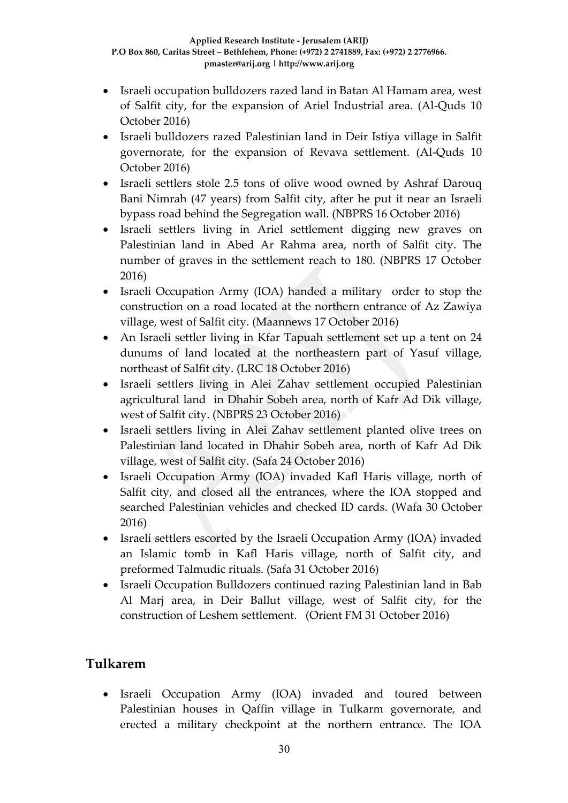- Israeli occupation bulldozers razed land in Batan Al Hamam area, west of Salfit city, for the expansion of Ariel Industrial area. (Al-Quds 10 October 2016)
- Israeli bulldozers razed Palestinian land in Deir Istiya village in Salfit governorate, for the expansion of Revava settlement. (Al-Quds 10 October 2016)
- Israeli settlers stole 2.5 tons of olive wood owned by Ashraf Darouq Bani Nimrah (47 years) from Salfit city, after he put it near an Israeli bypass road behind the Segregation wall. (NBPRS 16 October 2016)
- Israeli settlers living in Ariel settlement digging new graves on Palestinian land in Abed Ar Rahma area, north of Salfit city. The number of graves in the settlement reach to 180. (NBPRS 17 October 2016)
- Israeli Occupation Army (IOA) handed a military order to stop the construction on a road located at the northern entrance of Az Zawiya village, west of Salfit city. (Maannews 17 October 2016)
- An Israeli settler living in Kfar Tapuah settlement set up a tent on 24 dunums of land located at the northeastern part of Yasuf village, northeast of Salfit city. (LRC 18 October 2016)
- Israeli settlers living in Alei Zahav settlement occupied Palestinian agricultural land in Dhahir Sobeh area, north of Kafr Ad Dik village, west of Salfit city. (NBPRS 23 October 2016)
- Israeli settlers living in Alei Zahav settlement planted olive trees on Palestinian land located in Dhahir Sobeh area, north of Kafr Ad Dik village, west of Salfit city. (Safa 24 October 2016)
- Israeli Occupation Army (IOA) invaded Kafl Haris village, north of Salfit city, and closed all the entrances, where the IOA stopped and searched Palestinian vehicles and checked ID cards. (Wafa 30 October 2016)
- Israeli settlers escorted by the Israeli Occupation Army (IOA) invaded an Islamic tomb in Kafl Haris village, north of Salfit city, and preformed Talmudic rituals. (Safa 31 October 2016)
- Israeli Occupation Bulldozers continued razing Palestinian land in Bab Al Marj area, in Deir Ballut village, west of Salfit city, for the construction of Leshem settlement. (Orient FM 31 October 2016)

## **Tulkarem**

 Israeli Occupation Army (IOA) invaded and toured between Palestinian houses in Qaffin village in Tulkarm governorate, and erected a military checkpoint at the northern entrance. The IOA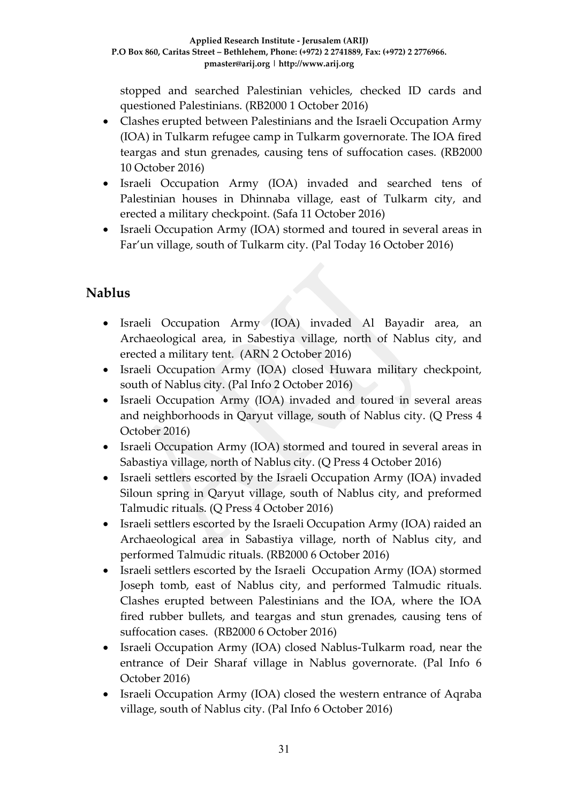stopped and searched Palestinian vehicles, checked ID cards and questioned Palestinians. (RB2000 1 October 2016)

- Clashes erupted between Palestinians and the Israeli Occupation Army (IOA) in Tulkarm refugee camp in Tulkarm governorate. The IOA fired teargas and stun grenades, causing tens of suffocation cases. (RB2000 10 October 2016)
- Israeli Occupation Army (IOA) invaded and searched tens of Palestinian houses in Dhinnaba village, east of Tulkarm city, and erected a military checkpoint. (Safa 11 October 2016)
- Israeli Occupation Army (IOA) stormed and toured in several areas in Far'un village, south of Tulkarm city. (Pal Today 16 October 2016)

# **Nablus**

- Israeli Occupation Army (IOA) invaded Al Bayadir area, an Archaeological area, in Sabestiya village, north of Nablus city, and erected a military tent. (ARN 2 October 2016)
- Israeli Occupation Army (IOA) closed Huwara military checkpoint, south of Nablus city. (Pal Info 2 October 2016)
- Israeli Occupation Army (IOA) invaded and toured in several areas and neighborhoods in Qaryut village, south of Nablus city. (Q Press 4 October 2016)
- Israeli Occupation Army (IOA) stormed and toured in several areas in Sabastiya village, north of Nablus city. (Q Press 4 October 2016)
- Israeli settlers escorted by the Israeli Occupation Army (IOA) invaded Siloun spring in Qaryut village, south of Nablus city, and preformed Talmudic rituals. (Q Press 4 October 2016)
- Israeli settlers escorted by the Israeli Occupation Army (IOA) raided an Archaeological area in Sabastiya village, north of Nablus city, and performed Talmudic rituals. (RB2000 6 October 2016)
- Israeli settlers escorted by the Israeli Occupation Army (IOA) stormed Joseph tomb, east of Nablus city, and performed Talmudic rituals. Clashes erupted between Palestinians and the IOA, where the IOA fired rubber bullets, and teargas and stun grenades, causing tens of suffocation cases. (RB2000 6 October 2016)
- Israeli Occupation Army (IOA) closed Nablus-Tulkarm road, near the entrance of Deir Sharaf village in Nablus governorate. (Pal Info 6 October 2016)
- Israeli Occupation Army (IOA) closed the western entrance of Aqraba village, south of Nablus city. (Pal Info 6 October 2016)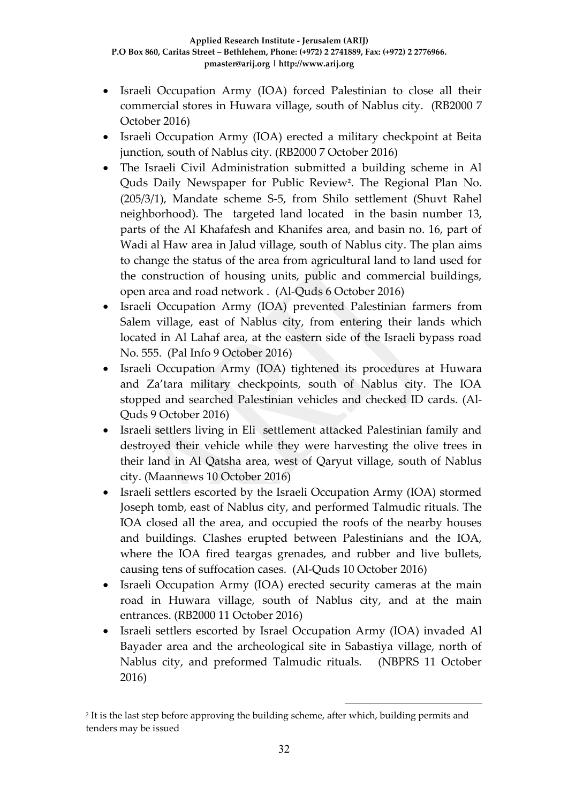- Israeli Occupation Army (IOA) forced Palestinian to close all their commercial stores in Huwara village, south of Nablus city. (RB2000 7 October 2016)
- Israeli Occupation Army (IOA) erected a military checkpoint at Beita junction, south of Nablus city. (RB2000 7 October 2016)
- The Israeli Civil Administration submitted a building scheme in Al Quds Daily Newspaper for Public Review**<sup>2</sup>** . The Regional Plan No. (205/3/1), Mandate scheme S-5, from Shilo settlement (Shuvt Rahel neighborhood). The targeted land located in the basin number 13, parts of the Al Khafafesh and Khanifes area, and basin no. 16, part of Wadi al Haw area in Jalud village, south of Nablus city. The plan aims to change the status of the area from agricultural land to land used for the construction of housing units, public and commercial buildings, open area and road network . (Al-Quds 6 October 2016)
- Israeli Occupation Army (IOA) prevented Palestinian farmers from Salem village, east of Nablus city, from entering their lands which located in Al Lahaf area, at the eastern side of the Israeli bypass road No. 555. (Pal Info 9 October 2016)
- Israeli Occupation Army (IOA) tightened its procedures at Huwara and Za'tara military checkpoints, south of Nablus city. The IOA stopped and searched Palestinian vehicles and checked ID cards. (Al-Quds 9 October 2016)
- Israeli settlers living in Eli settlement attacked Palestinian family and destroyed their vehicle while they were harvesting the olive trees in their land in Al Qatsha area, west of Qaryut village, south of Nablus city. (Maannews 10 October 2016)
- Israeli settlers escorted by the Israeli Occupation Army (IOA) stormed Joseph tomb, east of Nablus city, and performed Talmudic rituals. The IOA closed all the area, and occupied the roofs of the nearby houses and buildings. Clashes erupted between Palestinians and the IOA, where the IOA fired teargas grenades, and rubber and live bullets, causing tens of suffocation cases. (Al-Quds 10 October 2016)
- Israeli Occupation Army (IOA) erected security cameras at the main road in Huwara village, south of Nablus city, and at the main entrances. (RB2000 11 October 2016)
- Israeli settlers escorted by Israel Occupation Army (IOA) invaded Al Bayader area and the archeological site in Sabastiya village, north of Nablus city, and preformed Talmudic rituals. (NBPRS 11 October 2016)

1

<sup>2</sup> It is the last step before approving the building scheme, after which, building permits and tenders may be issued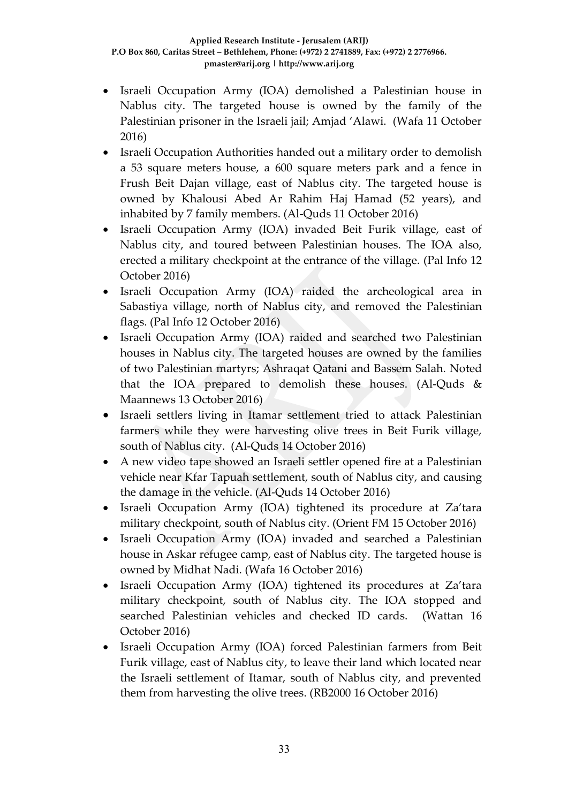- Israeli Occupation Army (IOA) demolished a Palestinian house in Nablus city. The targeted house is owned by the family of the Palestinian prisoner in the Israeli jail; Amjad 'Alawi. (Wafa 11 October 2016)
- Israeli Occupation Authorities handed out a military order to demolish a 53 square meters house, a 600 square meters park and a fence in Frush Beit Dajan village, east of Nablus city. The targeted house is owned by Khalousi Abed Ar Rahim Haj Hamad (52 years), and inhabited by 7 family members. (Al-Quds 11 October 2016)
- Israeli Occupation Army (IOA) invaded Beit Furik village, east of Nablus city, and toured between Palestinian houses. The IOA also, erected a military checkpoint at the entrance of the village. (Pal Info 12 October 2016)
- Israeli Occupation Army (IOA) raided the archeological area in Sabastiya village, north of Nablus city, and removed the Palestinian flags. (Pal Info 12 October 2016)
- Israeli Occupation Army (IOA) raided and searched two Palestinian houses in Nablus city. The targeted houses are owned by the families of two Palestinian martyrs; Ashraqat Qatani and Bassem Salah. Noted that the IOA prepared to demolish these houses. (Al-Quds & Maannews 13 October 2016)
- Israeli settlers living in Itamar settlement tried to attack Palestinian farmers while they were harvesting olive trees in Beit Furik village, south of Nablus city. (Al-Quds 14 October 2016)
- A new video tape showed an Israeli settler opened fire at a Palestinian vehicle near Kfar Tapuah settlement, south of Nablus city, and causing the damage in the vehicle. (Al-Quds 14 October 2016)
- Israeli Occupation Army (IOA) tightened its procedure at Za'tara military checkpoint, south of Nablus city. (Orient FM 15 October 2016)
- Israeli Occupation Army (IOA) invaded and searched a Palestinian house in Askar refugee camp, east of Nablus city. The targeted house is owned by Midhat Nadi. (Wafa 16 October 2016)
- Israeli Occupation Army (IOA) tightened its procedures at Za'tara military checkpoint, south of Nablus city. The IOA stopped and searched Palestinian vehicles and checked ID cards. (Wattan 16 October 2016)
- Israeli Occupation Army (IOA) forced Palestinian farmers from Beit Furik village, east of Nablus city, to leave their land which located near the Israeli settlement of Itamar, south of Nablus city, and prevented them from harvesting the olive trees. (RB2000 16 October 2016)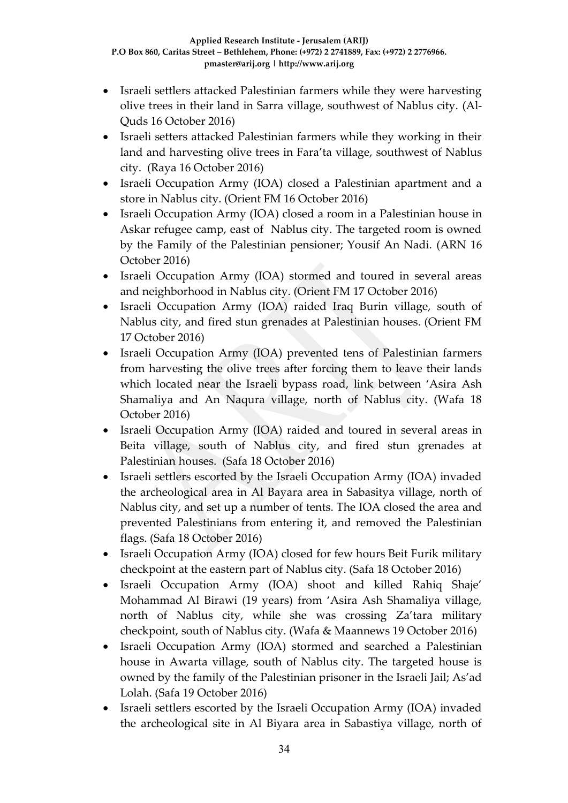- Israeli settlers attacked Palestinian farmers while they were harvesting olive trees in their land in Sarra village, southwest of Nablus city. (Al-Quds 16 October 2016)
- Israeli setters attacked Palestinian farmers while they working in their land and harvesting olive trees in Fara'ta village, southwest of Nablus city. (Raya 16 October 2016)
- Israeli Occupation Army (IOA) closed a Palestinian apartment and a store in Nablus city. (Orient FM 16 October 2016)
- Israeli Occupation Army (IOA) closed a room in a Palestinian house in Askar refugee camp, east of Nablus city. The targeted room is owned by the Family of the Palestinian pensioner; Yousif An Nadi. (ARN 16 October 2016)
- Israeli Occupation Army (IOA) stormed and toured in several areas and neighborhood in Nablus city. (Orient FM 17 October 2016)
- Israeli Occupation Army (IOA) raided Iraq Burin village, south of Nablus city, and fired stun grenades at Palestinian houses. (Orient FM 17 October 2016)
- Israeli Occupation Army (IOA) prevented tens of Palestinian farmers from harvesting the olive trees after forcing them to leave their lands which located near the Israeli bypass road, link between 'Asira Ash Shamaliya and An Naqura village, north of Nablus city. (Wafa 18 October 2016)
- Israeli Occupation Army (IOA) raided and toured in several areas in Beita village, south of Nablus city, and fired stun grenades at Palestinian houses. (Safa 18 October 2016)
- Israeli settlers escorted by the Israeli Occupation Army (IOA) invaded the archeological area in Al Bayara area in Sabasitya village, north of Nablus city, and set up a number of tents. The IOA closed the area and prevented Palestinians from entering it, and removed the Palestinian flags. (Safa 18 October 2016)
- Israeli Occupation Army (IOA) closed for few hours Beit Furik military checkpoint at the eastern part of Nablus city. (Safa 18 October 2016)
- Israeli Occupation Army (IOA) shoot and killed Rahiq Shaje' Mohammad Al Birawi (19 years) from 'Asira Ash Shamaliya village, north of Nablus city, while she was crossing Za'tara military checkpoint, south of Nablus city. (Wafa & Maannews 19 October 2016)
- Israeli Occupation Army (IOA) stormed and searched a Palestinian house in Awarta village, south of Nablus city. The targeted house is owned by the family of the Palestinian prisoner in the Israeli Jail; As'ad Lolah. (Safa 19 October 2016)
- Israeli settlers escorted by the Israeli Occupation Army (IOA) invaded the archeological site in Al Biyara area in Sabastiya village, north of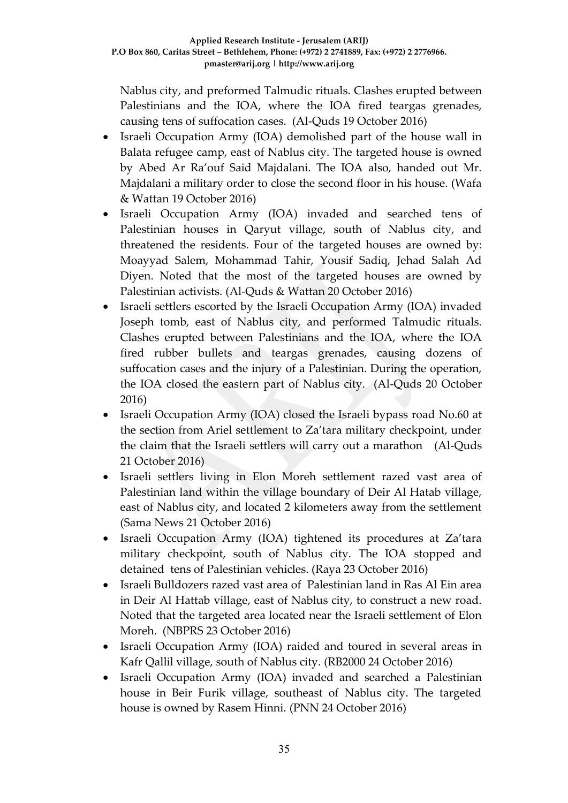Nablus city, and preformed Talmudic rituals. Clashes erupted between Palestinians and the IOA, where the IOA fired teargas grenades, causing tens of suffocation cases. (Al-Quds 19 October 2016)

- Israeli Occupation Army (IOA) demolished part of the house wall in Balata refugee camp, east of Nablus city. The targeted house is owned by Abed Ar Ra'ouf Said Majdalani. The IOA also, handed out Mr. Majdalani a military order to close the second floor in his house. (Wafa & Wattan 19 October 2016)
- Israeli Occupation Army (IOA) invaded and searched tens of Palestinian houses in Qaryut village, south of Nablus city, and threatened the residents. Four of the targeted houses are owned by: Moayyad Salem, Mohammad Tahir, Yousif Sadiq, Jehad Salah Ad Diyen. Noted that the most of the targeted houses are owned by Palestinian activists. (Al-Quds & Wattan 20 October 2016)
- Israeli settlers escorted by the Israeli Occupation Army (IOA) invaded Joseph tomb, east of Nablus city, and performed Talmudic rituals. Clashes erupted between Palestinians and the IOA, where the IOA fired rubber bullets and teargas grenades, causing dozens of suffocation cases and the injury of a Palestinian. During the operation, the IOA closed the eastern part of Nablus city. (Al-Quds 20 October 2016)
- Israeli Occupation Army (IOA) closed the Israeli bypass road No.60 at the section from Ariel settlement to Za'tara military checkpoint, under the claim that the Israeli settlers will carry out a marathon (Al-Quds 21 October 2016)
- Israeli settlers living in Elon Moreh settlement razed vast area of Palestinian land within the village boundary of Deir Al Hatab village, east of Nablus city, and located 2 kilometers away from the settlement (Sama News 21 October 2016)
- Israeli Occupation Army (IOA) tightened its procedures at Za'tara military checkpoint, south of Nablus city. The IOA stopped and detained tens of Palestinian vehicles. (Raya 23 October 2016)
- Israeli Bulldozers razed vast area of Palestinian land in Ras Al Ein area in Deir Al Hattab village, east of Nablus city, to construct a new road. Noted that the targeted area located near the Israeli settlement of Elon Moreh. (NBPRS 23 October 2016)
- Israeli Occupation Army (IOA) raided and toured in several areas in Kafr Qallil village, south of Nablus city. (RB2000 24 October 2016)
- Israeli Occupation Army (IOA) invaded and searched a Palestinian house in Beir Furik village, southeast of Nablus city. The targeted house is owned by Rasem Hinni. (PNN 24 October 2016)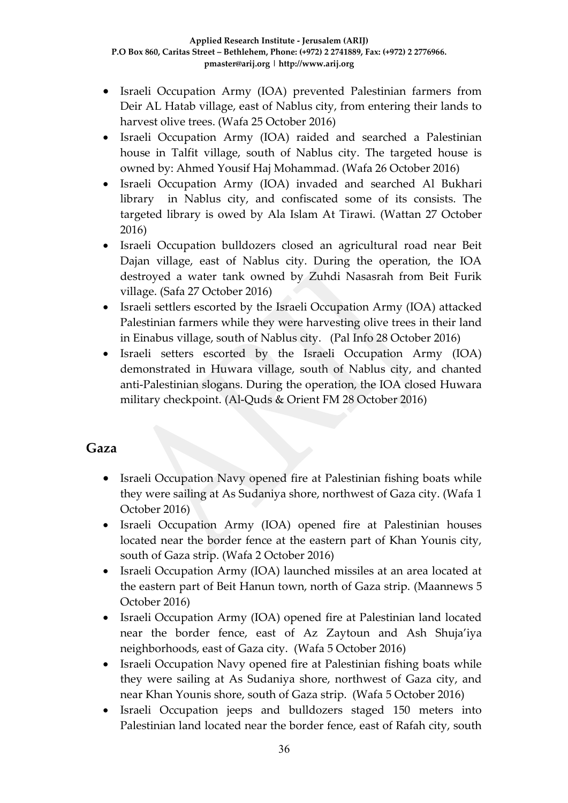- Israeli Occupation Army (IOA) prevented Palestinian farmers from Deir AL Hatab village, east of Nablus city, from entering their lands to harvest olive trees. (Wafa 25 October 2016)
- Israeli Occupation Army (IOA) raided and searched a Palestinian house in Talfit village, south of Nablus city. The targeted house is owned by: Ahmed Yousif Haj Mohammad. (Wafa 26 October 2016)
- Israeli Occupation Army (IOA) invaded and searched Al Bukhari library in Nablus city, and confiscated some of its consists. The targeted library is owed by Ala Islam At Tirawi. (Wattan 27 October 2016)
- Israeli Occupation bulldozers closed an agricultural road near Beit Dajan village, east of Nablus city. During the operation, the IOA destroyed a water tank owned by Zuhdi Nasasrah from Beit Furik village. (Safa 27 October 2016)
- Israeli settlers escorted by the Israeli Occupation Army (IOA) attacked Palestinian farmers while they were harvesting olive trees in their land in Einabus village, south of Nablus city. (Pal Info 28 October 2016)
- Israeli setters escorted by the Israeli Occupation Army (IOA) demonstrated in Huwara village, south of Nablus city, and chanted anti-Palestinian slogans. During the operation, the IOA closed Huwara military checkpoint. (Al-Quds & Orient FM 28 October 2016)

### **Gaza**

- Israeli Occupation Navy opened fire at Palestinian fishing boats while they were sailing at As Sudaniya shore, northwest of Gaza city. (Wafa 1 October 2016)
- Israeli Occupation Army (IOA) opened fire at Palestinian houses located near the border fence at the eastern part of Khan Younis city, south of Gaza strip. (Wafa 2 October 2016)
- Israeli Occupation Army (IOA) launched missiles at an area located at the eastern part of Beit Hanun town, north of Gaza strip. (Maannews 5 October 2016)
- Israeli Occupation Army (IOA) opened fire at Palestinian land located near the border fence, east of Az Zaytoun and Ash Shuja'iya neighborhoods, east of Gaza city. (Wafa 5 October 2016)
- Israeli Occupation Navy opened fire at Palestinian fishing boats while they were sailing at As Sudaniya shore, northwest of Gaza city, and near Khan Younis shore, south of Gaza strip. (Wafa 5 October 2016)
- Israeli Occupation jeeps and bulldozers staged 150 meters into Palestinian land located near the border fence, east of Rafah city, south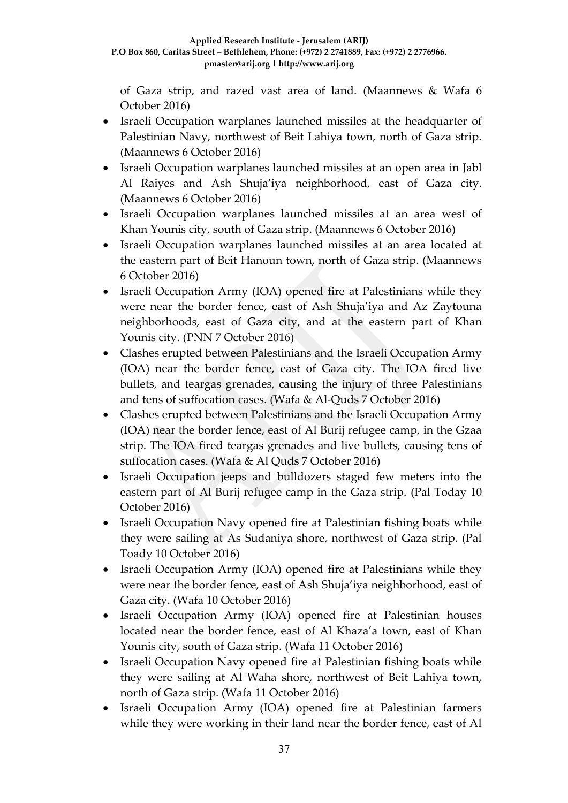of Gaza strip, and razed vast area of land. (Maannews & Wafa 6 October 2016)

- Israeli Occupation warplanes launched missiles at the headquarter of Palestinian Navy, northwest of Beit Lahiya town, north of Gaza strip. (Maannews 6 October 2016)
- Israeli Occupation warplanes launched missiles at an open area in Jabl Al Raiyes and Ash Shuja'iya neighborhood, east of Gaza city. (Maannews 6 October 2016)
- Israeli Occupation warplanes launched missiles at an area west of Khan Younis city, south of Gaza strip. (Maannews 6 October 2016)
- Israeli Occupation warplanes launched missiles at an area located at the eastern part of Beit Hanoun town, north of Gaza strip. (Maannews 6 October 2016)
- Israeli Occupation Army (IOA) opened fire at Palestinians while they were near the border fence, east of Ash Shuja'iya and Az Zaytouna neighborhoods, east of Gaza city, and at the eastern part of Khan Younis city. (PNN 7 October 2016)
- Clashes erupted between Palestinians and the Israeli Occupation Army (IOA) near the border fence, east of Gaza city. The IOA fired live bullets, and teargas grenades, causing the injury of three Palestinians and tens of suffocation cases. (Wafa & Al-Quds 7 October 2016)
- Clashes erupted between Palestinians and the Israeli Occupation Army (IOA) near the border fence, east of Al Burij refugee camp, in the Gzaa strip. The IOA fired teargas grenades and live bullets, causing tens of suffocation cases. (Wafa & Al Quds 7 October 2016)
- Israeli Occupation jeeps and bulldozers staged few meters into the eastern part of Al Burij refugee camp in the Gaza strip. (Pal Today 10 October 2016)
- Israeli Occupation Navy opened fire at Palestinian fishing boats while they were sailing at As Sudaniya shore, northwest of Gaza strip. (Pal Toady 10 October 2016)
- Israeli Occupation Army (IOA) opened fire at Palestinians while they were near the border fence, east of Ash Shuja'iya neighborhood, east of Gaza city. (Wafa 10 October 2016)
- Israeli Occupation Army (IOA) opened fire at Palestinian houses located near the border fence, east of Al Khaza'a town, east of Khan Younis city, south of Gaza strip. (Wafa 11 October 2016)
- Israeli Occupation Navy opened fire at Palestinian fishing boats while they were sailing at Al Waha shore, northwest of Beit Lahiya town, north of Gaza strip. (Wafa 11 October 2016)
- Israeli Occupation Army (IOA) opened fire at Palestinian farmers while they were working in their land near the border fence, east of Al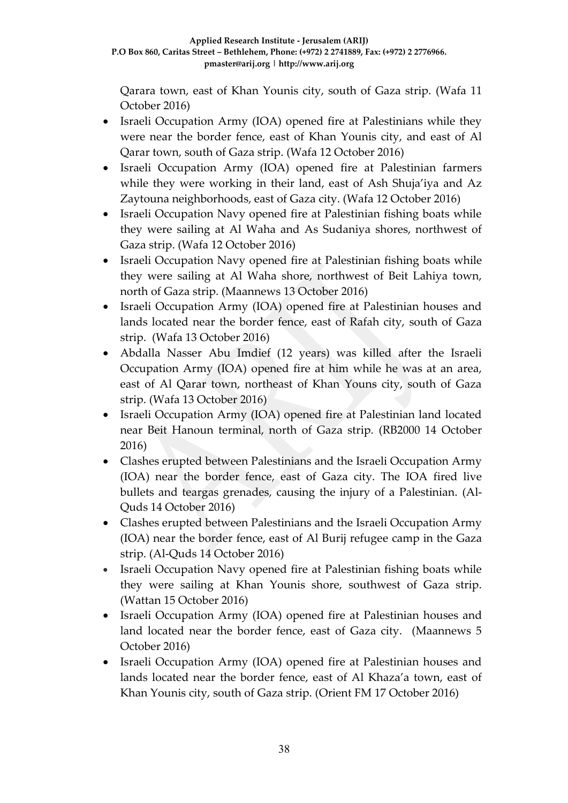Qarara town, east of Khan Younis city, south of Gaza strip. (Wafa 11 October 2016)

- Israeli Occupation Army (IOA) opened fire at Palestinians while they were near the border fence, east of Khan Younis city, and east of Al Qarar town, south of Gaza strip. (Wafa 12 October 2016)
- Israeli Occupation Army (IOA) opened fire at Palestinian farmers while they were working in their land, east of Ash Shuja'iya and Az Zaytouna neighborhoods, east of Gaza city. (Wafa 12 October 2016)
- Israeli Occupation Navy opened fire at Palestinian fishing boats while they were sailing at Al Waha and As Sudaniya shores, northwest of Gaza strip. (Wafa 12 October 2016)
- Israeli Occupation Navy opened fire at Palestinian fishing boats while they were sailing at Al Waha shore, northwest of Beit Lahiya town, north of Gaza strip. (Maannews 13 October 2016)
- Israeli Occupation Army (IOA) opened fire at Palestinian houses and lands located near the border fence, east of Rafah city, south of Gaza strip. (Wafa 13 October 2016)
- Abdalla Nasser Abu Imdief (12 years) was killed after the Israeli Occupation Army (IOA) opened fire at him while he was at an area, east of Al Qarar town, northeast of Khan Youns city, south of Gaza strip. (Wafa 13 October 2016)
- Israeli Occupation Army (IOA) opened fire at Palestinian land located near Beit Hanoun terminal, north of Gaza strip. (RB2000 14 October 2016)
- Clashes erupted between Palestinians and the Israeli Occupation Army (IOA) near the border fence, east of Gaza city. The IOA fired live bullets and teargas grenades, causing the injury of a Palestinian. (Al-Quds 14 October 2016)
- Clashes erupted between Palestinians and the Israeli Occupation Army (IOA) near the border fence, east of Al Burij refugee camp in the Gaza strip. (Al-Quds 14 October 2016)
- Israeli Occupation Navy opened fire at Palestinian fishing boats while they were sailing at Khan Younis shore, southwest of Gaza strip. (Wattan 15 October 2016)
- Israeli Occupation Army (IOA) opened fire at Palestinian houses and land located near the border fence, east of Gaza city. (Maannews 5 October 2016)
- Israeli Occupation Army (IOA) opened fire at Palestinian houses and lands located near the border fence, east of Al Khaza'a town, east of Khan Younis city, south of Gaza strip. (Orient FM 17 October 2016)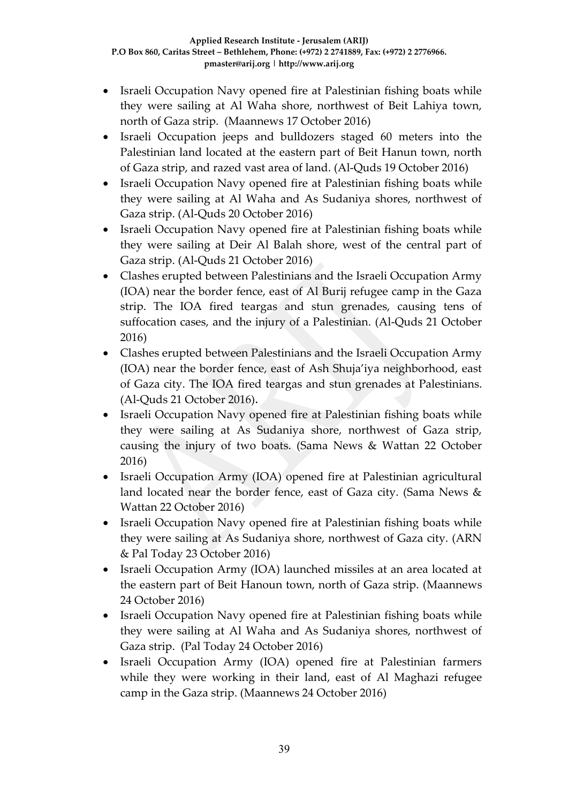- Israeli Occupation Navy opened fire at Palestinian fishing boats while they were sailing at Al Waha shore, northwest of Beit Lahiya town, north of Gaza strip. (Maannews 17 October 2016)
- Israeli Occupation jeeps and bulldozers staged 60 meters into the Palestinian land located at the eastern part of Beit Hanun town, north of Gaza strip, and razed vast area of land. (Al-Quds 19 October 2016)
- Israeli Occupation Navy opened fire at Palestinian fishing boats while they were sailing at Al Waha and As Sudaniya shores, northwest of Gaza strip. (Al-Quds 20 October 2016)
- Israeli Occupation Navy opened fire at Palestinian fishing boats while they were sailing at Deir Al Balah shore, west of the central part of Gaza strip. (Al-Quds 21 October 2016)
- Clashes erupted between Palestinians and the Israeli Occupation Army (IOA) near the border fence, east of Al Burij refugee camp in the Gaza strip. The IOA fired teargas and stun grenades, causing tens of suffocation cases, and the injury of a Palestinian. (Al-Quds 21 October 2016)
- Clashes erupted between Palestinians and the Israeli Occupation Army (IOA) near the border fence, east of Ash Shuja'iya neighborhood, east of Gaza city. The IOA fired teargas and stun grenades at Palestinians. (Al-Quds 21 October 2016).
- Israeli Occupation Navy opened fire at Palestinian fishing boats while they were sailing at As Sudaniya shore, northwest of Gaza strip, causing the injury of two boats. (Sama News & Wattan 22 October 2016)
- Israeli Occupation Army (IOA) opened fire at Palestinian agricultural land located near the border fence, east of Gaza city. (Sama News & Wattan 22 October 2016)
- Israeli Occupation Navy opened fire at Palestinian fishing boats while they were sailing at As Sudaniya shore, northwest of Gaza city. (ARN & Pal Today 23 October 2016)
- Israeli Occupation Army (IOA) launched missiles at an area located at the eastern part of Beit Hanoun town, north of Gaza strip. (Maannews 24 October 2016)
- Israeli Occupation Navy opened fire at Palestinian fishing boats while they were sailing at Al Waha and As Sudaniya shores, northwest of Gaza strip. (Pal Today 24 October 2016)
- Israeli Occupation Army (IOA) opened fire at Palestinian farmers while they were working in their land, east of Al Maghazi refugee camp in the Gaza strip. (Maannews 24 October 2016)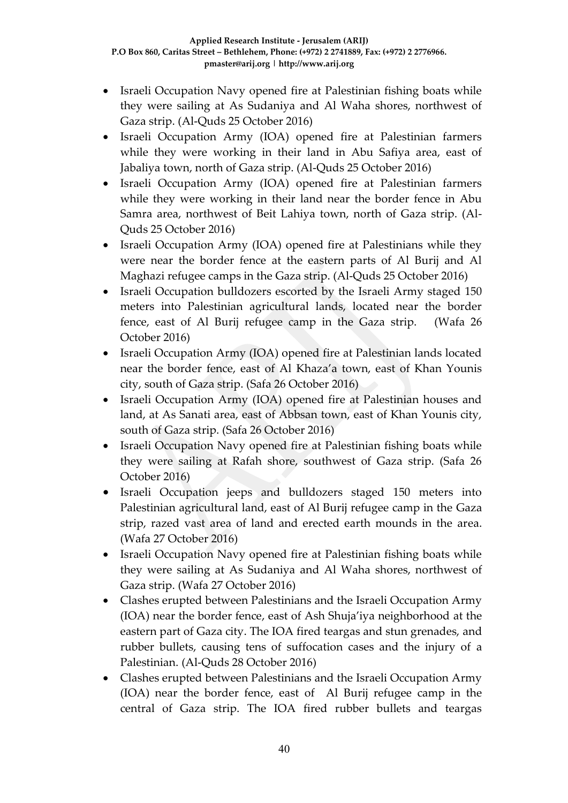- Israeli Occupation Navy opened fire at Palestinian fishing boats while they were sailing at As Sudaniya and Al Waha shores, northwest of Gaza strip. (Al-Quds 25 October 2016)
- Israeli Occupation Army (IOA) opened fire at Palestinian farmers while they were working in their land in Abu Safiya area, east of Jabaliya town, north of Gaza strip. (Al-Quds 25 October 2016)
- Israeli Occupation Army (IOA) opened fire at Palestinian farmers while they were working in their land near the border fence in Abu Samra area, northwest of Beit Lahiya town, north of Gaza strip. (Al-Quds 25 October 2016)
- Israeli Occupation Army (IOA) opened fire at Palestinians while they were near the border fence at the eastern parts of Al Burij and Al Maghazi refugee camps in the Gaza strip. (Al-Quds 25 October 2016)
- Israeli Occupation bulldozers escorted by the Israeli Army staged 150 meters into Palestinian agricultural lands, located near the border fence, east of Al Burij refugee camp in the Gaza strip. (Wafa 26 October 2016)
- Israeli Occupation Army (IOA) opened fire at Palestinian lands located near the border fence, east of Al Khaza'a town, east of Khan Younis city, south of Gaza strip. (Safa 26 October 2016)
- Israeli Occupation Army (IOA) opened fire at Palestinian houses and land, at As Sanati area, east of Abbsan town, east of Khan Younis city, south of Gaza strip. (Safa 26 October 2016)
- Israeli Occupation Navy opened fire at Palestinian fishing boats while they were sailing at Rafah shore, southwest of Gaza strip. (Safa 26 October 2016)
- Israeli Occupation jeeps and bulldozers staged 150 meters into Palestinian agricultural land, east of Al Burij refugee camp in the Gaza strip, razed vast area of land and erected earth mounds in the area. (Wafa 27 October 2016)
- Israeli Occupation Navy opened fire at Palestinian fishing boats while they were sailing at As Sudaniya and Al Waha shores, northwest of Gaza strip. (Wafa 27 October 2016)
- Clashes erupted between Palestinians and the Israeli Occupation Army (IOA) near the border fence, east of Ash Shuja'iya neighborhood at the eastern part of Gaza city. The IOA fired teargas and stun grenades, and rubber bullets, causing tens of suffocation cases and the injury of a Palestinian. (Al-Quds 28 October 2016)
- Clashes erupted between Palestinians and the Israeli Occupation Army (IOA) near the border fence, east of Al Burij refugee camp in the central of Gaza strip. The IOA fired rubber bullets and teargas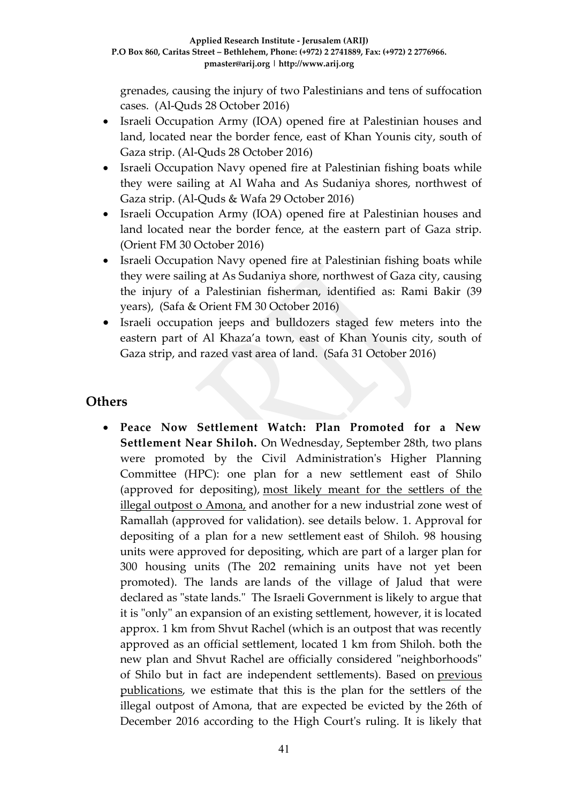grenades, causing the injury of two Palestinians and tens of suffocation cases. (Al-Quds 28 October 2016)

- Israeli Occupation Army (IOA) opened fire at Palestinian houses and land, located near the border fence, east of Khan Younis city, south of Gaza strip. (Al-Quds 28 October 2016)
- Israeli Occupation Navy opened fire at Palestinian fishing boats while they were sailing at Al Waha and As Sudaniya shores, northwest of Gaza strip. (Al-Quds & Wafa 29 October 2016)
- Israeli Occupation Army (IOA) opened fire at Palestinian houses and land located near the border fence, at the eastern part of Gaza strip. (Orient FM 30 October 2016)
- Israeli Occupation Navy opened fire at Palestinian fishing boats while they were sailing at As Sudaniya shore, northwest of Gaza city, causing the injury of a Palestinian fisherman, identified as: Rami Bakir (39 years), (Safa & Orient FM 30 October 2016)
- Israeli occupation jeeps and bulldozers staged few meters into the eastern part of Al Khaza'a town, east of Khan Younis city, south of Gaza strip, and razed vast area of land. (Safa 31 October 2016)

### **Others**

 **Peace Now Settlement Watch: Plan Promoted for a New Settlement Near Shiloh.** On Wednesday, September 28th, two plans were promoted by the Civil Administration's Higher Planning Committee (HPC): one plan for a new settlement east of Shilo (approved for depositing), most likely meant for the settlers of the illegal outpost o Amona, and another for a new industrial zone west of Ramallah (approved for validation). see details below. 1. Approval for depositing of a plan for a new settlement east of Shiloh. 98 housing units were approved for depositing, which are part of a larger plan for 300 housing units (The 202 remaining units have not yet been promoted). The lands are lands of the village of Jalud that were declared as "state lands." The Israeli Government is likely to argue that it is "only" an expansion of an existing settlement, however, it is located approx. 1 km from Shvut Rachel (which is an outpost that was recently approved as an official settlement, located 1 km from Shiloh. both the new plan and Shvut Rachel are officially considered "neighborhoods" of Shilo but in fact are independent settlements). Based on [previous](http://trailer.web-view.net/Links/0X56564E9301DE2A9F01CC14A1E7EE9F377B88B150D94BE34F5C06A65779AC8CD1381000166AAFD273AE8BD5ED3361B96F5D70AA20A944EAE722130F0C6CDBDB209984675BDDB0AF1B.htm)  [publications,](http://trailer.web-view.net/Links/0X56564E9301DE2A9F01CC14A1E7EE9F377B88B150D94BE34F5C06A65779AC8CD1381000166AAFD273AE8BD5ED3361B96F5D70AA20A944EAE722130F0C6CDBDB209984675BDDB0AF1B.htm) we estimate that this is the plan for the settlers of the illegal outpost of Amona, that are expected be evicted by the 26th of December 2016 according to the High Court's ruling. It is likely that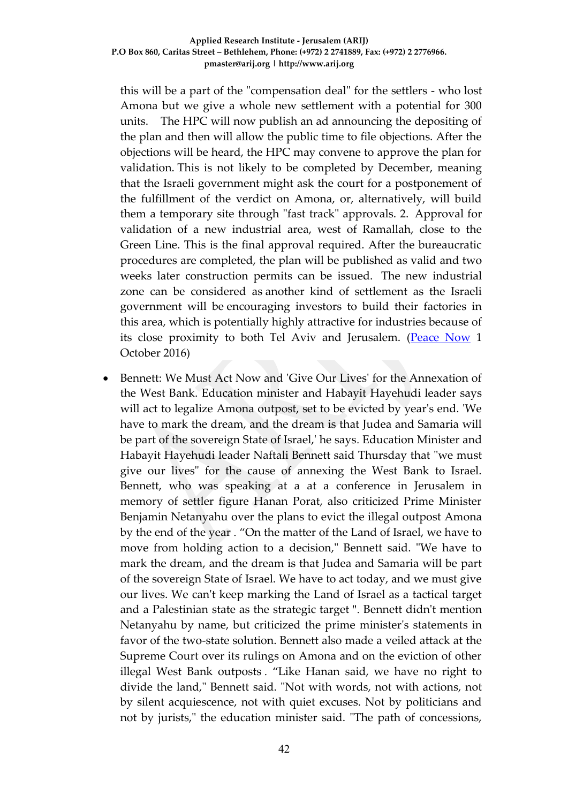this will be a part of the "compensation deal" for the settlers - who lost Amona but we give a whole new settlement with a potential for 300 units. The HPC will now publish an ad announcing the depositing of the plan and then will allow the public time to file objections. After the objections will be heard, the HPC may convene to approve the plan for validation. This is not likely to be completed by December, meaning that the Israeli government might ask the court for a postponement of the fulfillment of the verdict on Amona, or, alternatively, will build them a temporary site through "fast track" approvals. 2. Approval for validation of a new industrial area, west of Ramallah, close to the Green Line. This is the final approval required. After the bureaucratic procedures are completed, the plan will be published as valid and two weeks later construction permits can be issued. The new industrial zone can be considered as another kind of settlement as the Israeli government will be encouraging investors to build their factories in this area, which is potentially highly attractive for industries because of its close proximity to both Tel Aviv and Jerusalem. [\(Peace Now](http://peacenow.org/issue.php?cat=blog#.V_H35Pl96M-) 1 October 2016)

 Bennett: We Must Act Now and 'Give Our Lives' for the Annexation of the West Bank. Education minister and Habayit Hayehudi leader says will act to legalize Amona outpost, set to be evicted by year's end. 'We have to mark the dream, and the dream is that Judea and Samaria will be part of the sovereign State of Israel,' he says. Education Minister and Habayit Hayehudi leader Naftali Bennett said Thursday that "we must give our lives" for the cause of annexing the West Bank to Israel. Bennett, who was speaking at a at a conference in Jerusalem in memory of settler figure Hanan Porat, also criticized Prime Minister Benjamin Netanyahu over the plans to evict the illegal outpost Amona by the end of the year . "On the matter of the Land of Israel, we have to move from holding action to a decision," Bennett said. "We have to mark the dream, and the dream is that Judea and Samaria will be part of the sovereign State of Israel. We have to act today, and we must give our lives. We can't keep marking the Land of Israel as a tactical target and a Palestinian state as the strategic target ". Bennett didn't mention Netanyahu by name, but criticized the prime minister's statements in favor of the two-state solution. Bennett also made a veiled attack at the Supreme Court over its rulings on Amona and on the eviction of other illegal West Bank outposts . "Like Hanan said, we have no right to divide the land," Bennett said. "Not with words, not with actions, not by silent acquiescence, not with quiet excuses. Not by politicians and not by jurists," the education minister said. "The path of concessions,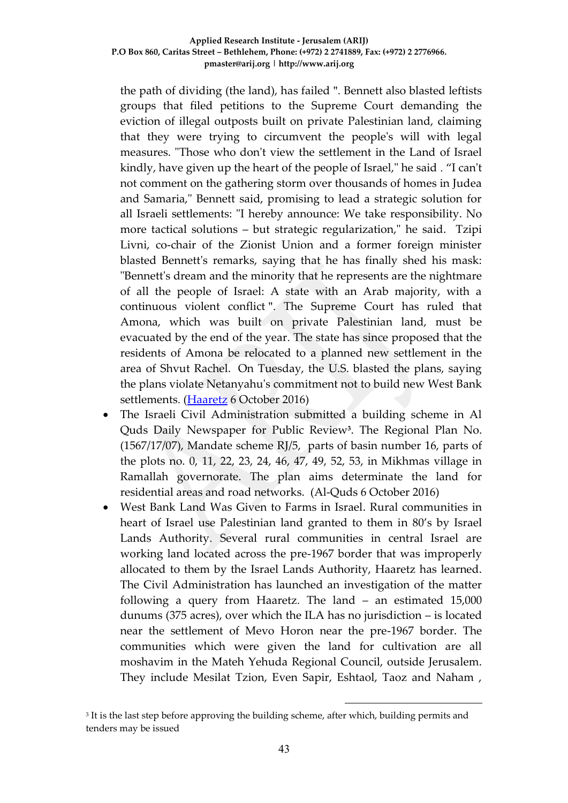the path of dividing (the land), has failed ". Bennett also blasted leftists groups that filed petitions to the Supreme Court demanding the eviction of illegal outposts built on private Palestinian land, claiming that they were trying to circumvent the people's will with legal measures. "Those who don't view the settlement in the Land of Israel kindly, have given up the heart of the people of Israel," he said . "I can't not comment on the gathering storm over thousands of homes in Judea and Samaria," Bennett said, promising to lead a strategic solution for all Israeli settlements: "I hereby announce: We take responsibility. No more tactical solutions – but strategic regularization," he said. Tzipi Livni, co-chair of the Zionist Union and a former foreign minister blasted Bennett's remarks, saying that he has finally shed his mask: "Bennett's dream and the minority that he represents are the nightmare of all the people of Israel: A state with an Arab majority, with a continuous violent conflict ". The Supreme Court has ruled that Amona, which was built on private Palestinian land, must be evacuated by the end of the year. The state has since proposed that the residents of Amona be relocated to a planned new settlement in the area of Shvut Rachel. On Tuesday, the U.S. blasted the plans, saying the plans violate Netanyahu's commitment not to build new West Bank settlements. [\(Haaretz](http://www.haaretz.com/israel-news/1.746266?utm_content=%24sections%2F1.746266&utm_medium=email&utm_source=smartfocus&utm_campaign=%24segmentId&utm_term=20161006-23%3A10) 6 October 2016)

- The Israeli Civil Administration submitted a building scheme in Al Quds Daily Newspaper for Public Review**<sup>3</sup>** . The Regional Plan No. (1567/17/07), Mandate scheme RJ/5, parts of basin number 16, parts of the plots no. 0, 11, 22, 23, 24, 46, 47, 49, 52, 53, in Mikhmas village in Ramallah governorate. The plan aims determinate the land for residential areas and road networks. (Al-Quds 6 October 2016)
- West Bank Land Was Given to Farms in Israel. Rural communities in heart of Israel use Palestinian land granted to them in 80's by Israel Lands Authority. Several rural communities in central Israel are working land located across the pre-1967 border that was improperly allocated to them by the Israel Lands Authority, Haaretz has learned. The Civil Administration has launched an investigation of the matter following a query from Haaretz. The land – an estimated 15,000 dunums (375 acres), over which the ILA has no jurisdiction – is located near the settlement of Mevo Horon near the pre-1967 border. The communities which were given the land for cultivation are all moshavim in the Mateh Yehuda Regional Council, outside Jerusalem. They include Mesilat Tzion, Even Sapir, Eshtaol, Taoz and Naham ,

1

<sup>3</sup> It is the last step before approving the building scheme, after which, building permits and tenders may be issued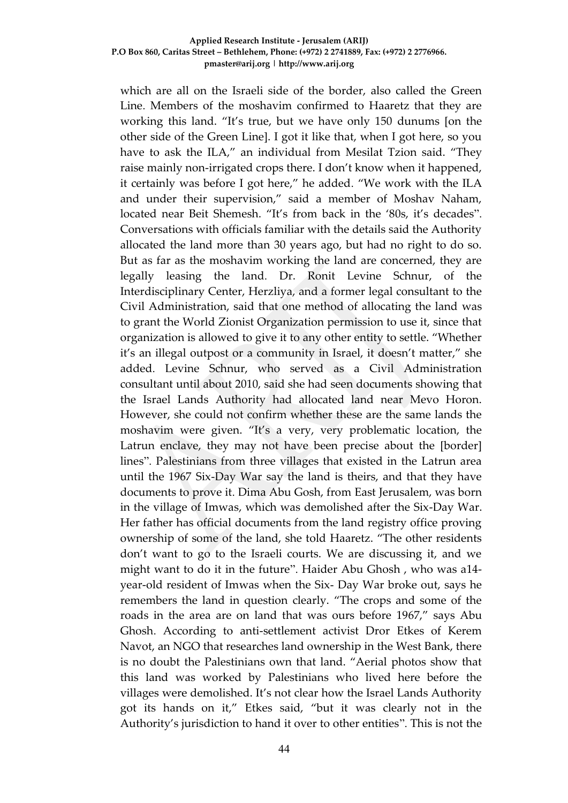which are all on the Israeli side of the border, also called the Green Line. Members of the moshavim confirmed to Haaretz that they are working this land. "It's true, but we have only 150 dunums [on the other side of the Green Line]. I got it like that, when I got here, so you have to ask the ILA," an individual from Mesilat Tzion said. "They raise mainly non-irrigated crops there. I don't know when it happened, it certainly was before I got here," he added. "We work with the ILA and under their supervision," said a member of Moshav Naham, located near Beit Shemesh. "It's from back in the '80s, it's decades". Conversations with officials familiar with the details said the Authority allocated the land more than 30 years ago, but had no right to do so. But as far as the moshavim working the land are concerned, they are legally leasing the land. Dr. Ronit Levine Schnur, of the Interdisciplinary Center, Herzliya, and a former legal consultant to the Civil Administration, said that one method of allocating the land was to grant the World Zionist Organization permission to use it, since that organization is allowed to give it to any other entity to settle. "Whether it's an illegal outpost or a community in Israel, it doesn't matter," she added. Levine Schnur, who served as a Civil Administration consultant until about 2010, said she had seen documents showing that the Israel Lands Authority had allocated land near Mevo Horon. However, she could not confirm whether these are the same lands the moshavim were given. "It's a very, very problematic location, the Latrun enclave, they may not have been precise about the [border] lines". Palestinians from three villages that existed in the Latrun area until the 1967 Six-Day War say the land is theirs, and that they have documents to prove it. Dima Abu Gosh, from East Jerusalem, was born in the village of Imwas, which was demolished after the Six-Day War. Her father has official documents from the land registry office proving ownership of some of the land, she told Haaretz. "The other residents don't want to go to the Israeli courts. We are discussing it, and we might want to do it in the future". Haider Abu Ghosh , who was a14 year-old resident of Imwas when the Six- Day War broke out, says he remembers the land in question clearly. "The crops and some of the roads in the area are on land that was ours before 1967," says Abu Ghosh. According to anti-settlement activist Dror Etkes of Kerem Navot, an NGO that researches land ownership in the West Bank, there is no doubt the Palestinians own that land. "Aerial photos show that this land was worked by Palestinians who lived here before the villages were demolished. It's not clear how the Israel Lands Authority got its hands on it," Etkes said, "but it was clearly not in the Authority's jurisdiction to hand it over to other entities". This is not the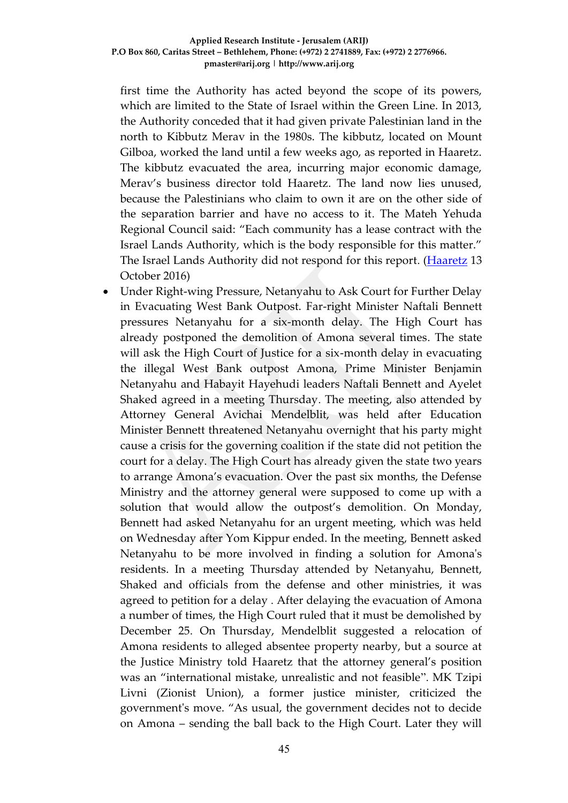first time the Authority has acted beyond the scope of its powers, which are limited to the State of Israel within the Green Line. In 2013, the Authority conceded that it had given private Palestinian land in the north to Kibbutz Merav in the 1980s. The kibbutz, located on Mount Gilboa, worked the land until a few weeks ago, as reported in Haaretz. The kibbutz evacuated the area, incurring major economic damage, Merav's business director told Haaretz. The land now lies unused, because the Palestinians who claim to own it are on the other side of the separation barrier and have no access to it. The Mateh Yehuda Regional Council said: "Each community has a lease contract with the Israel Lands Authority, which is the body responsible for this matter." The Israel Lands Authority did not respond for this report. [\(Haaretz](http://www.haaretz.com/israel-news/.premium-1.747171) 13 October 2016)

 Under Right-wing Pressure, Netanyahu to Ask Court for Further Delay in Evacuating West Bank Outpost. Far-right Minister Naftali Bennett pressures Netanyahu for a six-month delay. The High Court has already postponed the demolition of Amona several times. The state will ask the High Court of Justice for a six-month delay in evacuating the illegal West Bank outpost Amona, Prime Minister Benjamin Netanyahu and Habayit Hayehudi leaders Naftali Bennett and Ayelet Shaked agreed in a meeting Thursday. The meeting, also attended by Attorney General Avichai Mendelblit, was held after Education Minister Bennett threatened Netanyahu overnight that his party might cause a crisis for the governing coalition if the state did not petition the court for a delay. The High Court has already given the state two years to arrange Amona's evacuation. Over the past six months, the Defense Ministry and the attorney general were supposed to come up with a solution that would allow the outpost's demolition. On Monday, Bennett had asked Netanyahu for an urgent meeting, which was held on Wednesday after Yom Kippur ended. In the meeting, Bennett asked Netanyahu to be more involved in finding a solution for Amona's residents. In a meeting Thursday attended by Netanyahu, Bennett, Shaked and officials from the defense and other ministries, it was agreed to petition for a delay . After delaying the evacuation of Amona a number of times, the High Court ruled that it must be demolished by December 25. On Thursday, Mendelblit suggested a relocation of Amona residents to alleged absentee property nearby, but a source at the Justice Ministry told Haaretz that the attorney general's position was an "international mistake, unrealistic and not feasible". MK Tzipi Livni (Zionist Union), a former justice minister, criticized the government's move. "As usual, the government decides not to decide on Amona – sending the ball back to the High Court. Later they will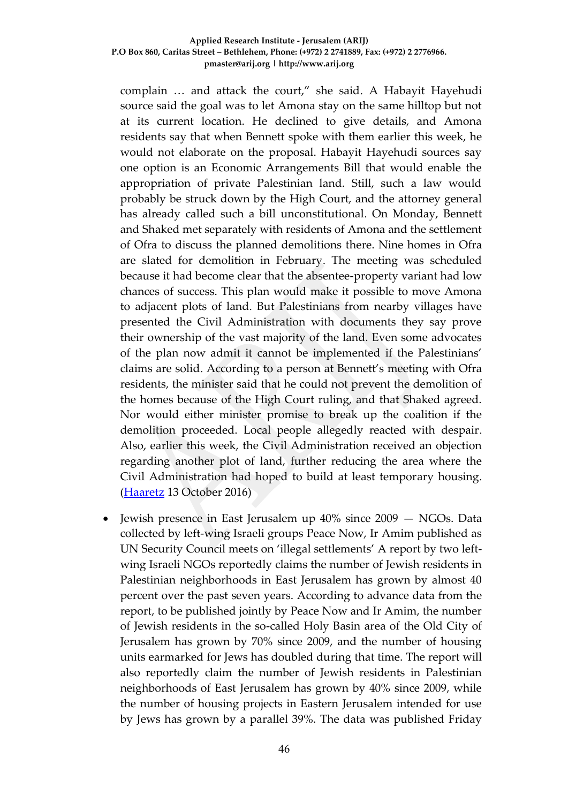complain … and attack the court," she said. A Habayit Hayehudi source said the goal was to let Amona stay on the same hilltop but not at its current location. He declined to give details, and Amona residents say that when Bennett spoke with them earlier this week, he would not elaborate on the proposal. Habayit Hayehudi sources say one option is an Economic Arrangements Bill that would enable the appropriation of private Palestinian land. Still, such a law would probably be struck down by the High Court, and the attorney general has already called such a bill unconstitutional. On Monday, Bennett and Shaked met separately with residents of Amona and the settlement of Ofra to discuss the planned demolitions there. Nine homes in Ofra are slated for demolition in February. The meeting was scheduled because it had become clear that the absentee-property variant had low chances of success. This plan would make it possible to move Amona to adjacent plots of land. But Palestinians from nearby villages have presented the Civil Administration with documents they say prove their ownership of the vast majority of the land. Even some advocates of the plan now admit it cannot be implemented if the Palestinians' claims are solid. According to a person at Bennett's meeting with Ofra residents, the minister said that he could not prevent the demolition of the homes because of the High Court ruling, and that Shaked agreed. Nor would either minister promise to break up the coalition if the demolition proceeded. Local people allegedly reacted with despair. Also, earlier this week, the Civil Administration received an objection regarding another plot of land, further reducing the area where the Civil Administration had hoped to build at least temporary housing. [\(Haaretz](http://www.haaretz.com/israel-news/.premium-1.747242) 13 October 2016)

• Jewish presence in East Jerusalem up  $40\%$  since  $2009 - NGOs$ . Data collected by left-wing Israeli groups Peace Now, Ir Amim published as UN Security Council meets on 'illegal settlements' A report by two leftwing Israeli NGOs reportedly claims the number of Jewish residents in Palestinian neighborhoods in East Jerusalem has grown by almost 40 percent over the past seven years. According to advance data from the report, to be published jointly by Peace Now and Ir Amim, the number of Jewish residents in the so-called Holy Basin area of the Old City of Jerusalem has grown by 70% since 2009, and the number of housing units earmarked for Jews has doubled during that time. The report will also reportedly claim the number of Jewish residents in Palestinian neighborhoods of East Jerusalem has grown by 40% since 2009, while the number of housing projects in Eastern Jerusalem intended for use by Jews has grown by a parallel 39%. The data was published Friday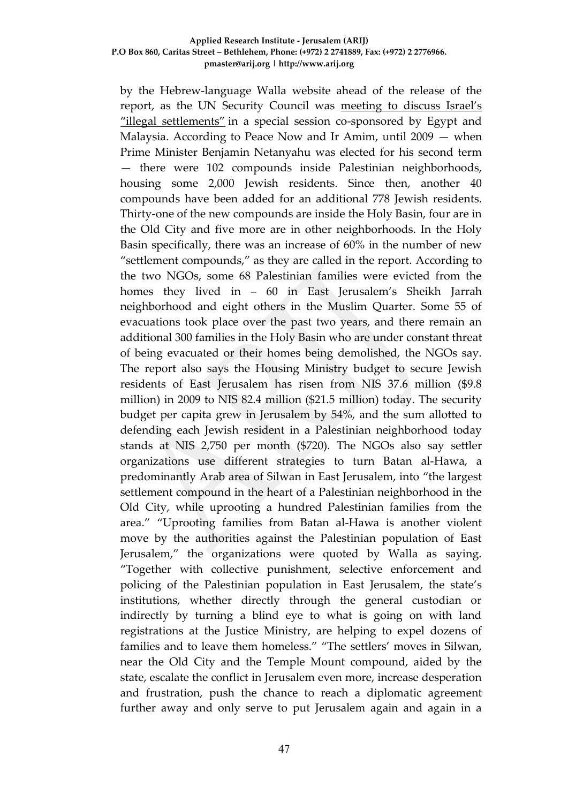by the Hebrew-language Walla website ahead of the release of the report, as the UN Security Council was [meeting](http://www.timesofisrael.com/un-discusses-settlements-includes-speeches-from-btselem-peace-now/) to discuss Israel's "illegal [settlements"](http://www.timesofisrael.com/un-discusses-settlements-includes-speeches-from-btselem-peace-now/) in a special session co-sponsored by Egypt and Malaysia. According to Peace Now and Ir Amim, until 2009 — when Prime Minister Benjamin Netanyahu was elected for his second term — there were 102 compounds inside Palestinian neighborhoods, housing some 2,000 Jewish residents. Since then, another 40 compounds have been added for an additional 778 Jewish residents. Thirty-one of the new compounds are inside the Holy Basin, four are in the Old City and five more are in other neighborhoods. In the Holy Basin specifically, there was an increase of 60% in the number of new "settlement compounds," as they are called in the report. According to the two NGOs, some 68 Palestinian families were evicted from the homes they lived in – 60 in East Jerusalem's Sheikh Jarrah neighborhood and eight others in the Muslim Quarter. Some 55 of evacuations took place over the past two years, and there remain an additional 300 families in the Holy Basin who are under constant threat of being evacuated or their homes being demolished, the NGOs say. The report also says the Housing Ministry budget to secure Jewish residents of East Jerusalem has risen from NIS 37.6 million (\$9.8 million) in 2009 to NIS 82.4 million (\$21.5 million) today. The security budget per capita grew in Jerusalem by 54%, and the sum allotted to defending each Jewish resident in a Palestinian neighborhood today stands at NIS 2,750 per month (\$720). The NGOs also say settler organizations use different strategies to turn Batan al-Hawa, a predominantly Arab area of Silwan in East Jerusalem, into "the largest settlement compound in the heart of a Palestinian neighborhood in the Old City, while uprooting a hundred Palestinian families from the area." "Uprooting families from Batan al-Hawa is another violent move by the authorities against the Palestinian population of East Jerusalem," the organizations were quoted by Walla as saying. "Together with collective punishment, selective enforcement and policing of the Palestinian population in East Jerusalem, the state's institutions, whether directly through the general custodian or indirectly by turning a blind eye to what is going on with land registrations at the Justice Ministry, are helping to expel dozens of families and to leave them homeless." "The settlers' moves in Silwan, near the Old City and the Temple Mount compound, aided by the state, escalate the conflict in Jerusalem even more, increase desperation and frustration, push the chance to reach a diplomatic agreement further away and only serve to put Jerusalem again and again in a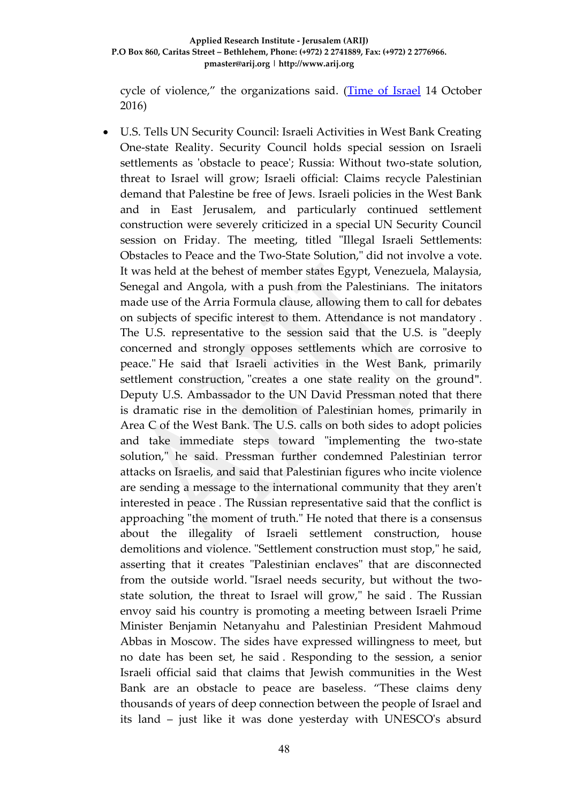cycle of violence," the organizations said. [\(Time of Israel](http://www.timesofisrael.com/jewish-presence-in-east-jerusalem-up-40-since-2009-ngos/) 14 October 2016)

 U.S. Tells UN Security Council: Israeli Activities in West Bank Creating One-state Reality. Security Council holds special session on Israeli settlements as 'obstacle to peace'; Russia: Without two-state solution, threat to Israel will grow; Israeli official: Claims recycle Palestinian demand that Palestine be free of Jews. Israeli policies in the West Bank and in East Jerusalem, and particularly continued settlement construction were severely criticized in a special UN Security Council session on Friday. The meeting, titled "Illegal Israeli Settlements: Obstacles to Peace and the Two-State Solution," did not involve a vote. It was held at the behest of member states Egypt, Venezuela, Malaysia, Senegal and Angola, with a push from the Palestinians. The initators made use of the Arria Formula clause, allowing them to call for debates on subjects of specific interest to them. Attendance is not mandatory . The U.S. representative to the session said that the U.S. is "deeply concerned and strongly opposes settlements which are corrosive to peace." He said that Israeli activities in the West Bank, primarily settlement construction, "creates a one state reality on the ground". Deputy U.S. Ambassador to the UN David Pressman noted that there is dramatic rise in the demolition of Palestinian homes, primarily in Area C of the West Bank. The U.S. calls on both sides to adopt policies and take immediate steps toward "implementing the two-state solution," he said. Pressman further condemned Palestinian terror attacks on Israelis, and said that Palestinian figures who incite violence are sending a message to the international community that they aren't interested in peace . The Russian representative said that the conflict is approaching "the moment of truth." He noted that there is a consensus about the illegality of Israeli settlement construction, house demolitions and violence. "Settlement construction must stop," he said, asserting that it creates "Palestinian enclaves" that are disconnected from the outside world. "Israel needs security, but without the twostate solution, the threat to Israel will grow," he said . The Russian envoy said his country is promoting a meeting between Israeli Prime Minister Benjamin Netanyahu and Palestinian President Mahmoud Abbas in Moscow. The sides have expressed willingness to meet, but no date has been set, he said . Responding to the session, a senior Israeli official said that claims that Jewish communities in the West Bank are an obstacle to peace are baseless. "These claims deny thousands of years of deep connection between the people of Israel and its land – just like it was done yesterday with UNESCO's absurd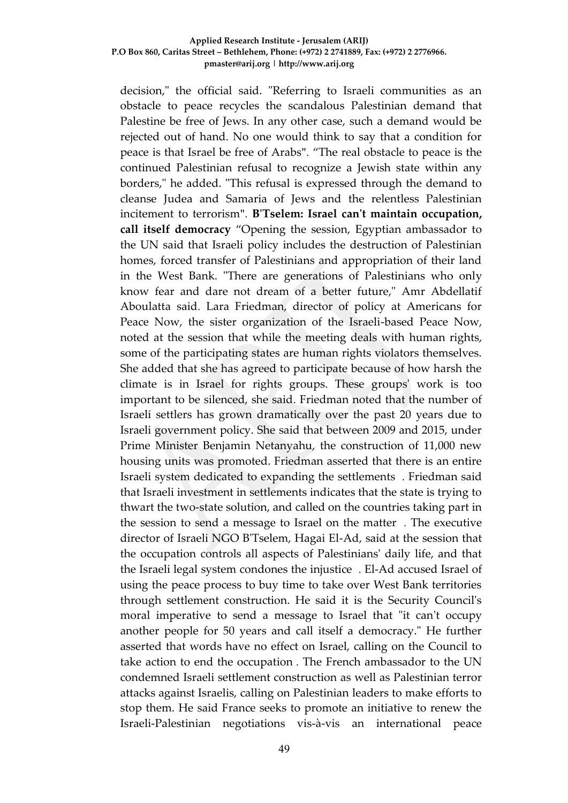decision," the official said. "Referring to Israeli communities as an obstacle to peace recycles the scandalous Palestinian demand that Palestine be free of Jews. In any other case, such a demand would be rejected out of hand. No one would think to say that a condition for peace is that Israel be free of Arabs". "The real obstacle to peace is the continued Palestinian refusal to recognize a Jewish state within any borders," he added. "This refusal is expressed through the demand to cleanse Judea and Samaria of Jews and the relentless Palestinian incitement to terrorism". **B'Tselem: Israel can't maintain occupation, call itself democracy** "Opening the session, Egyptian ambassador to the UN said that Israeli policy includes the destruction of Palestinian homes, forced transfer of Palestinians and appropriation of their land in the West Bank. "There are generations of Palestinians who only know fear and dare not dream of a better future," Amr Abdellatif Aboulatta said. Lara Friedman, director of policy at Americans for Peace Now, the sister organization of the Israeli-based Peace Now, noted at the session that while the meeting deals with human rights, some of the participating states are human rights violators themselves. She added that she has agreed to participate because of how harsh the climate is in Israel for rights groups. These groups' work is too important to be silenced, she said. Friedman noted that the number of Israeli settlers has grown dramatically over the past 20 years due to Israeli government policy. She said that between 2009 and 2015, under Prime Minister Benjamin Netanyahu, the construction of 11,000 new housing units was promoted. Friedman asserted that there is an entire Israeli system dedicated to expanding the settlements . Friedman said that Israeli investment in settlements indicates that the state is trying to thwart the two-state solution, and called on the countries taking part in the session to send a message to Israel on the matter . The executive director of Israeli NGO B'Tselem, Hagai El-Ad, said at the session that the occupation controls all aspects of Palestinians' daily life, and that the Israeli legal system condones the injustice . El-Ad accused Israel of using the peace process to buy time to take over West Bank territories through settlement construction. He said it is the Security Council's moral imperative to send a message to Israel that "it can't occupy another people for 50 years and call itself a democracy." He further asserted that words have no effect on Israel, calling on the Council to take action to end the occupation . The French ambassador to the UN condemned Israeli settlement construction as well as Palestinian terror attacks against Israelis, calling on Palestinian leaders to make efforts to stop them. He said France seeks to promote an initiative to renew the Israeli-Palestinian negotiations vis-à-vis an international peace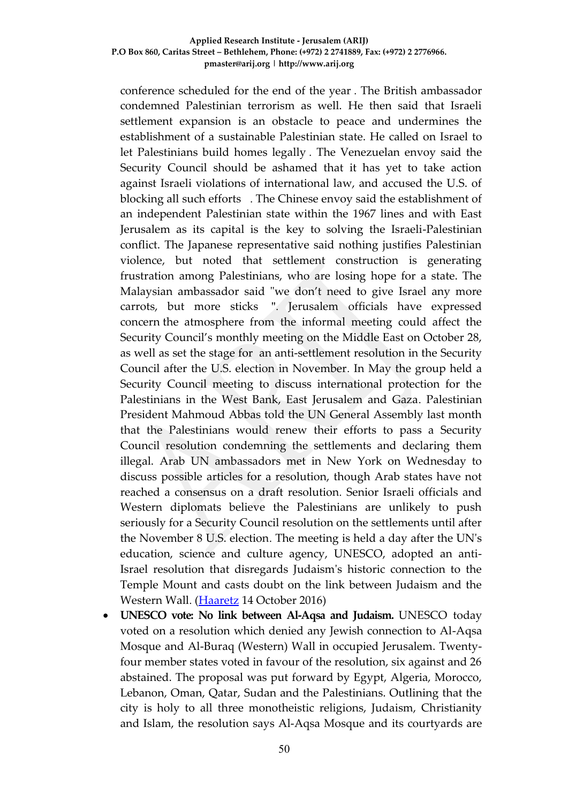conference scheduled for the end of the year . The British ambassador condemned Palestinian terrorism as well. He then said that Israeli settlement expansion is an obstacle to peace and undermines the establishment of a sustainable Palestinian state. He called on Israel to let Palestinians build homes legally . The Venezuelan envoy said the Security Council should be ashamed that it has yet to take action against Israeli violations of international law, and accused the U.S. of blocking all such efforts . The Chinese envoy said the establishment of an independent Palestinian state within the 1967 lines and with East Jerusalem as its capital is the key to solving the Israeli-Palestinian conflict. The Japanese representative said nothing justifies Palestinian violence, but noted that settlement construction is generating frustration among Palestinians, who are losing hope for a state. The Malaysian ambassador said "we don't need to give Israel any more carrots, but more sticks ". Jerusalem officials have expressed concern the atmosphere from the informal meeting could affect the Security Council's monthly meeting on the Middle East on October 28, as well as set the stage for an anti-settlement resolution in the Security Council after the U.S. election in November. In May the group held a Security Council meeting to discuss international protection for the Palestinians in the West Bank, East Jerusalem and Gaza. Palestinian President Mahmoud Abbas told the UN General Assembly last month that the Palestinians would renew their efforts to pass a Security Council resolution condemning the settlements and declaring them illegal. Arab UN ambassadors met in New York on Wednesday to discuss possible articles for a resolution, though Arab states have not reached a consensus on a draft resolution. Senior Israeli officials and Western diplomats believe the Palestinians are unlikely to push seriously for a Security Council resolution on the settlements until after the November 8 U.S. election. The meeting is held a day after the UN's education, science and culture agency, UNESCO, adopted an anti-Israel resolution that disregards Judaism's historic connection to the Temple Mount and casts doubt on the link between Judaism and the Western Wall. [\(Haaretz](http://www.haaretz.com/israel-news/1.747478) 14 October 2016)

**• UNESCO** vote: No link between Al-Aqsa and Judaism. UNESCO today voted on a resolution which denied any Jewish connection to Al-Aqsa Mosque and Al-Buraq (Western) Wall in occupied Jerusalem. Twentyfour member states voted in favour of the resolution, six against and 26 abstained. The proposal was put forward by Egypt, Algeria, Morocco, Lebanon, Oman, Qatar, Sudan and the Palestinians. Outlining that the city is holy to all three monotheistic religions, Judaism, Christianity and Islam, the resolution says Al-Aqsa Mosque and its [courtyards](http://unesdoc.unesco.org/images/0024/002462/246215e.pdf) are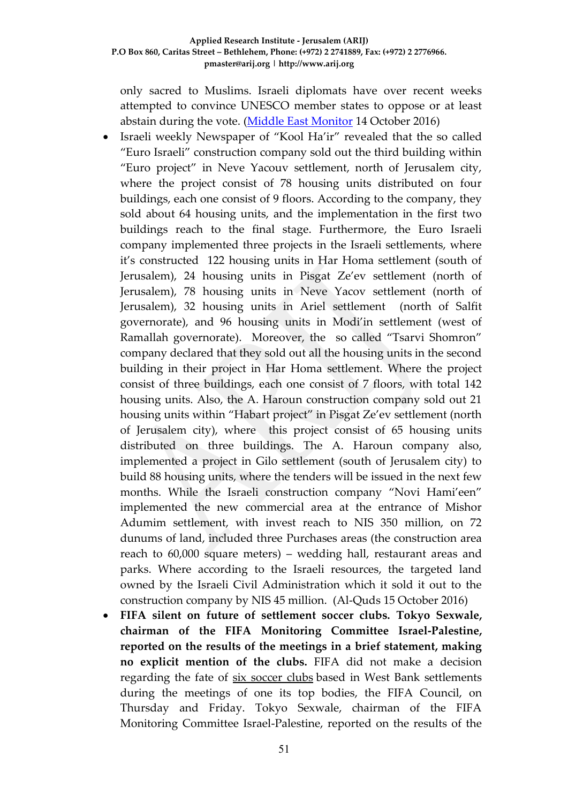only sacred to [Muslims.](http://unesdoc.unesco.org/images/0024/002462/246215e.pdf) Israeli diplomats have over recent weeks attempted to convince UNESCO member states to oppose or at least abstain during the vote. [\(Middle East Monitor](https://www.middleeastmonitor.com/20161013-unesco-vote-no-link-between-al-aqsa-and-judaism/) 14 October 2016)

- Israeli weekly Newspaper of "Kool Ha'ir" revealed that the so called "Euro Israeli" construction company sold out the third building within "Euro project" in Neve Yacouv settlement, north of Jerusalem city, where the project consist of 78 housing units distributed on four buildings, each one consist of 9 floors. According to the company, they sold about 64 housing units, and the implementation in the first two buildings reach to the final stage. Furthermore, the Euro Israeli company implemented three projects in the Israeli settlements, where it's constructed 122 housing units in Har Homa settlement (south of Jerusalem), 24 housing units in Pisgat Ze'ev settlement (north of Jerusalem), 78 housing units in Neve Yacov settlement (north of Jerusalem), 32 housing units in Ariel settlement (north of Salfit governorate), and 96 housing units in Modi'in settlement (west of Ramallah governorate). Moreover, the so called "Tsarvi Shomron" company declared that they sold out all the housing units in the second building in their project in Har Homa settlement. Where the project consist of three buildings, each one consist of 7 floors, with total 142 housing units. Also, the A. Haroun construction company sold out 21 housing units within "Habart project" in Pisgat Ze'ev settlement (north of Jerusalem city), where this project consist of 65 housing units distributed on three buildings. The A. Haroun company also, implemented a project in Gilo settlement (south of Jerusalem city) to build 88 housing units, where the tenders will be issued in the next few months. While the Israeli construction company "Novi Hami'een" implemented the new commercial area at the entrance of Mishor Adumim settlement, with invest reach to NIS 350 million, on 72 dunums of land, included three Purchases areas (the construction area reach to 60,000 square meters) – wedding hall, restaurant areas and parks. Where according to the Israeli resources, the targeted land owned by the Israeli Civil Administration which it sold it out to the construction company by NIS 45 million. (Al-Quds 15 October 2016)
- **FIFA silent on future of settlement soccer clubs. Tokyo Sexwale, chairman of the FIFA Monitoring Committee Israel-Palestine, reported on the results of the meetings in a brief statement, making no explicit mention of the clubs.** FIFA did not make a decision regarding the fate of six [soccer](http://www.jpost.com/Arab-Israeli-Conflict/UN-reminds-FIFA-that-settler-soccer-teams-are-illegal-469967) clubs based in West Bank settlements during the meetings of one its top bodies, the FIFA Council, on Thursday and Friday. Tokyo Sexwale, chairman of the FIFA Monitoring Committee Israel-Palestine, reported on the results of the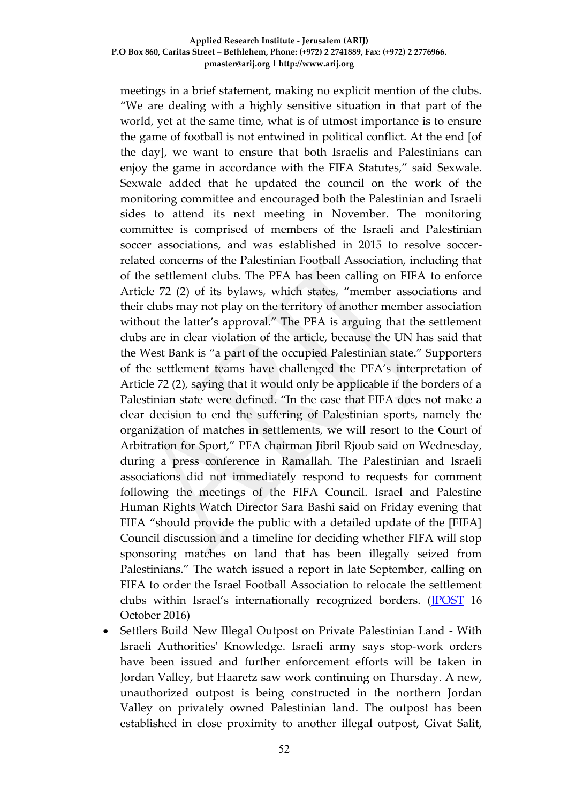meetings in a brief statement, making no explicit mention of the clubs. "We are dealing with a highly sensitive situation in that part of the world, yet at the same time, what is of utmost importance is to ensure the game of football is not entwined in political conflict. At the end [of the day], we want to ensure that both Israelis and Palestinians can enjoy the game in accordance with the FIFA Statutes," said Sexwale. Sexwale added that he updated the council on the work of the monitoring committee and encouraged both the Palestinian and Israeli sides to attend its next meeting in November. The monitoring committee is comprised of members of the Israeli and Palestinian soccer associations, and was established in 2015 to resolve soccerrelated concerns of the Palestinian Football Association, including that of the settlement clubs. The PFA has been calling on FIFA to enforce Article 72 (2) of its bylaws, which states, "member associations and their clubs may not play on the territory of another member association without the latter's approval." The PFA is arguing that the settlement clubs are in clear violation of the article, because the UN has said that the West Bank is "a part of the occupied Palestinian state." Supporters of the settlement teams have challenged the PFA's interpretation of Article 72 (2), saying that it would only be applicable if the borders of a Palestinian state were defined. "In the case that FIFA does not make a clear decision to end the suffering of Palestinian sports, namely the organization of matches in settlements, we will resort to the Court of Arbitration for Sport," PFA chairman Jibril Rjoub said on Wednesday, during a press conference in Ramallah. The Palestinian and Israeli associations did not immediately respond to requests for comment following the meetings of the FIFA Council. Israel and Palestine Human Rights Watch Director Sara Bashi said on Friday evening that FIFA "should provide the public with a detailed update of the [FIFA] Council discussion and a timeline for deciding whether FIFA will stop sponsoring matches on land that has been illegally seized from Palestinians." The watch issued a report in late September, calling on FIFA to order the Israel Football Association to relocate the settlement clubs within Israel's internationally recognized borders. (IPOST 16 October 2016)

 Settlers Build New Illegal Outpost on Private Palestinian Land - With Israeli Authorities' Knowledge. Israeli army says stop-work orders have been issued and further enforcement efforts will be taken in Jordan Valley, but Haaretz saw work continuing on Thursday. A new, unauthorized outpost is being constructed in the northern Jordan Valley on privately owned Palestinian land. The outpost has been established in close proximity to another illegal outpost, Givat Salit,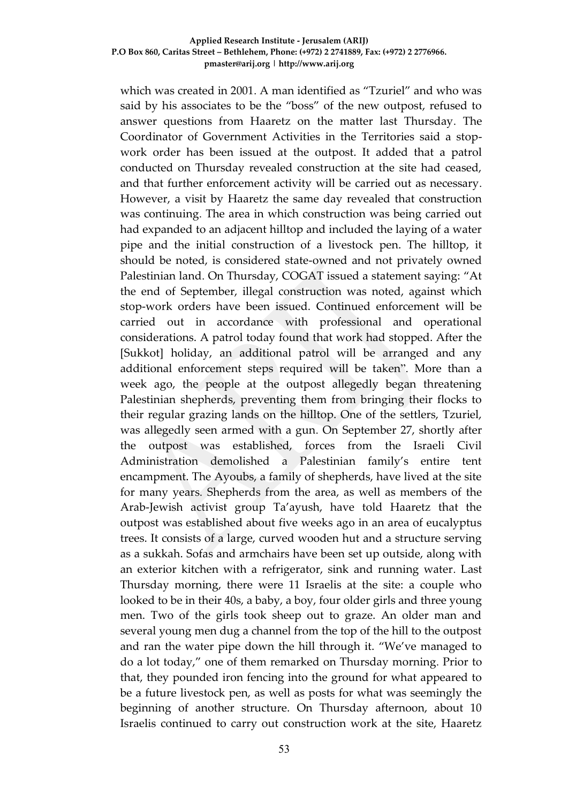which was created in 2001. A man identified as "Tzuriel" and who was said by his associates to be the "boss" of the new outpost, refused to answer questions from Haaretz on the matter last Thursday. The Coordinator of Government Activities in the Territories said a stopwork order has been issued at the outpost. It added that a patrol conducted on Thursday revealed construction at the site had ceased, and that further enforcement activity will be carried out as necessary. However, a visit by Haaretz the same day revealed that construction was continuing. The area in which construction was being carried out had expanded to an adjacent hilltop and included the laying of a water pipe and the initial construction of a livestock pen. The hilltop, it should be noted, is considered state-owned and not privately owned Palestinian land. On Thursday, COGAT issued a statement saying: "At the end of September, illegal construction was noted, against which stop-work orders have been issued. Continued enforcement will be carried out in accordance with professional and operational considerations. A patrol today found that work had stopped. After the [Sukkot] holiday, an additional patrol will be arranged and any additional enforcement steps required will be taken". More than a week ago, the people at the outpost allegedly began threatening Palestinian shepherds, preventing them from bringing their flocks to their regular grazing lands on the hilltop. One of the settlers, Tzuriel, was allegedly seen armed with a gun. On September 27, shortly after the outpost was established, forces from the Israeli Civil Administration demolished a Palestinian family's entire tent encampment. The Ayoubs, a family of shepherds, have lived at the site for many years. Shepherds from the area, as well as members of the Arab-Jewish activist group Ta'ayush, have told Haaretz that the outpost was established about five weeks ago in an area of eucalyptus trees. It consists of a large, curved wooden hut and a structure serving as a sukkah. Sofas and armchairs have been set up outside, along with an exterior kitchen with a refrigerator, sink and running water. Last Thursday morning, there were 11 Israelis at the site: a couple who looked to be in their 40s, a baby, a boy, four older girls and three young men. Two of the girls took sheep out to graze. An older man and several young men dug a channel from the top of the hill to the outpost and ran the water pipe down the hill through it. "We've managed to do a lot today," one of them remarked on Thursday morning. Prior to that, they pounded iron fencing into the ground for what appeared to be a future livestock pen, as well as posts for what was seemingly the beginning of another structure. On Thursday afternoon, about 10 Israelis continued to carry out construction work at the site, Haaretz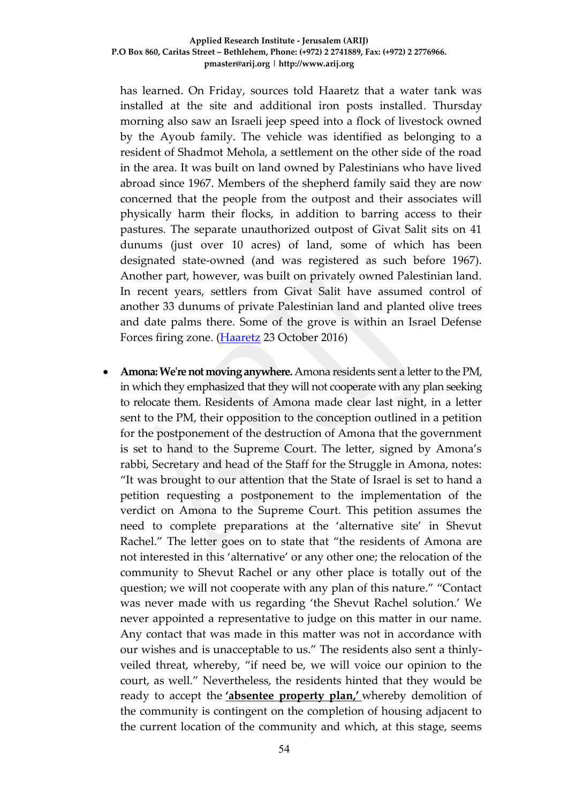has learned. On Friday, sources told Haaretz that a water tank was installed at the site and additional iron posts installed. Thursday morning also saw an Israeli jeep speed into a flock of livestock owned by the Ayoub family. The vehicle was identified as belonging to a resident of Shadmot Mehola, a settlement on the other side of the road in the area. It was built on land owned by Palestinians who have lived abroad since 1967. Members of the shepherd family said they are now concerned that the people from the outpost and their associates will physically harm their flocks, in addition to barring access to their pastures. The separate unauthorized outpost of Givat Salit sits on 41 dunums (just over 10 acres) of land, some of which has been designated state-owned (and was registered as such before 1967). Another part, however, was built on privately owned Palestinian land. In recent years, settlers from Givat Salit have assumed control of another 33 dunums of private Palestinian land and planted olive trees and date palms there. Some of the grove is within an Israel Defense Forces firing zone. [\(Haaretz](http://www.haaretz.com/israel-news/.premium-1.748747) 23 October 2016)

 **Amona: We're not moving anywhere.** Amona residents sent a letter to the PM, in which they emphasized that they will not cooperate with any plan seeking to relocate them. Residents of Amona made clear last night, in a letter sent to the PM, their opposition to the conception outlined in a petition for the postponement of the destruction of Amona that the government is set to hand to the Supreme Court. The letter, signed by Amona's rabbi, Secretary and head of the Staff for the Struggle in Amona, notes: "It was brought to our attention that the State of Israel is set to hand a petition requesting a postponement to the implementation of the verdict on Amona to the Supreme Court. This petition assumes the need to complete preparations at the 'alternative site' in Shevut Rachel." The letter goes on to state that "the residents of Amona are not interested in this 'alternative' or any other one; the relocation of the community to Shevut Rachel or any other place is totally out of the question; we will not cooperate with any plan of this nature." "Contact was never made with us regarding 'the Shevut Rachel solution.' We never appointed a representative to judge on this matter in our name. Any contact that was made in this matter was not in accordance with our wishes and is unacceptable to us." The residents also sent a thinlyveiled threat, whereby, "if need be, we will voice our opinion to the court, as well." Nevertheless, the residents hinted that they would be ready to accept the **['absentee property plan,'](http://www.israelnationalnews.com/News/News.aspx/215441)** whereby demolition of the community is contingent on the completion of housing adjacent to the current location of the community and which, at this stage, seems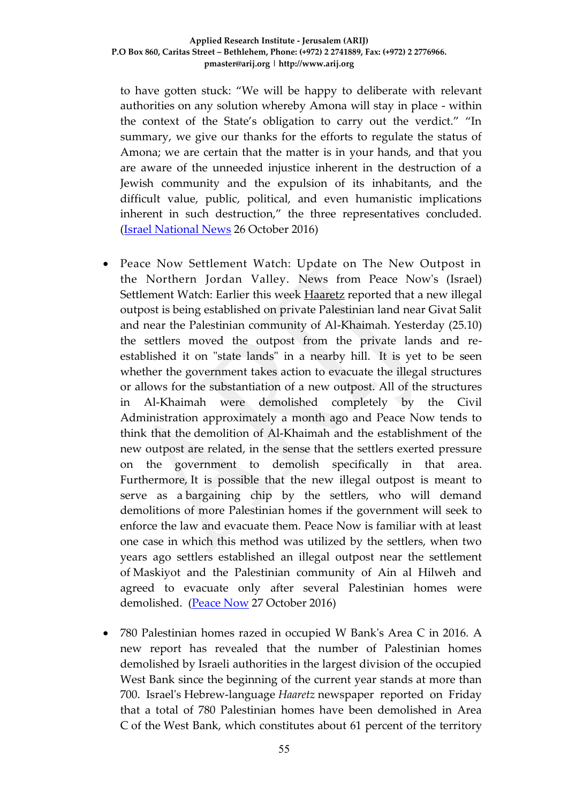to have gotten stuck: "We will be happy to deliberate with relevant authorities on any solution whereby Amona will stay in place - within the context of the State's obligation to carry out the verdict." "In summary, we give our thanks for the efforts to regulate the status of Amona; we are certain that the matter is in your hands, and that you are aware of the unneeded injustice inherent in the destruction of a Jewish community and the expulsion of its inhabitants, and the difficult value, public, political, and even humanistic implications inherent in such destruction," the three representatives concluded. [\(Israel National News](http://www.israelnationalnews.com/News/News.aspx/219365) 26 October 2016)

- Peace Now Settlement Watch: Update on The New Outpost in the Northern Jordan Valley. News from Peace Now's (Israel) Settlement Watch: Earlier this week **[Haaretz](http://trailer.web-view.net/Links/0X9448B153D34EA4431468558EA60D1AC7DC4BF45EAA91A8B1EFB8D9F41F0AD14AC141BE12FA40A194AE8BD5ED3361B96F92F6C37C3754D7EB22130F0C6CDBDB209984675BDDB0AF1B.htm)** reported that a new illegal outpost is being established on private Palestinian land near Givat Salit and near the Palestinian community of Al-Khaimah. Yesterday (25.10) the settlers moved the outpost from the private lands and reestablished it on "state lands" in a nearby hill. It is yet to be seen whether the government takes action to evacuate the illegal structures or allows for the substantiation of a new outpost. All of the structures in Al-Khaimah were demolished completely by the Civil Administration approximately a month ago and Peace Now tends to think that the demolition of Al-Khaimah and the establishment of the new outpost are related, in the sense that the settlers exerted pressure on the government to demolish specifically in that area. Furthermore, It is possible that the new illegal outpost is meant to serve as a bargaining chip by the settlers, who will demand demolitions of more Palestinian homes if the government will seek to enforce the law and evacuate them. Peace Now is familiar with at least one case in which this method was utilized by the settlers, when two years ago settlers established an illegal outpost near the settlement of Maskiyot and the Palestinian community of Ain al Hilweh and agreed to evacuate only after several Palestinian homes were demolished. [\(Peace Now](http://peacenow.org/entry.php?id=21225#.WBGbwy196M8) 27 October 2016)
- 780 Palestinian homes razed in occupied W Bank's Area C in 2016. A new report has revealed that the number of Palestinian homes demolished by Israeli authorities in the largest division of the occupied West Bank since the beginning of the current year stands at more than 700. Israel's Hebrew-language *Haaretz* newspaper reported on Friday that a total of 780 Palestinian homes have been demolished in Area C of the West Bank, which constitutes about 61 percent of the territory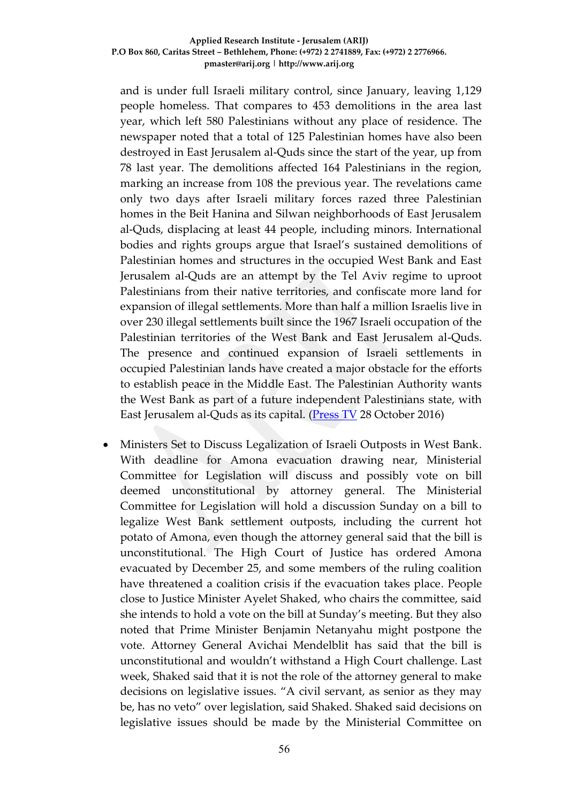and is under full Israeli military control, since January, leaving 1,129 people homeless. That compares to 453 demolitions in the area last year, which left 580 Palestinians without any place of residence. The newspaper noted that a total of 125 Palestinian homes have also been destroyed in East Jerusalem al-Quds since the start of the year, up from 78 last year. The demolitions affected 164 Palestinians in the region, marking an increase from 108 the previous year. The revelations came only two days after Israeli military forces razed three Palestinian homes in the Beit Hanina and Silwan neighborhoods of East Jerusalem al-Quds, displacing at least 44 people, including minors. International bodies and rights groups argue that Israel's sustained demolitions of Palestinian homes and structures in the occupied West Bank and East Jerusalem al-Quds are an attempt by the Tel Aviv regime to uproot Palestinians from their native territories, and confiscate more land for expansion of illegal settlements. More than half a million Israelis live in over 230 illegal settlements built since the 1967 Israeli occupation of the Palestinian territories of the West Bank and East Jerusalem al-Quds. The presence and continued expansion of Israeli settlements in occupied Palestinian lands have created a major obstacle for the efforts to establish peace in the Middle East. The Palestinian Authority wants the West Bank as part of a future independent Palestinians state, with East Jerusalem al-Quds as its capital. [\(Press TV](http://www.presstv.ir/Detail/2016/10/28/491056/Israel-demolitions-Palestinian-homes-Area-C-West-Bank) 28 October 2016)

 Ministers Set to Discuss Legalization of Israeli Outposts in West Bank. With deadline for Amona evacuation drawing near, Ministerial Committee for Legislation will discuss and possibly vote on bill deemed unconstitutional by attorney general. The Ministerial Committee for Legislation will hold a discussion Sunday on a bill to legalize West Bank settlement outposts, including the current hot potato of Amona, even though the attorney general said that the bill is unconstitutional. The High Court of Justice has ordered Amona evacuated by December 25, and some members of the ruling coalition have threatened a coalition crisis if the evacuation takes place. People close to Justice Minister Ayelet Shaked, who chairs the committee, said she intends to hold a vote on the bill at Sunday's meeting. But they also noted that Prime Minister Benjamin Netanyahu might postpone the vote. Attorney General Avichai Mendelblit has said that the bill is unconstitutional and wouldn't withstand a High Court challenge. Last week, Shaked said that it is not the role of the attorney general to make decisions on legislative issues. "A civil servant, as senior as they may be, has no veto" over legislation, said Shaked. Shaked said decisions on legislative issues should be made by the Ministerial Committee on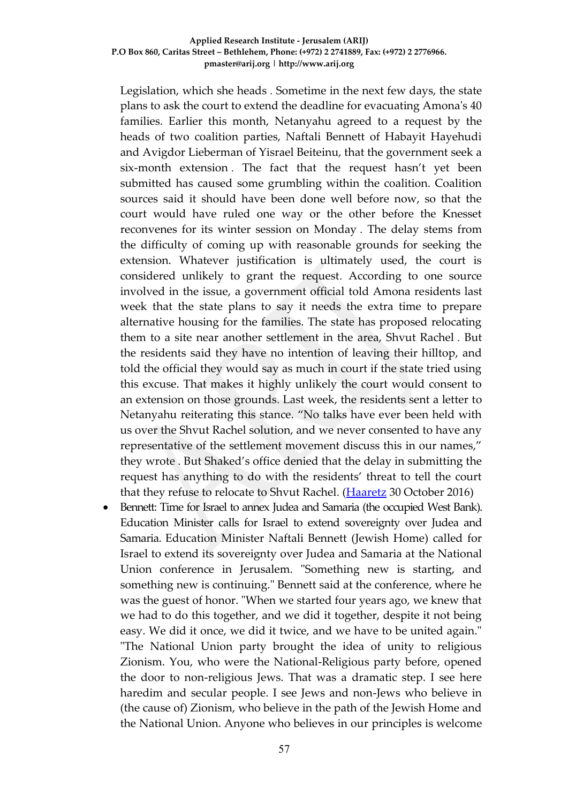Legislation, which she heads . Sometime in the next few days, the state plans to ask the court to extend the deadline for evacuating Amona's 40 families. Earlier this month, Netanyahu agreed to a request by the heads of two coalition parties, Naftali Bennett of Habayit Hayehudi and Avigdor Lieberman of Yisrael Beiteinu, that the government seek a six-month extension . The fact that the request hasn't yet been submitted has caused some grumbling within the coalition. Coalition sources said it should have been done well before now, so that the court would have ruled one way or the other before the Knesset reconvenes for its winter session on Monday . The delay stems from the difficulty of coming up with reasonable grounds for seeking the extension. Whatever justification is ultimately used, the court is considered unlikely to grant the request. According to one source involved in the issue, a government official told Amona residents last week that the state plans to say it needs the extra time to prepare alternative housing for the families. The state has proposed relocating them to a site near another settlement in the area, Shvut Rachel . But the residents said they have no intention of leaving their hilltop, and told the official they would say as much in court if the state tried using this excuse. That makes it highly unlikely the court would consent to an extension on those grounds. Last week, the residents sent a letter to Netanyahu reiterating this stance. "No talks have ever been held with us over the Shvut Rachel solution, and we never consented to have any representative of the settlement movement discuss this in our names," they wrote . But Shaked's office denied that the delay in submitting the request has anything to do with the residents' threat to tell the court that they refuse to relocate to Shvut Rachel. [\(Haaretz](http://www.haaretz.com/israel-news/1.749827) 30 October 2016)

 Bennett: Time for Israel to annex Judea and Samaria (the occupied West Bank). Education Minister calls for Israel to extend sovereignty over Judea and Samaria. Education Minister Naftali Bennett (Jewish Home) called for Israel to extend its sovereignty over Judea and Samaria at the National Union conference in Jerusalem. "Something new is starting, and something new is continuing." Bennett said at the conference, where he was the guest of honor. "When we started four years ago, we knew that we had to do this together, and we did it together, despite it not being easy. We did it once, we did it twice, and we have to be united again." "The National Union party brought the idea of unity to religious Zionism. You, who were the National-Religious party before, opened the door to non-religious Jews. That was a dramatic step. I see here haredim and secular people. I see Jews and non-Jews who believe in (the cause of) Zionism, who believe in the path of the Jewish Home and the National Union. Anyone who believes in our principles is welcome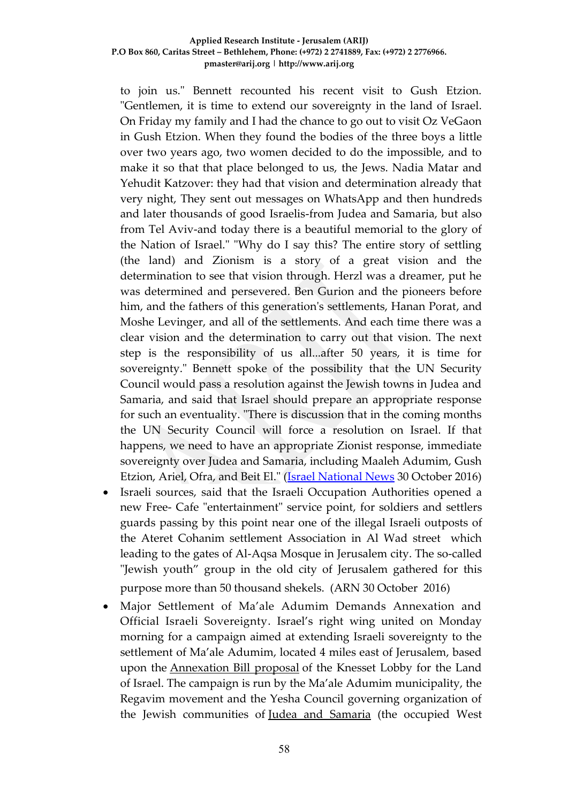to join us." Bennett recounted his recent visit to Gush Etzion. "Gentlemen, it is time to extend our sovereignty in the land of Israel. On Friday my family and I had the chance to go out to visit Oz VeGaon in Gush Etzion. When they found the bodies of the three boys a little over two years ago, two women decided to do the impossible, and to make it so that that place belonged to us, the Jews. Nadia Matar and Yehudit Katzover: they had that vision and determination already that very night, They sent out messages on WhatsApp and then hundreds and later thousands of good Israelis-from Judea and Samaria, but also from Tel Aviv-and today there is a beautiful memorial to the glory of the Nation of Israel." "Why do I say this? The entire story of settling (the land) and Zionism is a story of a great vision and the determination to see that vision through. Herzl was a dreamer, put he was determined and persevered. Ben Gurion and the pioneers before him, and the fathers of this generation's settlements, Hanan Porat, and Moshe Levinger, and all of the settlements. And each time there was a clear vision and the determination to carry out that vision. The next step is the responsibility of us all...after 50 years, it is time for sovereignty." Bennett spoke of the possibility that the UN Security Council would pass a resolution against the Jewish towns in Judea and Samaria, and said that Israel should prepare an appropriate response for such an eventuality. "There is discussion that in the coming months the UN Security Council will force a resolution on Israel. If that happens, we need to have an appropriate Zionist response, immediate sovereignty over Judea and Samaria, including Maaleh Adumim, Gush Etzion, Ariel, Ofra, and Beit El." [\(Israel National News](http://www.israelnationalnews.com/News/News.aspx/219547) 30 October 2016)

- Israeli sources, said that the Israeli Occupation Authorities opened a new Free- Cafe "entertainment" service point, for soldiers and settlers guards passing by this point near one of the illegal Israeli outposts of the Ateret Cohanim settlement Association in Al Wad street which leading to the gates of Al-Aqsa Mosque in Jerusalem city. The so-called "Jewish youth" group in the old city of Jerusalem gathered for this purpose more than 50 thousand shekels. (ARN 30 October 2016)
- Major Settlement of Ma'ale Adumim Demands Annexation and Official Israeli Sovereignty. Israel's right wing united on Monday morning for a campaign aimed at extending Israeli sovereignty to the settlement of Ma'ale Adumim, located 4 miles east of Jerusalem, based upon the [Annexation Bill proposal](http://www.breakingisraelnews.com/72187/knesset-introduces-bill-annex-judean-city-maale-adumim/) of the Knesset Lobby for the Land of Israel. The campaign is run by the Ma'ale Adumim municipality, the Regavim movement and the Yesha Council governing organization of the Jewish communities of *[Judea and Samaria](http://www.breakingisraelnews.com/77638/historic-shift-jewish-federations-will-begin-missions-settlements/)* (the occupied West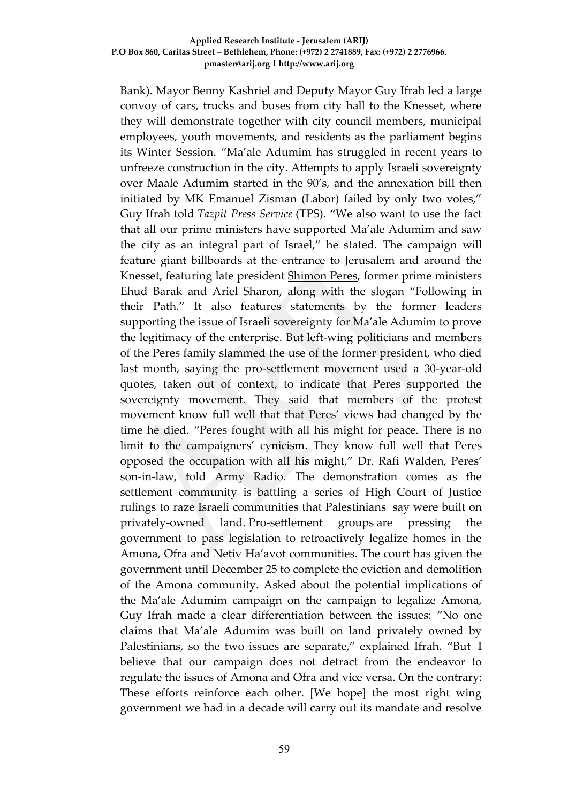Bank). Mayor Benny Kashriel and Deputy Mayor Guy Ifrah led a large convoy of cars, trucks and buses from city hall to the Knesset, where they will demonstrate together with city council members, municipal employees, youth movements, and residents as the parliament begins its Winter Session. "Ma'ale Adumim has struggled in recent years to unfreeze construction in the city. Attempts to apply Israeli sovereignty over Maale Adumim started in the 90's, and the annexation bill then initiated by MK Emanuel Zisman (Labor) failed by only two votes," Guy Ifrah told *Tazpit Press Service* (TPS). "We also want to use the fact that all our prime ministers have supported Ma'ale Adumim and saw the city as an integral part of Israel," he stated. The campaign will feature giant billboards at the entrance to Jerusalem and around the Knesset, featuring late president [Shimon Peres,](http://www.breakingisraelnews.com/76554/gathering-kings-peres-funeral-unmistakable-fulfillment-isaiah-60-messiah-prophecy/) former prime ministers Ehud Barak and Ariel Sharon, along with the slogan "Following in their Path." It also features statements by the former leaders supporting the issue of Israeli sovereignty for Ma'ale Adumim to prove the legitimacy of the enterprise. But left-wing politicians and members of the Peres family slammed the use of the former president, who died last month, saying the pro-settlement movement used a 30-year-old quotes, taken out of context, to indicate that Peres supported the sovereignty movement. They said that members of the protest movement know full well that that Peres' views had changed by the time he died. "Peres fought with all his might for peace. There is no limit to the campaigners' cynicism. They know full well that Peres opposed the occupation with all his might," Dr. Rafi Walden, Peres' son-in-law, told Army Radio. The demonstration comes as the settlement community is battling a series of High Court of Justice rulings to raze Israeli communities that Palestinians say were built on privately-owned land. [Pro-settlement groups](http://www.breakingisraelnews.com/76330/bennett-us-elections-opportunity-imposing-israeli-sovereignty/) are pressing the government to pass legislation to retroactively legalize homes in the Amona, Ofra and Netiv Ha'avot communities. The court has given the government until December 25 to complete the eviction and demolition of the Amona community. Asked about the potential implications of the Ma'ale Adumim campaign on the campaign to legalize Amona, Guy Ifrah made a clear differentiation between the issues: "No one claims that Ma'ale Adumim was built on land privately owned by Palestinians, so the two issues are separate," explained Ifrah. "But I believe that our campaign does not detract from the endeavor to regulate the issues of Amona and Ofra and vice versa. On the contrary: These efforts reinforce each other. [We hope] the most right wing government we had in a decade will carry out its mandate and resolve